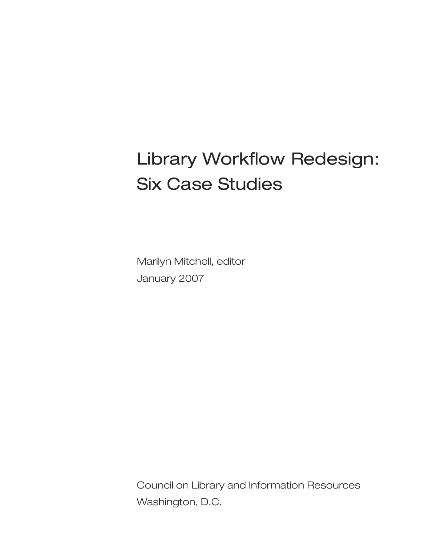# Library Workflow Redesign: Six Case Studies

Marilyn Mitchell, editor January 2007

Council on Library and Information Resources Washington, D.C.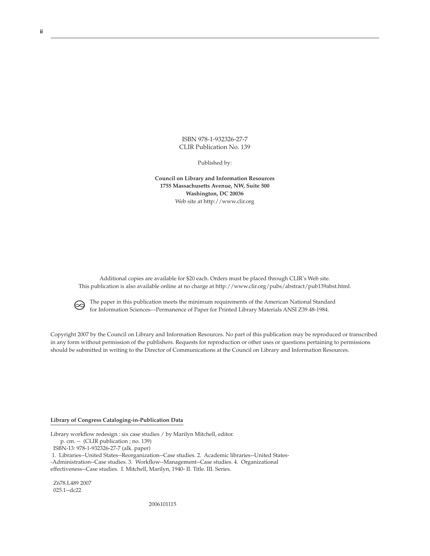ISBN 978-1-932326-27-7 CLIR Publication No. 139

Published by:

**Council on Library and Information Resources 1755 Massachusetts Avenue, NW, Suite 500 Washington, DC 20036** Web site at http://www.clir.org

Additional copies are available for \$20 each. Orders must be placed through CLIR's Web site. This publication is also available online at no charge at http://www.clir.org/pubs/abstract/pub139abst.html.



 The paper in this publication meets the minimum requirements of the American National Standard for Information Sciences—Permanence of Paper for Printed Library Materials ANSI Z39.48-1984.

Copyright 2007 by the Council on Library and Information Resources. No part of this publication may be reproduced or transcribed in any form without permission of the publishers. Requests for reproduction or other uses or questions pertaining to permissions should be submitted in writing to the Director of Communications at the Council on Library and Information Resources.

### **Library of Congress Cataloging-in-Publication Data**

Library workflow redesign : six case studies / by Marilyn Mitchell, editor.

p. cm. -- (CLIR publication ; no. 139)

ISBN-13: 978-1-932326-27-7 (alk. paper)

 1. Libraries--United States--Reorganization--Case studies. 2. Academic libraries--United States- -Administration--Case studies. 3. Workflow--Management--Case studies. 4. Organizational effectiveness--Case studies. I. Mitchell, Marilyn, 1940- II. Title. III. Series.

 Z678.L489 2007 025.1--dc22

2006101115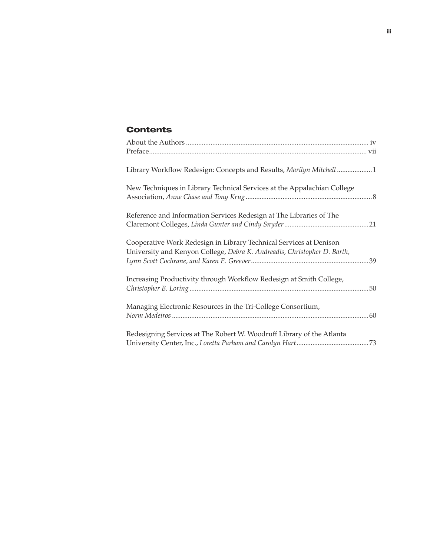### **Contents**

| Library Workflow Redesign: Concepts and Results, Marilyn Mitchell 1                                                                            |    |
|------------------------------------------------------------------------------------------------------------------------------------------------|----|
| New Techniques in Library Technical Services at the Appalachian College                                                                        |    |
| Reference and Information Services Redesign at The Libraries of The                                                                            |    |
| Cooperative Work Redesign in Library Technical Services at Denison<br>University and Kenyon College, Debra K. Andreadis, Christopher D. Barth, |    |
| Increasing Productivity through Workflow Redesign at Smith College,                                                                            | 50 |
| Managing Electronic Resources in the Tri-College Consortium,                                                                                   |    |
| Redesigning Services at The Robert W. Woodruff Library of the Atlanta                                                                          |    |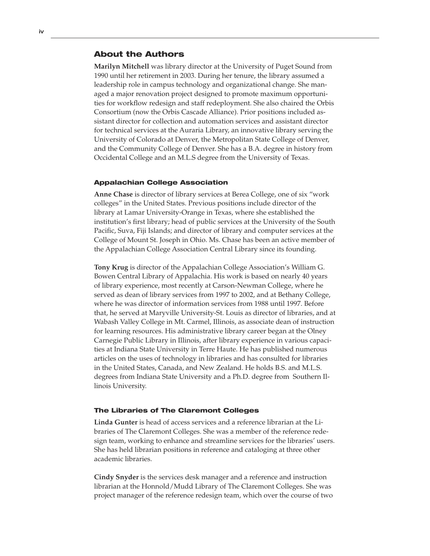### About the Authors

**Marilyn Mitchell** was library director at the University of Puget Sound from 1990 until her retirement in 2003. During her tenure, the library assumed a leadership role in campus technology and organizational change. She managed a major renovation project designed to promote maximum opportunities for workflow redesign and staff redeployment. She also chaired the Orbis Consortium (now the Orbis Cascade Alliance). Prior positions included assistant director for collection and automation services and assistant director for technical services at the Auraria Library, an innovative library serving the University of Colorado at Denver, the Metropolitan State College of Denver, and the Community College of Denver. She has a B.A. degree in history from Occidental College and an M.L.S degree from the University of Texas.

### Appalachian College Association

**Anne Chase** is director of library services at Berea College, one of six "work colleges" in the United States. Previous positions include director of the library at Lamar University-Orange in Texas, where she established the institution's first library; head of public services at the University of the South Pacific, Suva, Fiji Islands; and director of library and computer services at the College of Mount St. Joseph in Ohio. Ms. Chase has been an active member of the Appalachian College Association Central Library since its founding.

**Tony Krug** is director of the Appalachian College Association's William G. Bowen Central Library of Appalachia. His work is based on nearly 40 years of library experience, most recently at Carson-Newman College, where he served as dean of library services from 1997 to 2002, and at Bethany College, where he was director of information services from 1988 until 1997. Before that, he served at Maryville University-St. Louis as director of libraries, and at Wabash Valley College in Mt. Carmel, Illinois, as associate dean of instruction for learning resources. His administrative library career began at the Olney Carnegie Public Library in Illinois, after library experience in various capacities at Indiana State University in Terre Haute. He has published numerous articles on the uses of technology in libraries and has consulted for libraries in the United States, Canada, and New Zealand. He holds B.S. and M.L.S. degrees from Indiana State University and a Ph.D. degree from Southern Illinois University.

### The Libraries of The Claremont Colleges

**Linda Gunter** is head of access services and a reference librarian at the Libraries of The Claremont Colleges. She was a member of the reference redesign team, working to enhance and streamline services for the libraries' users. She has held librarian positions in reference and cataloging at three other academic libraries.

**Cindy Snyder** is the services desk manager and a reference and instruction librarian at the Honnold/Mudd Library of The Claremont Colleges. She was project manager of the reference redesign team, which over the course of two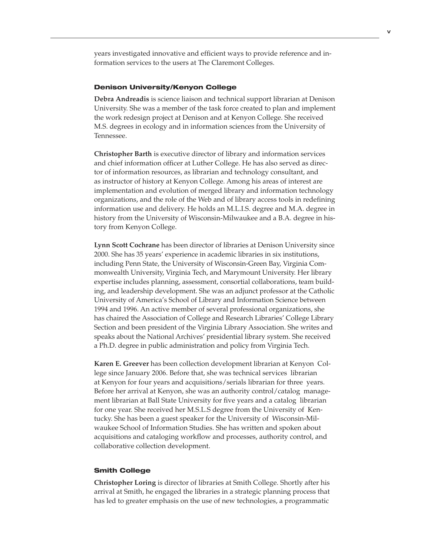years investigated innovative and efficient ways to provide reference and information services to the users at The Claremont Colleges.

### Denison University/Kenyon College

**Debra Andreadis** is science liaison and technical support librarian at Denison University. She was a member of the task force created to plan and implement the work redesign project at Denison and at Kenyon College. She received M.S. degrees in ecology and in information sciences from the University of Tennessee.

**Christopher Barth** is executive director of library and information services and chief information officer at Luther College. He has also served as director of information resources, as librarian and technology consultant, and as instructor of history at Kenyon College. Among his areas of interest are implementation and evolution of merged library and information technology organizations, and the role of the Web and of library access tools in redefining information use and delivery. He holds an M.L.I.S. degree and M.A. degree in history from the University of Wisconsin-Milwaukee and a B.A. degree in history from Kenyon College.

**Lynn Scott Cochrane** has been director of libraries at Denison University since 2000. She has 35 years' experience in academic libraries in six institutions, including Penn State, the University of Wisconsin-Green Bay, Virginia Commonwealth University, Virginia Tech, and Marymount University. Her library expertise includes planning, assessment, consortial collaborations, team building, and leadership development. She was an adjunct professor at the Catholic University of America's School of Library and Information Science between 1994 and 1996. An active member of several professional organizations, she has chaired the Association of College and Research Libraries' College Library Section and been president of the Virginia Library Association. She writes and speaks about the National Archives' presidential library system. She received a Ph.D. degree in public administration and policy from Virginia Tech.

**Karen E. Greever** has been collection development librarian at Kenyon College since January 2006. Before that, she was technical services librarian at Kenyon for four years and acquisitions/serials librarian for three years. Before her arrival at Kenyon, she was an authority control/catalog management librarian at Ball State University for five years and a catalog librarian for one year. She received her M.S.L.S degree from the University of Kentucky. She has been a guest speaker for the University of Wisconsin-Milwaukee School of Information Studies. She has written and spoken about acquisitions and cataloging workflow and processes, authority control, and collaborative collection development.

### Smith College

**Christopher Loring** is director of libraries at Smith College. Shortly after his arrival at Smith, he engaged the libraries in a strategic planning process that has led to greater emphasis on the use of new technologies, a programmatic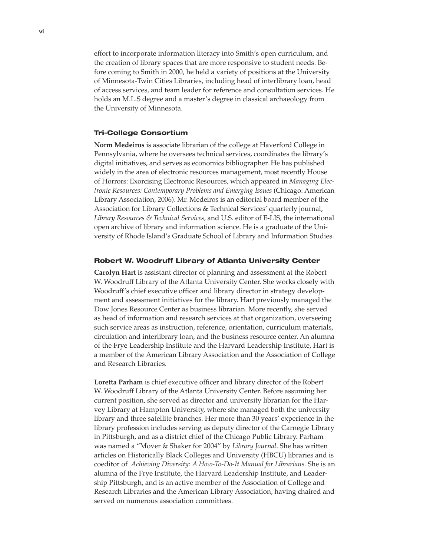effort to incorporate information literacy into Smith's open curriculum, and the creation of library spaces that are more responsive to student needs. Before coming to Smith in 2000, he held a variety of positions at the University of Minnesota-Twin Cities Libraries, including head of interlibrary loan, head of access services, and team leader for reference and consultation services. He holds an M.L.S degree and a master's degree in classical archaeology from the University of Minnesota.

### Tri-College Consortium

**Norm Medeiros** is associate librarian of the college at Haverford College in Pennsylvania, where he oversees technical services, coordinates the library's digital initiatives, and serves as economics bibliographer. He has published widely in the area of electronic resources management, most recently House of Horrors: Exorcising Electronic Resources, which appeared in *Managing Electronic Resources: Contemporary Problems and Emerging Issues* (Chicago: American Library Association, 2006). Mr. Medeiros is an editorial board member of the Association for Library Collections & Technical Services' quarterly journal, *Library Resources & Technical Services*, and U.S. editor of E-LIS, the international open archive of library and information science. He is a graduate of the University of Rhode Island's Graduate School of Library and Information Studies.

### Robert W. Woodruff Library of Atlanta University Center

**Carolyn Hart** is assistant director of planning and assessment at the Robert W. Woodruff Library of the Atlanta University Center. She works closely with Woodruff's chief executive officer and library director in strategy development and assessment initiatives for the library. Hart previously managed the Dow Jones Resource Center as business librarian. More recently, she served as head of information and research services at that organization, overseeing such service areas as instruction, reference, orientation, curriculum materials, circulation and interlibrary loan, and the business resource center. An alumna of the Frye Leadership Institute and the Harvard Leadership Institute, Hart is a member of the American Library Association and the Association of College and Research Libraries.

**Loretta Parham** is chief executive officer and library director of the Robert W. Woodruff Library of the Atlanta University Center. Before assuming her current position, she served as director and university librarian for the Harvey Library at Hampton University, where she managed both the university library and three satellite branches. Her more than 30 years' experience in the library profession includes serving as deputy director of the Carnegie Library in Pittsburgh, and as a district chief of the Chicago Public Library. Parham was named a "Mover & Shaker for 2004" by *Library Journal*. She has written articles on Historically Black Colleges and University (HBCU) libraries and is coeditor of *Achieving Diversity: A How-To-Do-It Manual for Librarians*. She is an alumna of the Frye Institute, the Harvard Leadership Institute, and Leadership Pittsburgh, and is an active member of the Association of College and Research Libraries and the American Library Association, having chaired and served on numerous association committees.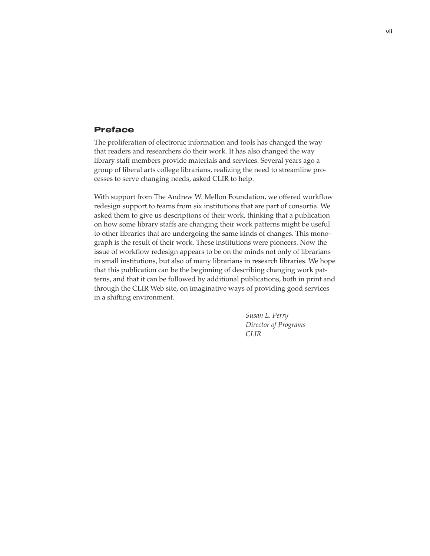### Preface

The proliferation of electronic information and tools has changed the way that readers and researchers do their work. It has also changed the way library staff members provide materials and services. Several years ago a group of liberal arts college librarians, realizing the need to streamline processes to serve changing needs, asked CLIR to help.

With support from The Andrew W. Mellon Foundation, we offered workflow redesign support to teams from six institutions that are part of consortia. We asked them to give us descriptions of their work, thinking that a publication on how some library staffs are changing their work patterns might be useful to other libraries that are undergoing the same kinds of changes. This monograph is the result of their work. These institutions were pioneers. Now the issue of workflow redesign appears to be on the minds not only of librarians in small institutions, but also of many librarians in research libraries. We hope that this publication can be the beginning of describing changing work patterns, and that it can be followed by additional publications, both in print and through the CLIR Web site, on imaginative ways of providing good services in a shifting environment.

 *Susan L. Perry Director of Programs CLIR*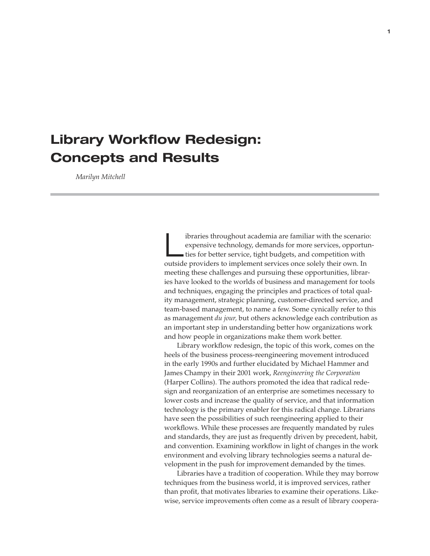### **Library Workflow Redesign: Concepts and Results**

 *Marilyn Mitchell*

Interior is throughout academia are familiar with the scenario:<br>
expensive technology, demands for more services, opportun-<br>
ties for better service, tight budgets, and competition with expensive technology, demands for more services, opportunoutside providers to implement services once solely their own. In meeting these challenges and pursuing these opportunities, libraries have looked to the worlds of business and management for tools and techniques, engaging the principles and practices of total quality management, strategic planning, customer-directed service, and team-based management, to name a few. Some cynically refer to this as management *du jour,* but others acknowledge each contribution as an important step in understanding better how organizations work and how people in organizations make them work better.

Library workflow redesign, the topic of this work, comes on the heels of the business process-reengineering movement introduced in the early 1990s and further elucidated by Michael Hammer and James Champy in their 2001 work, *Reengineering the Corporation*  (Harper Collins). The authors promoted the idea that radical redesign and reorganization of an enterprise are sometimes necessary to lower costs and increase the quality of service, and that information technology is the primary enabler for this radical change. Librarians have seen the possibilities of such reengineering applied to their workflows. While these processes are frequently mandated by rules and standards, they are just as frequently driven by precedent, habit, and convention. Examining workflow in light of changes in the work environment and evolving library technologies seems a natural development in the push for improvement demanded by the times.

Libraries have a tradition of cooperation. While they may borrow techniques from the business world, it is improved services, rather than profit, that motivates libraries to examine their operations. Likewise, service improvements often come as a result of library coopera-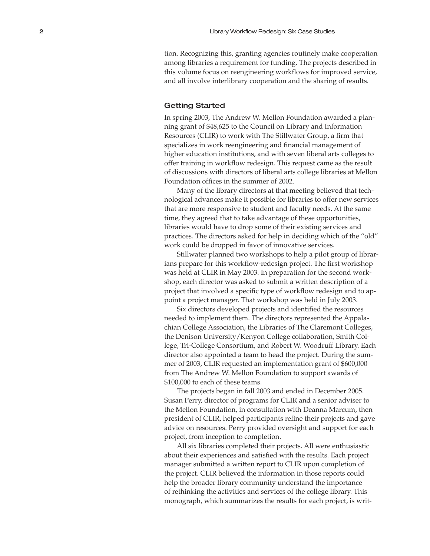tion. Recognizing this, granting agencies routinely make cooperation among libraries a requirement for funding. The projects described in this volume focus on reengineering workflows for improved service, and all involve interlibrary cooperation and the sharing of results.

### Getting Started

In spring 2003, The Andrew W. Mellon Foundation awarded a plan ning grant of \$48,625 to the Council on Library and Information Resources (CLIR) to work with The Stillwater Group, a firm that specializes in work reengineering and financial management of higher education institutions, and with seven liberal arts colleges to offer training in workflow redesign. This request came as the result of discussions with directors of liberal arts college libraries at Mellon Foundation offices in the summer of 2002.

Many of the library directors at that meeting believed that tech nological advances make it possible for libraries to offer new services that are more responsive to student and faculty needs. At the same time, they agreed that to take advantage of these opportunities, libraries would have to drop some of their existing services and practices. The directors asked for help in deciding which of the "old" work could be dropped in favor of innovative services.

Stillwater planned two workshops to help a pilot group of librar ians prepare for this workflow-redesign project. The first workshop was held at CLIR in May 2003. In preparation for the second work shop, each director was asked to submit a written description of a project that involved a specific type of workflow redesign and to ap point a project manager. That workshop was held in July 2003.

Six directors developed projects and identified the resources needed to implement them. The directors represented the Appala chian College Association, the Libraries of The Claremont Colleges, the Denison University/Kenyon College collaboration, Smith Col lege, Tri-College Consortium, and Robert W. Woodruff Library. Each director also appointed a team to head the project. During the sum mer of 2003, CLIR requested an implementation grant of \$600,000 from The Andrew W. Mellon Foundation to support awards of \$100,000 to each of these teams.

The projects began in fall 2003 and ended in December 2005. Susan Perry, director of programs for CLIR and a senior adviser to the Mellon Foundation, in consultation with Deanna Marcum, then president of CLIR, helped participants refine their projects and gave advice on resources. Perry provided oversight and support for each project, from inception to completion.

All six libraries completed their projects. All were enthusiastic about their experiences and satisfied with the results. Each project manager submitted a written report to CLIR upon completion of the project. CLIR believed the information in those reports could help the broader library community understand the importance of rethinking the activities and services of the college library. This monograph, which summarizes the results for each project, is writ -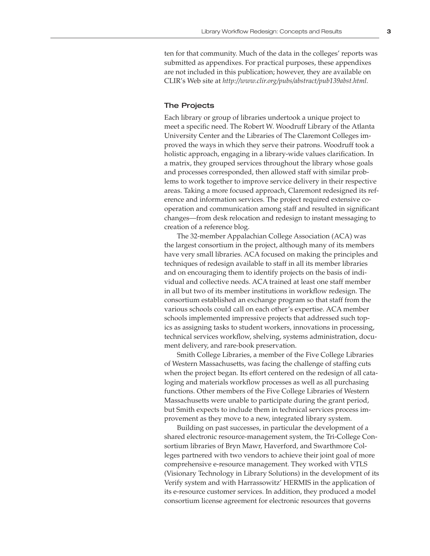ten for that community. Much of the data in the colleges' reports was submitted as appendixes. For practical purposes, these appendixes are not included in this publication; however, they are available on CLIR's Web site at *http://www.clir.org/pubs/abstract/pub139abst.html.*

### The Projects

Each library or group of libraries undertook a unique project to meet a specific need. The Robert W. Woodruff Library of the Atlanta University Center and the Libraries of The Claremont Colleges improved the ways in which they serve their patrons. Woodruff took a holistic approach, engaging in a library-wide values clarification. In a matrix, they grouped services throughout the library whose goals and processes corresponded, then allowed staff with similar problems to work together to improve service delivery in their respective areas. Taking a more focused approach, Claremont redesigned its reference and information services. The project required extensive cooperation and communication among staff and resulted in significant changes—from desk relocation and redesign to instant messaging to creation of a reference blog.

The 32-member Appalachian College Association (ACA) was the largest consortium in the project, although many of its members have very small libraries. ACA focused on making the principles and techniques of redesign available to staff in all its member libraries and on encouraging them to identify projects on the basis of individual and collective needs. ACA trained at least one staff member in all but two of its member institutions in workflow redesign. The consortium established an exchange program so that staff from the various schools could call on each other's expertise. ACA member schools implemented impressive projects that addressed such topics as assigning tasks to student workers, innovations in processing, technical services workflow, shelving, systems administration, document delivery, and rare-book preservation.

Smith College Libraries, a member of the Five College Libraries of Western Massachusetts, was facing the challenge of staffing cuts when the project began. Its effort centered on the redesign of all cataloging and materials workflow processes as well as all purchasing functions. Other members of the Five College Libraries of Western Massachusetts were unable to participate during the grant period, but Smith expects to include them in technical services process improvement as they move to a new, integrated library system.

Building on past successes, in particular the development of a shared electronic resource-management system, the Tri-College Consortium libraries of Bryn Mawr, Haverford, and Swarthmore Colleges partnered with two vendors to achieve their joint goal of more comprehensive e-resource management. They worked with VTLS (Visionary Technology in Library Solutions) in the development of its Verify system and with Harrassowitz' HERMIS in the application of its e-resource customer services. In addition, they produced a model consortium license agreement for electronic resources that governs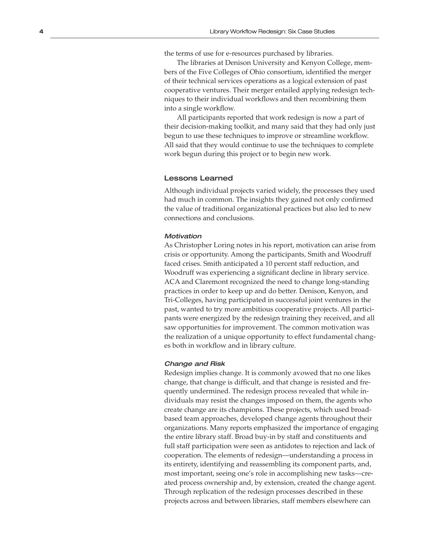the terms of use for e-resources purchased by libraries.

The libraries at Denison University and Kenyon College, mem bers of the Five Colleges of Ohio consortium, identified the merger of their technical services operations as a logical extension of past cooperative ventures. Their merger entailed applying redesign tech niques to their individual workflows and then recombining them into a single workflow.

All participants reported that work redesign is now a part of their decision-making toolkit, and many said that they had only just begun to use these techniques to improve or streamline workflow. All said that they would continue to use the techniques to complete work begun during this project or to begin new work.

### Lessons Learned

Although individual projects varied widely, the processes they used had much in common. The insights they gained not only confirmed the value of traditional organizational practices but also led to new connections and conclusions.

### **Motivation**

As Christopher Loring notes in his report, motivation can arise from crisis or opportunity. Among the participants, Smith and Woodruff faced crises. Smith anticipated a 10 percent staff reduction, and Woodruff was experiencing a significant decline in library service. ACA and Claremont recognized the need to change long-standing practices in order to keep up and do better. Denison, Kenyon, and Tri-Colleges, having participated in successful joint ventures in the past, wanted to try more ambitious cooperative projects. All partici pants were energized by the redesign training they received, and all saw opportunities for improvement. The common motivation was the realization of a unique opportunity to effect fundamental chang es both in workflow and in library culture.

#### Change and Risk

Redesign implies change. It is commonly avowed that no one likes change, that change is difficult, and that change is resisted and fre quently undermined. The redesign process revealed that while in dividuals may resist the changes imposed on them, the agents who create change are its champions. These projects, which used broadbased team approaches, developed change agents throughout their organizations. Many reports emphasized the importance of engaging the entire library staff. Broad buy-in by staff and constituents and full staff participation were seen as antidotes to rejection and lack of cooperation. The elements of redesign—understanding a process in its entirety, identifying and reassembling its component parts, and, most important, seeing one's role in accomplishing new tasks—cre ated process ownership and, by extension, created the change agent. Through replication of the redesign processes described in these projects across and between libraries, staff members elsewhere can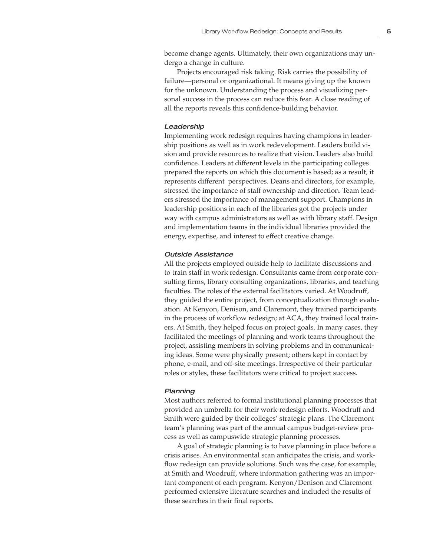Projects encouraged risk taking. Risk carries the possibility of failure—personal or organizational. It means giving up the known for the unknown. Understanding the process and visualizing personal success in the process can reduce this fear. A close reading of all the reports reveals this confidence-building behavior.

### Leadership

Implementing work redesign requires having champions in leadership positions as well as in work redevelopment. Leaders build vision and provide resources to realize that vision. Leaders also build confidence. Leaders at different levels in the participating colleges prepared the reports on which this document is based; as a result, it represents different perspectives. Deans and directors, for example, stressed the importance of staff ownership and direction. Team leaders stressed the importance of management support. Champions in leadership positions in each of the libraries got the projects under way with campus administrators as well as with library staff. Design and implementation teams in the individual libraries provided the energy, expertise, and interest to effect creative change.

### Outside Assistance

All the projects employed outside help to facilitate discussions and to train staff in work redesign. Consultants came from corporate consulting firms, library consulting organizations, libraries, and teaching faculties. The roles of the external facilitators varied. At Woodruff, they guided the entire project, from conceptualization through evaluation. At Kenyon, Denison, and Claremont, they trained participants in the process of workflow redesign; at ACA, they trained local trainers. At Smith, they helped focus on project goals. In many cases, they facilitated the meetings of planning and work teams throughout the project, assisting members in solving problems and in communicating ideas. Some were physically present; others kept in contact by phone, e-mail, and off-site meetings. Irrespective of their particular roles or styles, these facilitators were critical to project success.

### Planning

Most authors referred to formal institutional planning processes that provided an umbrella for their work-redesign efforts. Woodruff and Smith were guided by their colleges' strategic plans. The Claremont team's planning was part of the annual campus budget-review process as well as campuswide strategic planning processes.

A goal of strategic planning is to have planning in place before a crisis arises. An environmental scan anticipates the crisis, and workflow redesign can provide solutions. Such was the case, for example, at Smith and Woodruff, where information gathering was an important component of each program. Kenyon/Denison and Claremont performed extensive literature searches and included the results of these searches in their final reports.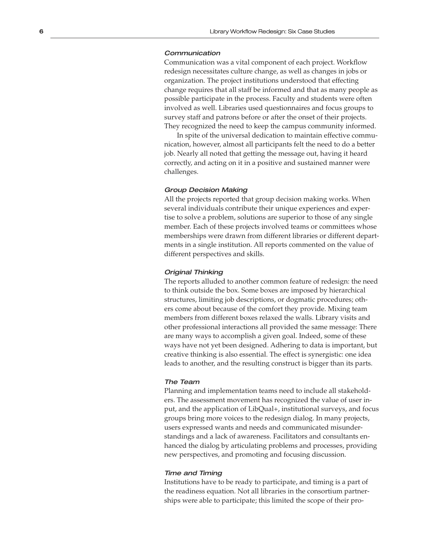### **Communication**

Communication was a vital component of each project. Workflow redesign necessitates culture change, as well as changes in jobs or organization. The project institutions understood that effecting change requires that all staff be informed and that as many people as possible participate in the process. Faculty and students were often involved as well. Libraries used questionnaires and focus groups to survey staff and patrons before or after the onset of their projects. They recognized the need to keep the campus community informed.

In spite of the universal dedication to maintain effective commu nication, however, almost all participants felt the need to do a better job. Nearly all noted that getting the message out, having it heard correctly, and acting on it in a positive and sustained manner were challenges.

### Group Decision Making

All the projects reported that group decision making works. When several individuals contribute their unique experiences and exper tise to solve a problem, solutions are superior to those of any single member. Each of these projects involved teams or committees whose memberships were drawn from different libraries or different depart ments in a single institution. All reports commented on the value of different perspectives and skills.

#### Original Thinking

The reports alluded to another common feature of redesign: the need to think outside the box. Some boxes are imposed by hierarchical structures, limiting job descriptions, or dogmatic procedures; oth ers come about because of the comfort they provide. Mixing team members from different boxes relaxed the walls. Library visits and other professional interactions all provided the same message: There are many ways to accomplish a given goal. Indeed, some of these ways have not yet been designed. Adhering to data is important, but creative thinking is also essential. The effect is synergistic: one idea leads to another, and the resulting construct is bigger than its parts.

### The Team

Planning and implementation teams need to include all stakehold ers. The assessment movement has recognized the value of user in put, and the application of LibQual+, institutional surveys, and focus groups bring more voices to the redesign dialog. In many projects, users expressed wants and needs and communicated misunder standings and a lack of awareness. Facilitators and consultants en hanced the dialog by articulating problems and processes, providing new perspectives, and promoting and focusing discussion.

### Time and Timing

Institutions have to be ready to participate, and timing is a part of the readiness equation. Not all libraries in the consortium partner ships were able to participate; this limited the scope of their pro -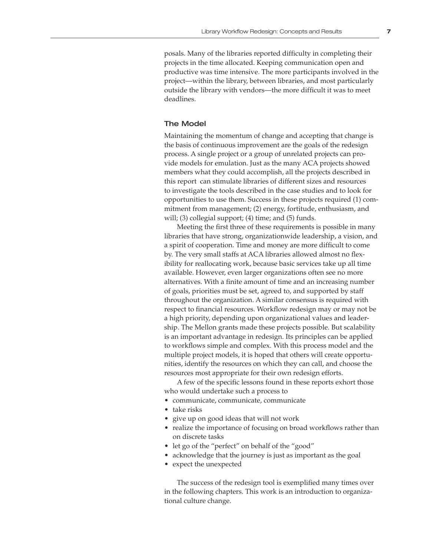posals. Many of the libraries reported difficulty in completing their projects in the time allocated. Keeping communication open and productive was time intensive. The more participants involved in the project—within the library, between libraries, and most particularly outside the library with vendors—the more difficult it was to meet deadlines.

### The Model

Maintaining the momentum of change and accepting that change is the basis of continuous improvement are the goals of the redesign process. A single project or a group of unrelated projects can provide models for emulation. Just as the many ACA projects showed members what they could accomplish, all the projects described in this report can stimulate libraries of different sizes and resources to investigate the tools described in the case studies and to look for opportunities to use them. Success in these projects required (1) commitment from management; (2) energy, fortitude, enthusiasm, and will; (3) collegial support; (4) time; and (5) funds.

Meeting the first three of these requirements is possible in many libraries that have strong, organizationwide leadership, a vision, and a spirit of cooperation. Time and money are more difficult to come by. The very small staffs at ACA libraries allowed almost no flexibility for reallocating work, because basic services take up all time available. However, even larger organizations often see no more alternatives. With a finite amount of time and an increasing number of goals, priorities must be set, agreed to, and supported by staff throughout the organization. A similar consensus is required with respect to financial resources. Workflow redesign may or may not be a high priority, depending upon organizational values and leadership. The Mellon grants made these projects possible. But scalability is an important advantage in redesign. Its principles can be applied to workflows simple and complex. With this process model and the multiple project models, it is hoped that others will create opportunities, identify the resources on which they can call, and choose the resources most appropriate for their own redesign efforts.

A few of the specific lessons found in these reports exhort those who would undertake such a process to

- communicate, communicate, communicate
- take risks
- give up on good ideas that will not work
- realize the importance of focusing on broad workflows rather than on discrete tasks
- let go of the "perfect" on behalf of the "good"
- acknowledge that the journey is just as important as the goal
- expect the unexpected

The success of the redesign tool is exemplified many times over in the following chapters. This work is an introduction to organizational culture change.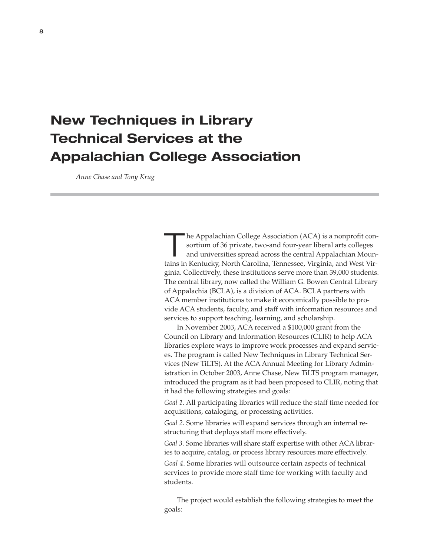## **New Techniques in Library Technical Services at the Appalachian College Association**

 *Anne Chase and Tony Krug*

The Appalachian College Association (ACA) is a nonprofit consortium of 36 private, two-and four-year liberal arts colleges and universities spread across the central Appalachian Mounsortium of 36 private, two-and four-year liberal arts colleges tains in Kentucky, North Carolina, Tennessee, Virginia, and West Virginia. Collectively, these institutions serve more than 39,000 students. The central library, now called the William G. Bowen Central Library of Appalachia (BCLA), is a division of ACA. BCLA partners with ACA member institutions to make it economically possible to provide ACA students, faculty, and staff with information resources and services to support teaching, learning, and scholarship.

In November 2003, ACA received a \$100,000 grant from the Council on Library and Information Resources (CLIR) to help ACA libraries explore ways to improve work processes and expand services. The program is called New Techniques in Library Technical Services (New TiLTS). At the ACA Annual Meeting for Library Administration in October 2003, Anne Chase, New TiLTS program manager, introduced the program as it had been proposed to CLIR, noting that it had the following strategies and goals:

*Goal 1*. All participating libraries will reduce the staff time needed for acquisitions, cataloging, or processing activities.

*Goal 2*. Some libraries will expand services through an internal restructuring that deploys staff more effectively.

*Goal 3*. Some libraries will share staff expertise with other ACA libraries to acquire, catalog, or process library resources more effectively.

*Goal 4*. Some libraries will outsource certain aspects of technical services to provide more staff time for working with faculty and students.

The project would establish the following strategies to meet the goals: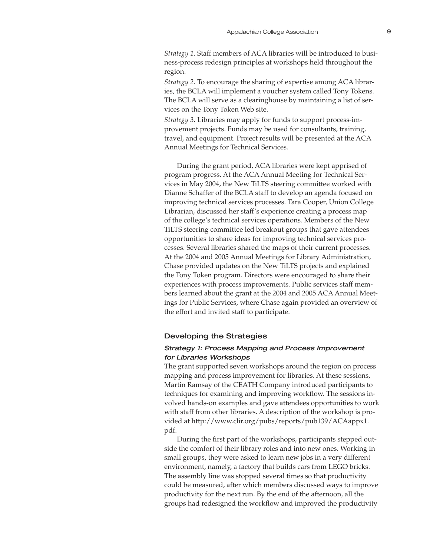*Strategy 1*. Staff members of ACA libraries will be introduced to business-process redesign principles at workshops held throughout the region.

*Strategy 2*. To encourage the sharing of expertise among ACA libraries, the BCLA will implement a voucher system called Tony Tokens. The BCLA will serve as a clearinghouse by maintaining a list of services on the Tony Token Web site.

*Strategy 3*. Libraries may apply for funds to support process-improvement projects. Funds may be used for consultants, training, travel, and equipment. Project results will be presented at the ACA Annual Meetings for Technical Services.

During the grant period, ACA libraries were kept apprised of program progress. At the ACA Annual Meeting for Technical Services in May 2004, the New TiLTS steering committee worked with Dianne Schaffer of the BCLA staff to develop an agenda focused on improving technical services processes. Tara Cooper, Union College Librarian, discussed her staff's experience creating a process map of the college's technical services operations. Members of the New TiLTS steering committee led breakout groups that gave attendees opportunities to share ideas for improving technical services processes. Several libraries shared the maps of their current processes. At the 2004 and 2005 Annual Meetings for Library Administration, Chase provided updates on the New TiLTS projects and explained the Tony Token program. Directors were encouraged to share their experiences with process improvements. Public services staff members learned about the grant at the 2004 and 2005 ACA Annual Meetings for Public Services, where Chase again provided an overview of the effort and invited staff to participate.

### Developing the Strategies

### Strategy 1: Process Mapping and Process Improvement for Libraries Workshops

The grant supported seven workshops around the region on process mapping and process improvement for libraries. At these sessions, Martin Ramsay of the CEATH Company introduced participants to techniques for examining and improving workflow. The sessions involved hands-on examples and gave attendees opportunities to work with staff from other libraries. A description of the workshop is provided at http://www.clir.org/pubs/reports/pub139/ACAappx1. pdf.

During the first part of the workshops, participants stepped outside the comfort of their library roles and into new ones. Working in small groups, they were asked to learn new jobs in a very different environment, namely, a factory that builds cars from LEGO bricks. The assembly line was stopped several times so that productivity could be measured, after which members discussed ways to improve productivity for the next run. By the end of the afternoon, all the groups had redesigned the workflow and improved the productivity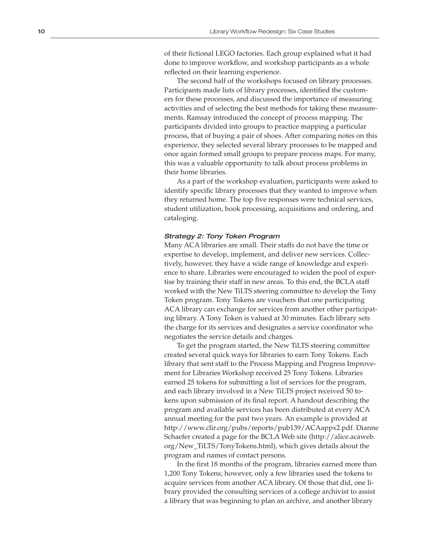of their fictional LEGO factories. Each group explained what it had done to improve workflow, and workshop participants as a whole reflected on their learning experience.

The second half of the workshops focused on library processes. Participants made lists of library processes, identified the custom ers for these processes, and discussed the importance of measuring activities and of selecting the best methods for taking these measur e ments. Ramsay introduced the concept of process mapping. The participants divided into groups to practice mapping a particular process, that of buying a pair of shoes. After comparing notes on this experience, they selected several library processes to be mapped and once again formed small groups to prepare process maps. For many, this was a valuable opportunity to talk about process problems in their home libraries.

As a part of the workshop evaluation, participants were asked to identify specific library processes that they wanted to improve when they returned home. The top five responses were technical services, student utilization, book processing, acquisitions and ordering, and cataloging.

### Strategy 2: Tony Token Program

Many ACA libraries are small. Their staffs do not have the time or expertise to develop, implement, and deliver new services. Collec tively, however, they have a wide range of knowledge and experi ence to share. Libraries were encouraged to widen the pool of exper tise by training their staff in new areas. To this end, the BCLA staff worked with the New TiLTS steering committee to develop the Tony Token program. Tony Tokens are vouchers that one participating ACA library can exchange for services from another other participat ing library. A Tony Token is valued at 30 minutes. Each library sets the charge for its services and designates a service coordinator who negotiates the service details and charges.

To get the program started, the New TiLTS steering committee created several quick ways for libraries to earn Tony Tokens. Each library that sent staff to the Process Mapping and Progress Improve ment for Libraries Workshop received 25 Tony Tokens. Libraries earned 25 tokens for submitting a list of services for the program, and each library involved in a New TiLTS project received 50 to kens upon submission of its final report. A handout describing the program and available services has been distributed at every ACA annual meeting for the past two years. An example is provided at http://www.clir.org/pubs/reports/pub139/ACAappx2.pdf. Dianne Schaefer created a page for the BCLA Web site (http://alice.acaweb. org/New\_TiLTS/TonyTokens.html), which gives details about the program and names of contact persons.

In the first 18 months of the program, libraries earned more than 1,200 Tony Tokens; however, only a few libraries used the tokens to acquire services from another ACA library. Of those that did, one li brary provided the consulting services of a college archivist to assist a library that was beginning to plan an archive, and another library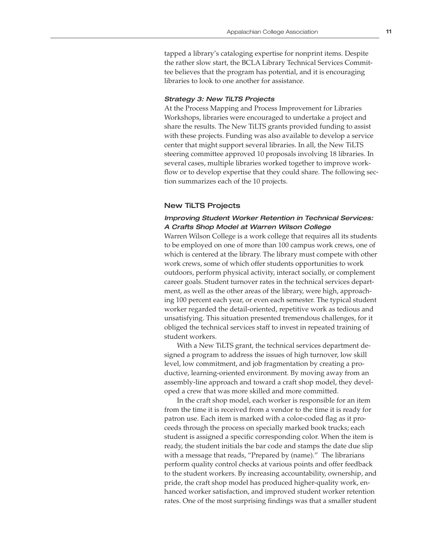tapped a library's cataloging expertise for nonprint items. Despite the rather slow start, the BCLA Library Technical Services Committee believes that the program has potential, and it is encouraging libraries to look to one another for assistance.

### Strategy 3: New TiLTS Projects

At the Process Mapping and Process Improvement for Libraries Workshops, libraries were encouraged to undertake a project and share the results. The New TiLTS grants provided funding to assist with these projects. Funding was also available to develop a service center that might support several libraries. In all, the New TiLTS steering committee approved 10 proposals involving 18 libraries. In several cases, multiple libraries worked together to improve workflow or to develop expertise that they could share. The following section summarizes each of the 10 projects.

### New TiLTS Projects

### Improving Student Worker Retention in Technical Services: A Crafts Shop Model at Warren Wilson College

Warren Wilson College is a work college that requires all its students to be employed on one of more than 100 campus work crews, one of which is centered at the library. The library must compete with other work crews, some of which offer students opportunities to work outdoors, perform physical activity, interact socially, or complement career goals. Student turnover rates in the technical services department, as well as the other areas of the library, were high, approaching 100 percent each year, or even each semester. The typical student worker regarded the detail-oriented, repetitive work as tedious and unsatisfying. This situation presented tremendous challenges, for it obliged the technical services staff to invest in repeated training of student workers.

With a New TiLTS grant, the technical services department designed a program to address the issues of high turnover, low skill level, low commitment, and job fragmentation by creating a productive, learning-oriented environment. By moving away from an assembly-line approach and toward a craft shop model, they developed a crew that was more skilled and more committed.

In the craft shop model, each worker is responsible for an item from the time it is received from a vendor to the time it is ready for patron use. Each item is marked with a color-coded flag as it proceeds through the process on specially marked book trucks; each student is assigned a specific corresponding color. When the item is ready, the student initials the bar code and stamps the date due slip with a message that reads, "Prepared by (name)." The librarians perform quality control checks at various points and offer feedback to the student workers. By increasing accountability, ownership, and pride, the craft shop model has produced higher-quality work, enhanced worker satisfaction, and improved student worker retention rates. One of the most surprising findings was that a smaller student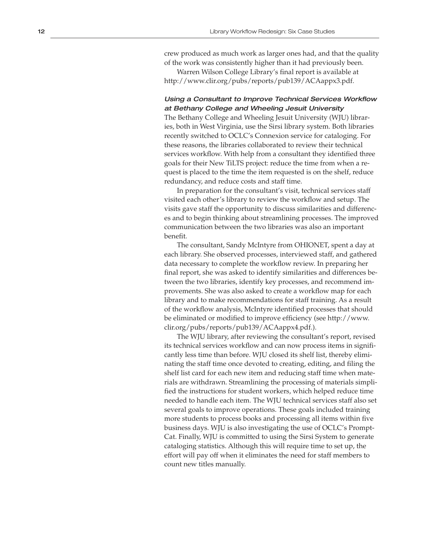crew produced as much work as larger ones had, and that the quality of the work was consistently higher than it had previously been.

Warren Wilson College Library's final report is available at http://www.clir.org/pubs/reports/pub139/ACAappx3.pdf.

### Using a Consultant to Improve Technical Services Workflow at Bethany College and Wheeling Jesuit University

The Bethany College and Wheeling Jesuit University (WJU) librar ies, both in West Virginia, use the Sirsi library system. Both libraries recently switched to OCLC's Connexion service for cataloging. For these reasons, the libraries collaborated to review their technical services workflow. With help from a consultant they identified three goals for their New TiLTS project: reduce the time from when a re quest is placed to the time the item requested is on the shelf, reduce redundancy, and reduce costs and staff time.

In preparation for the consultant's visit, technical services staff visited each other's library to review the workflow and setup. The visits gave staff the opportunity to discuss similarities and differenc es and to begin thinking about streamlining processes. The improved communication between the two libraries was also an important benefit.

The consultant, Sandy McIntyre from OHIONET, spent a day at each library. She observed processes, interviewed staff, and gathered data necessary to complete the workflow review. In preparing her final report, she was asked to identify similarities and differences be tween the two libraries, identify key processes, and recommend im provements. She was also asked to create a workflow map for each library and to make recommendations for staff training. As a result of the workflow analysis, McIntyre identified processes that should be eliminated or modified to improve efficiency (see http://www. clir.org/pubs/reports/pub139/ACAappx4.pdf.).

The WJU library, after reviewing the consultant's report, revised its technical services workflow and can now process items in signifi cantly less time than before. WJU closed its shelf list, thereby elimi nating the staff time once devoted to creating, editing, and filing the shelf list card for each new item and reducing staff time when mate rials are withdrawn. Streamlining the processing of materials simpli fied the instructions for student workers, which helped reduce time needed to handle each item. The WJU technical services staff also set several goals to improve operations. These goals included training more students to process books and processing all items within five business days. WJU is also investigating the use of OCLC's Prompt - Cat. Finally, WJU is committed to using the Sirsi System to generate cataloging statistics. Although this will require time to set up, the effort will pay off when it eliminates the need for staff members to count new titles manually.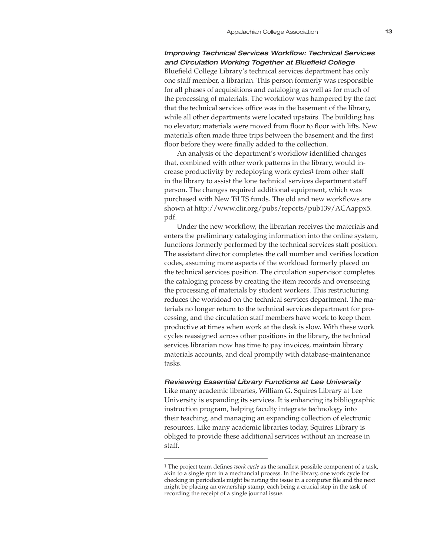### Improving Technical Services Workflow: Technical Services and Circulation Working Together at Bluefield College

Bluefield College Library's technical services department has only one staff member, a librarian. This person formerly was responsible for all phases of acquisitions and cataloging as well as for much of the processing of materials. The workflow was hampered by the fact that the technical services office was in the basement of the library, while all other departments were located upstairs. The building has no elevator; materials were moved from floor to floor with lifts. New materials often made three trips between the basement and the first floor before they were finally added to the collection.

An analysis of the department's workflow identified changes that, combined with other work patterns in the library, would increase productivity by redeploying work cycles1 from other staff in the library to assist the lone technical services department staff person. The changes required additional equipment, which was purchased with New TiLTS funds. The old and new workflows are shown at http://www.clir.org/pubs/reports/pub139/ACAappx5. pdf.

Under the new workflow, the librarian receives the materials and enters the preliminary cataloging information into the online system, functions formerly performed by the technical services staff position. The assistant director completes the call number and verifies location codes, assuming more aspects of the workload formerly placed on the technical services position. The circulation supervisor completes the cataloging process by creating the item records and overseeing the processing of materials by student workers. This restructuring reduces the workload on the technical services department. The materials no longer return to the technical services department for processing, and the circulation staff members have work to keep them productive at times when work at the desk is slow. With these work cycles reassigned across other positions in the library, the technical services librarian now has time to pay invoices, maintain library materials accounts, and deal promptly with database-maintenance tasks.

### Reviewing Essential Library Functions at Lee University

Like many academic libraries, William G. Squires Library at Lee University is expanding its services. It is enhancing its bibliographic instruction program, helping faculty integrate technology into their teaching, and managing an expanding collection of electronic resources. Like many academic libraries today, Squires Library is obliged to provide these additional services without an increase in staff.

<sup>1</sup> The project team defines *work cycle* as the smallest possible component of a task, akin to a single rpm in a mechancial process. In the library, one work cycle for checking in periodicals might be noting the issue in a computer file and the next might be placing an ownership stamp, each being a crucial step in the task of recording the receipt of a single journal issue.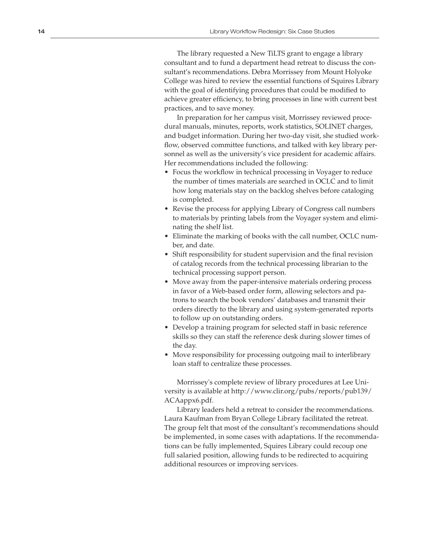The library requested a New TiLTS grant to engage a library consultant and to fund a department head retreat to discuss the con sultant's recommendations. Debra Morrissey from Mount Holyoke College was hired to review the essential functions of Squires Library with the goal of identifying procedures that could be modified to achieve greater efficiency, to bring processes in line with current best practices, and to save money.

In preparation for her campus visit, Morrissey reviewed proce dural manuals, minutes, reports, work statistics, SOLINET charges, and budget information. During her two-day visit, she studied work flow, observed committee functions, and talked with key library per sonnel as well as the university's vice president for academic affairs. Her recommendations included the following:

- Focus the workflow in technical processing in Voyager to reduce the number of times materials are searched in OCLC and to limit how long materials stay on the backlog shelves before cataloging is completed.
- Revise the process for applying Library of Congress call numbers to materials by printing labels from the Voyager system and elimi nating the shelf list.
- Eliminate the marking of books with the call number, OCLC num ber, and date.
- Shift responsibility for student supervision and the final revision of catalog records from the technical processing librarian to the technical processing support person.
- Move away from the paper-intensive materials ordering process in favor of a Web-based order form, allowing selectors and pa trons to search the book vendors' databases and transmit their orders directly to the library and using system-generated reports to follow up on outstanding orders.
- Develop a training program for selected staff in basic reference skills so they can staff the reference desk during slower times of the day.
- Move responsibility for processing outgoing mail to interlibrary loan staff to centralize these processes.

Morrissey's complete review of library procedures at Lee Uni versity is available at http://www.clir.org/pubs/reports/pub139/ ACAappx6.pdf.

Library leaders held a retreat to consider the recommendations. Laura Kaufman from Bryan College Library facilitated the retreat. The group felt that most of the consultant's recommendations should be implemented, in some cases with adaptations. If the recommenda tions can be fully implemented, Squires Library could recoup one full salaried position, allowing funds to be redirected to acquiring additional resources or improving services.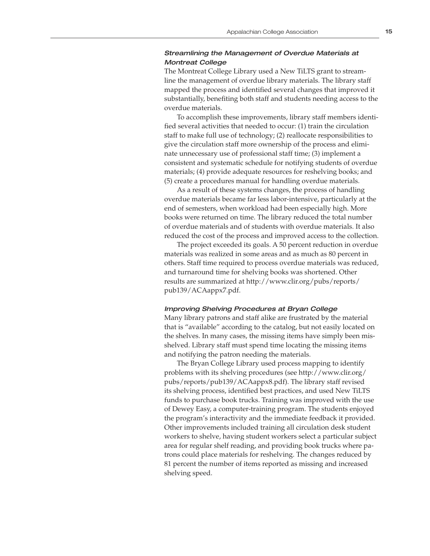### Streamlining the Management of Overdue Materials at Montreat College

The Montreat College Library used a New TiLTS grant to streamline the management of overdue library materials. The library staff mapped the process and identified several changes that improved it substantially, benefiting both staff and students needing access to the overdue materials.

To accomplish these improvements, library staff members identified several activities that needed to occur: (1) train the circulation staff to make full use of technology; (2) reallocate responsibilities to give the circulation staff more ownership of the process and eliminate unnecessary use of professional staff time; (3) implement a consistent and systematic schedule for notifying students of overdue materials; (4) provide adequate resources for reshelving books; and (5) create a procedures manual for handling overdue materials.

As a result of these systems changes, the process of handling overdue materials became far less labor-intensive, particularly at the end of semesters, when workload had been especially high. More books were returned on time. The library reduced the total number of overdue materials and of students with overdue materials. It also reduced the cost of the process and improved access to the collection.

The project exceeded its goals. A 50 percent reduction in overdue materials was realized in some areas and as much as 80 percent in others. Staff time required to process overdue materials was reduced, and turnaround time for shelving books was shortened. Other results are summarized at http://www.clir.org/pubs/reports/ pub139/ACAappx7.pdf.

#### Improving Shelving Procedures at Bryan College

Many library patrons and staff alike are frustrated by the material that is "available" according to the catalog, but not easily located on the shelves. In many cases, the missing items have simply been misshelved. Library staff must spend time locating the missing items and notifying the patron needing the materials.

The Bryan College Library used process mapping to identify problems with its shelving procedures (see http://www.clir.org/ pubs/reports/pub139/ACAappx8.pdf). The library staff revised its shelving process, identified best practices, and used New TiLTS funds to purchase book trucks. Training was improved with the use of Dewey Easy, a computer-training program. The students enjoyed the program's interactivity and the immediate feedback it provided. Other improvements included training all circulation desk student workers to shelve, having student workers select a particular subject area for regular shelf reading, and providing book trucks where patrons could place materials for reshelving. The changes reduced by 81 percent the number of items reported as missing and increased shelving speed.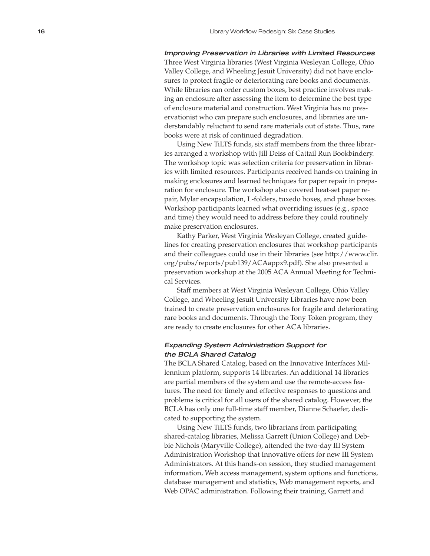Improving Preservation in Libraries with Limited Resources Three West Virginia libraries (West Virginia Wesleyan College, Ohio Valley College, and Wheeling Jesuit University) did not have enclo sures to protect fragile or deteriorating rare books and documents. While libraries can order custom boxes, best practice involves mak ing an enclosure after assessing the item to determine the best type of enclosure material and construction. West Virginia has no pres ervationist who can prepare such enclosures, and libraries are un derstandably reluctant to send rare materials out of state. Thus, rare books were at risk of continued degradation.

Using New TiLTS funds, six staff members from the three librar ies arranged a workshop with Jill Deiss of Cattail Run Bookbindery. The workshop topic was selection criteria for preservation in librar ies with limited resources. Participants received hands-on training in making enclosures and learned techniques for paper repair in prepa ration for enclosure. The workshop also covered heat-set paper re pair, Mylar encapsulation, L-folders, tuxedo boxes, and phase boxes. Workshop participants learned what overriding issues (e.g., space and time) they would need to address before they could routinely make preservation enclosures.

Kathy Parker, West Virginia Wesleyan College, created guide lines for creating preservation enclosures that workshop participants and their colleagues could use in their libraries (see http://www.clir. org/pubs/reports/pub139/ACAappx9.pdf). She also presented a preservation workshop at the 2005 ACA Annual Meeting for Techni cal Services.

Staff members at West Virginia Wesleyan College, Ohio Valley College, and Wheeling Jesuit University Libraries have now been trained to create preservation enclosures for fragile and deteriorating rare books and documents. Through the Tony Token program, they are ready to create enclosures for other ACA libraries.

### Expanding System Administration Support for the BCLA Shared Catalog

The BCLA Shared Catalog, based on the Innovative Interfaces Mil lennium platform, supports 14 libraries. An additional 14 libraries are partial members of the system and use the remote-access fea tures. The need for timely and effective responses to questions and problems is critical for all users of the shared catalog. However, the BCLA has only one full-time staff member, Dianne Schaefer, dedi cated to supporting the system.

Using New TiLTS funds, two librarians from participating shared-catalog libraries, Melissa Garrett (Union College) and Deb bie Nichols (Maryville College), attended the two-day III System Administration Workshop that Innovative offers for new III System Administrators. At this hands-on session, they studied management information, Web access management, system options and functions, database management and statistics, Web management reports, and Web OPAC administration. Following their training, Garrett and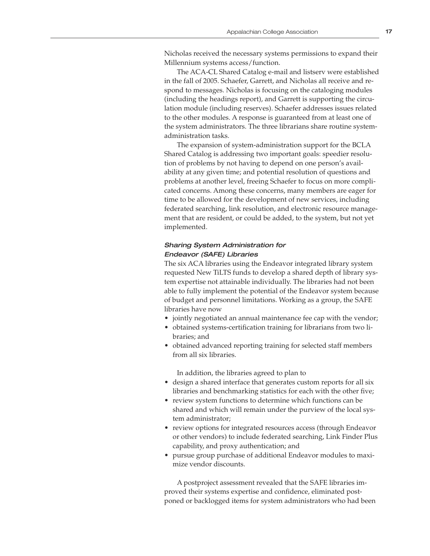Nicholas received the necessary systems permissions to expand their Millennium systems access/function.

The ACA-CL Shared Catalog e-mail and listserv were established in the fall of 2005. Schaefer, Garrett, and Nicholas all receive and respond to messages. Nicholas is focusing on the cataloging modules (including the headings report), and Garrett is supporting the circulation module (including reserves). Schaefer addresses issues related to the other modules. A response is guaranteed from at least one of the system administrators. The three librarians share routine systemadministration tasks.

The expansion of system-administration support for the BCLA Shared Catalog is addressing two important goals: speedier resolution of problems by not having to depend on one person's availability at any given time; and potential resolution of questions and problems at another level, freeing Schaefer to focus on more complicated concerns. Among these concerns, many members are eager for time to be allowed for the development of new services, including federated searching, link resolution, and electronic resource management that are resident, or could be added, to the system, but not yet implemented.

### Sharing System Administration for Endeavor (SAFE) Libraries

The six ACA libraries using the Endeavor integrated library system requested New TiLTS funds to develop a shared depth of library system expertise not attainable individually. The libraries had not been able to fully implement the potential of the Endeavor system because of budget and personnel limitations. Working as a group, the SAFE libraries have now

- jointly negotiated an annual maintenance fee cap with the vendor;
- obtained systems-certification training for librarians from two libraries; and
- obtained advanced reporting training for selected staff members from all six libraries.

In addition, the libraries agreed to plan to

- design a shared interface that generates custom reports for all six libraries and benchmarking statistics for each with the other five;
- review system functions to determine which functions can be shared and which will remain under the purview of the local system administrator;
- review options for integrated resources access (through Endeavor or other vendors) to include federated searching, Link Finder Plus capability, and proxy authentication; and
- pursue group purchase of additional Endeavor modules to maximize vendor discounts.

A postproject assessment revealed that the SAFE libraries improved their systems expertise and confidence, eliminated postponed or backlogged items for system administrators who had been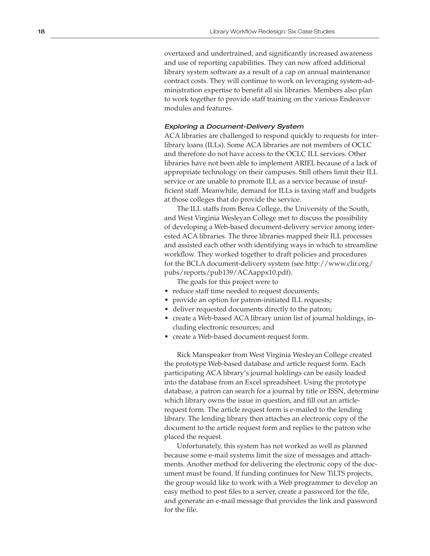overtaxed and undertrained, and significantly increased awareness and use of reporting capabilities. They can now afford additional library system software as a result of a cap on annual maintenance contract costs. They will continue to work on leveraging system-ad ministration expertise to benefit all six libraries. Members also plan to work together to provide staff training on the various Endeavor modules and features.

### Exploring a Document-Delivery System

ACA libraries are challenged to respond quickly to requests for inter library loans (ILLs). Some ACA libraries are not members of OCLC and therefore do not have access to the OCLC ILL services. Other libraries have not been able to implement ARIEL because of a lack of appropriate technology on their campuses. Still others limit their ILL service or are unable to promote ILL as a service because of insuf ficient staff. Meanwhile, demand for ILLs is taxing staff and budgets at those colleges that do provide the service.

The ILL staffs from Berea College, the University of the South, and West Virginia Wesleyan College met to discuss the possibility of developing a Web-based document-delivery service among inter ested ACA libraries. The three libraries mapped their ILL processes and assisted each other with identifying ways in which to streamline workflow. They worked together to draft policies and procedures for the BCLA document-delivery system (see http://www.clir.org/ pubs/reports/pub139/ACAappx10.pdf).

The goals for this project were to

- reduce staff time needed to request documents;
- provide an option for patron-initiated ILL requests;
- deliver requested documents directly to the patron;
- create a Web-based ACA library union list of journal holdings, including electronic resources; and
- create a Web-based document-request form.

Rick Manspeaker from West Virginia Wesleyan College created the prototype Web-based database and article request form. Each participating ACA library's journal holdings can be easily loaded into the database from an Excel spreadsheet. Using the prototype database, a patron can search for a journal by title or ISSN, determine which library owns the issue in question, and fill out an articlerequest form. The article request form is e-mailed to the lending library. The lending library then attaches an electronic copy of the document to the article request form and replies to the patron who placed the request.

Unfortunately, this system has not worked as well as planned because some e-mail systems limit the size of messages and attach ments. Another method for delivering the electronic copy of the doc ument must be found. If funding continues for New TiLTS projects, the group would like to work with a Web programmer to develop an easy method to post files to a server, create a password for the file, and generate an e-mail message that provides the link and password for the file.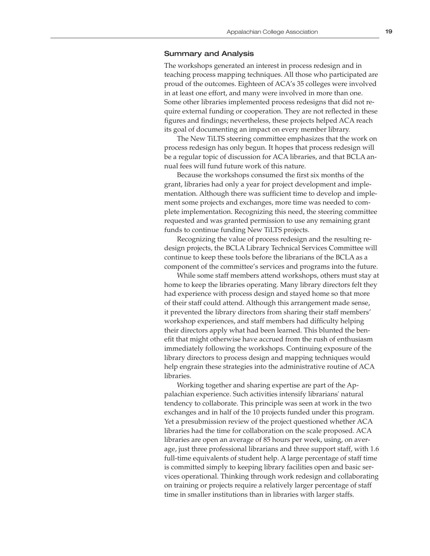### Summary and Analysis

The workshops generated an interest in process redesign and in teaching process mapping techniques. All those who participated are proud of the outcomes. Eighteen of ACA's 35 colleges were involved in at least one effort, and many were involved in more than one. Some other libraries implemented process redesigns that did not require external funding or cooperation. They are not reflected in these figures and findings; nevertheless, these projects helped ACA reach its goal of documenting an impact on every member library.

The New TiLTS steering committee emphasizes that the work on process redesign has only begun. It hopes that process redesign will be a regular topic of discussion for ACA libraries, and that BCLA annual fees will fund future work of this nature.

Because the workshops consumed the first six months of the grant, libraries had only a year for project development and implementation. Although there was sufficient time to develop and implement some projects and exchanges, more time was needed to complete implementation. Recognizing this need, the steering committee requested and was granted permission to use any remaining grant funds to continue funding New TiLTS projects.

Recognizing the value of process redesign and the resulting redesign projects, the BCLA Library Technical Services Committee will continue to keep these tools before the librarians of the BCLA as a component of the committee's services and programs into the future.

While some staff members attend workshops, others must stay at home to keep the libraries operating. Many library directors felt they had experience with process design and stayed home so that more of their staff could attend. Although this arrangement made sense, it prevented the library directors from sharing their staff members' workshop experiences, and staff members had difficulty helping their directors apply what had been learned. This blunted the benefit that might otherwise have accrued from the rush of enthusiasm immediately following the workshops. Continuing exposure of the library directors to process design and mapping techniques would help engrain these strategies into the administrative routine of ACA libraries.

Working together and sharing expertise are part of the Appalachian experience. Such activities intensify librarians' natural tendency to collaborate. This principle was seen at work in the two exchanges and in half of the 10 projects funded under this program. Yet a presubmission review of the project questioned whether ACA libraries had the time for collaboration on the scale proposed. ACA libraries are open an average of 85 hours per week, using, on average, just three professional librarians and three support staff, with 1.6 full-time equivalents of student help. A large percentage of staff time is committed simply to keeping library facilities open and basic services operational. Thinking through work redesign and collaborating on training or projects require a relatively larger percentage of staff time in smaller institutions than in libraries with larger staffs.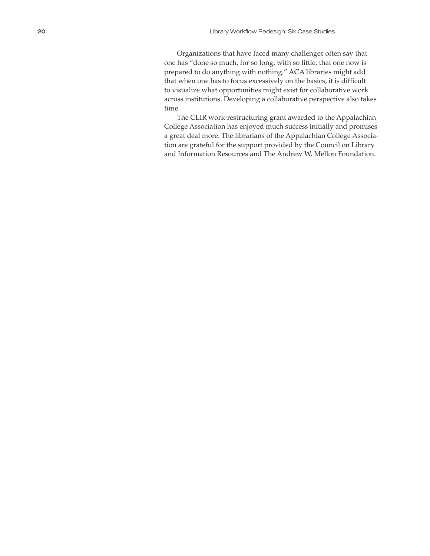Organizations that have faced many challenges often say that one has "done so much, for so long, with so little, that one now is prepared to do anything with nothing." ACA libraries might add that when one has to focus excessively on the basics, it is difficult to visualize what opportunities might exist for collaborative work across institutions. Developing a collaborative perspective also takes time.

The CLIR work-restructuring grant awarded to the Appalachian College Association has enjoyed much success initially and promises a great deal more. The librarians of the Appalachian College Associa tion are grateful for the support provided by the Council on Library and Information Resources and The Andrew W. Mellon Foundation.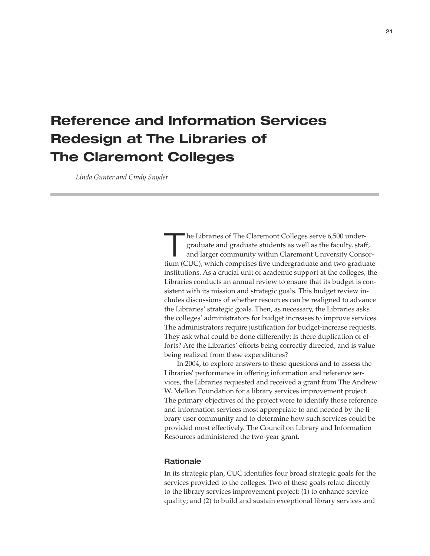### **Reference and Information Services Redesign at The Libraries of The Claremont Colleges**

 *Linda Gunter and Cindy Snyder*

The Libraries of The Claremont Colleges serve 6,500 under-<br>
graduate and graduate students as well as the faculty, staff,<br>
and larger community within Claremont University Consor-<br>
time (CUC) which requests the sum depende graduate and graduate students as well as the faculty, staff, tium (CUC), which comprises five undergraduate and two graduate institutions. As a crucial unit of academic support at the colleges, the Libraries conducts an annual review to ensure that its budget is consistent with its mission and strategic goals. This budget review includes discussions of whether resources can be realigned to advance the Libraries' strategic goals. Then, as necessary, the Libraries asks the colleges' administrators for budget increases to improve services. The administrators require justification for budget-increase requests. They ask what could be done differently: Is there duplication of efforts? Are the Libraries' efforts being correctly directed, and is value being realized from these expenditures?

In 2004, to explore answers to these questions and to assess the Libraries' performance in offering information and reference services, the Libraries requested and received a grant from The Andrew W. Mellon Foundation for a library services improvement project. The primary objectives of the project were to identify those reference and information services most appropriate to and needed by the library user community and to determine how such services could be provided most effectively. The Council on Library and Information Resources administered the two-year grant.

### **Rationale**

In its strategic plan, CUC identifies four broad strategic goals for the services provided to the colleges. Two of these goals relate directly to the library services improvement project: (1) to enhance service quality; and (2) to build and sustain exceptional library services and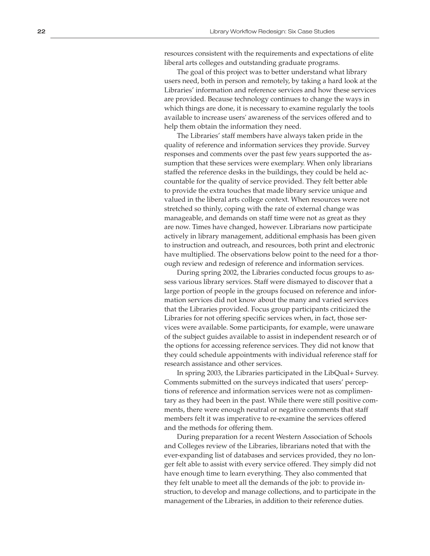resources consistent with the requirements and expectations of elite liberal arts colleges and outstanding graduate programs.

The goal of this project was to better understand what library users need, both in person and remotely, by taking a hard look at the Libraries' information and reference services and how these services are provided. Because technology continues to change the ways in which things are done, it is necessary to examine regularly the tools available to increase users' awareness of the services offered and to help them obtain the information they need.

The Libraries' staff members have always taken pride in the quality of reference and information services they provide. Survey responses and comments over the past few years supported the as sumption that these services were exemplary. When only librarians staffed the reference desks in the buildings, they could be held ac countable for the quality of service provided. They felt better able to provide the extra touches that made library service unique and valued in the liberal arts college context. When resources were not stretched so thinly, coping with the rate of external change was manageable, and demands on staff time were not as great as they are now. Times have changed, however. Librarians now participate actively in library management, additional emphasis has been given to instruction and outreach, and resources, both print and electronic have multiplied. The observations below point to the need for a thor ough review and redesign of reference and information services.

During spring 2002, the Libraries conducted focus groups to as sess various library services. Staff were dismayed to discover that a large portion of people in the groups focused on reference and infor mation services did not know about the many and varied services that the Libraries provided. Focus group participants criticized the Libraries for not offering specific services when, in fact, those ser vices were available. Some participants, for example, were unaware of the subject guides available to assist in independent research or of the options for accessing reference services. They did not know that they could schedule appointments with individual reference staff for research assistance and other services.

In spring 2003, the Libraries participated in the LibQual+ Survey. Comments submitted on the surveys indicated that users' percep tions of reference and information services were not as complimen tary as they had been in the past. While there were still positive com ments, there were enough neutral or negative comments that staff members felt it was imperative to re-examine the services offered and the methods for offering them.

During preparation for a recent Western Association of Schools and Colleges review of the Libraries, librarians noted that with the ever-expanding list of databases and services provided, they no lon ger felt able to assist with every service offered. They simply did not have enough time to learn everything. They also commented that they felt unable to meet all the demands of the job: to provide in struction, to develop and manage collections, and to participate in the management of the Libraries, in addition to their reference duties.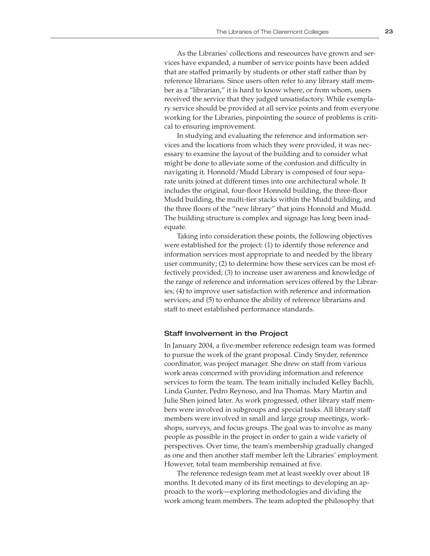As the Libraries' collections and reseources have grown and services have expanded, a number of service points have been added that are staffed primarily by students or other staff rather than by reference librarians. Since users often refer to any library staff member as a "librarian," it is hard to know where, or from whom, users received the service that they judged unsatisfactory. While exemplary service should be provided at all service points and from everyone working for the Libraries, pinpointing the source of problems is critical to ensuring improvement.

In studying and evaluating the reference and information services and the locations from which they were provided, it was necessary to examine the layout of the building and to consider what might be done to alleviate some of the confusion and difficulty in navigating it. Honnold/Mudd Library is composed of four separate units joined at different times into one architectural whole. It includes the original, four-floor Honnold building, the three-floor Mudd building, the multi-tier stacks within the Mudd building, and the three floors of the "new library" that joins Honnold and Mudd. The building structure is complex and signage has long been inadequate.

Taking into consideration these points, the following objectives were established for the project: (1) to identify those reference and information services most appropriate to and needed by the library user community; (2) to determine how these services can be most effectively provided; (3) to increase user awareness and knowledge of the range of reference and information services offered by the Libraries; (4) to improve user satisfaction with reference and information services; and (5) to enhance the ability of reference librarians and staff to meet established performance standards.

### Staff Involvement in the Project

In January 2004, a five-member reference redesign team was formed to pursue the work of the grant proposal. Cindy Snyder, reference coordinator, was project manager. She drew on staff from various work areas concerned with providing information and reference services to form the team. The team initially included Kelley Bachli, Linda Gunter, Pedro Reynoso, and Ina Thomas. Mary Martin and Julie Shen joined later. As work progressed, other library staff members were involved in subgroups and special tasks. All library staff members were involved in small and large group meetings, workshops, surveys, and focus groups. The goal was to involve as many people as possible in the project in order to gain a wide variety of perspectives. Over time, the team's membership gradually changed as one and then another staff member left the Libraries' employment. However, total team membership remained at five.

The reference redesign team met at least weekly over about 18 months. It devoted many of its first meetings to developing an approach to the work—exploring methodologies and dividing the work among team members. The team adopted the philosophy that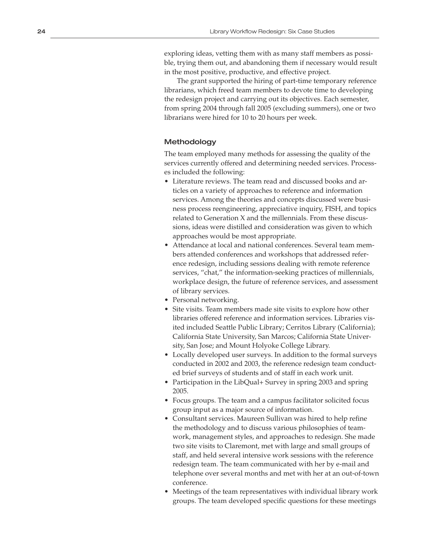exploring ideas, vetting them with as many staff members as possi ble, trying them out, and abandoning them if necessary would result in the most positive, productive, and effective project.

The grant supported the hiring of part-time temporary reference librarians, which freed team members to devote time to developing the redesign project and carrying out its objectives. Each semester, from spring 2004 through fall 2005 (excluding summers), one or two librarians were hired for 10 to 20 hours per week.

### Methodology

The team employed many methods for assessing the quality of the services currently offered and determining needed services. Processes included the following:

- Literature reviews. The team read and discussed books and ar ticles on a variety of approaches to reference and information services. Among the theories and concepts discussed were busi ness process reengineering, appreciative inquiry, FISH, and topics related to Generation X and the millennials. From these discus sions, ideas were distilled and consideration was given to which approaches would be most appropriate.
- Attendance at local and national conferences. Several team mem bers attended conferences and workshops that addressed refer ence redesign, including sessions dealing with remote reference services, "chat," the information-seeking practices of millennials, workplace design, the future of reference services, and assessment of library services.
- Personal networking.
- Site visits. Team members made site visits to explore how other libraries offered reference and information services. Libraries vis ited included Seattle Public Library; Cerritos Library (California); California State University, San Marcos; California State Univer sity, San Jose; and Mount Holyoke College Library.
- Locally developed user surveys. In addition to the formal surveys conducted in 2002 and 2003, the reference redesign team conduct ed brief surveys of students and of staff in each work unit.
- Participation in the LibQual+ Survey in spring 2003 and spring 2005.
- Focus groups. The team and a campus facilitator solicited focus group input as a major source of information.
- Consultant services. Maureen Sullivan was hired to help refine the methodology and to discuss various philosophies of team work, management styles, and approaches to redesign. She made two site visits to Claremont, met with large and small groups of staff, and held several intensive work sessions with the reference redesign team. The team communicated with her by e-mail and telephone over several months and met with her at an out-of-town conference.
- Meetings of the team representatives with individual library work groups. The team developed specific questions for these meetings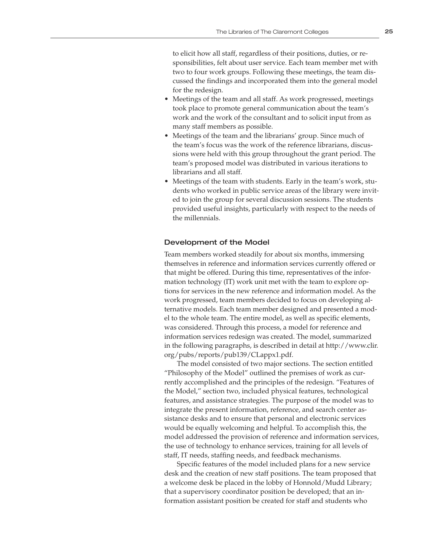to elicit how all staff, regardless of their positions, duties, or responsibilities, felt about user service. Each team member met with two to four work groups. Following these meetings, the team discussed the findings and incorporated them into the general model for the redesign.

- Meetings of the team and all staff. As work progressed, meetings took place to promote general communication about the team's work and the work of the consultant and to solicit input from as many staff members as possible.
- Meetings of the team and the librarians' group. Since much of the team's focus was the work of the reference librarians, discussions were held with this group throughout the grant period. The team's proposed model was distributed in various iterations to librarians and all staff.
- Meetings of the team with students. Early in the team's work, students who worked in public service areas of the library were invited to join the group for several discussion sessions. The students provided useful insights, particularly with respect to the needs of the millennials.

### Development of the Model

Team members worked steadily for about six months, immersing themselves in reference and information services currently offered or that might be offered. During this time, representatives of the information technology (IT) work unit met with the team to explore options for services in the new reference and information model. As the work progressed, team members decided to focus on developing alternative models. Each team member designed and presented a model to the whole team. The entire model, as well as specific elements, was considered. Through this process, a model for reference and information services redesign was created. The model, summarized in the following paragraphs, is described in detail at http://www.clir. org/pubs/reports/pub139/CLappx1.pdf.

The model consisted of two major sections. The section entitled "Philosophy of the Model" outlined the premises of work as currently accomplished and the principles of the redesign. "Features of the Model," section two, included physical features, technological features, and assistance strategies. The purpose of the model was to integrate the present information, reference, and search center assistance desks and to ensure that personal and electronic services would be equally welcoming and helpful. To accomplish this, the model addressed the provision of reference and information services, the use of technology to enhance services, training for all levels of staff, IT needs, staffing needs, and feedback mechanisms.

Specific features of the model included plans for a new service desk and the creation of new staff positions. The team proposed that a welcome desk be placed in the lobby of Honnold/Mudd Library; that a supervisory coordinator position be developed; that an information assistant position be created for staff and students who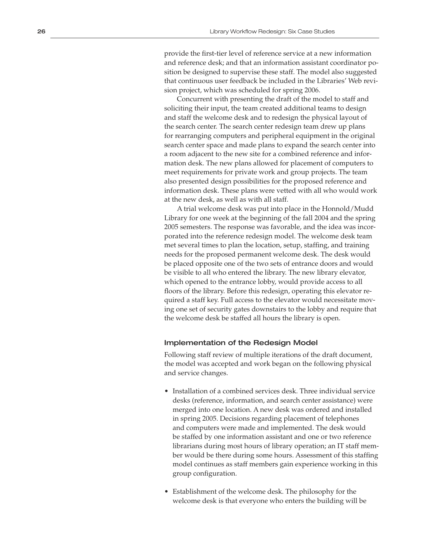provide the first-tier level of reference service at a new information and reference desk; and that an information assistant coordinator po sition be designed to supervise these staff. The model also suggested that continuous user feedback be included in the Libraries' Web revi sion project, which was scheduled for spring 2006.

Concurrent with presenting the draft of the model to staff and soliciting their input, the team created additional teams to design and staff the welcome desk and to redesign the physical layout of the search center. The search center redesign team drew up plans for rearranging computers and peripheral equipment in the original search center space and made plans to expand the search center into a room adjacent to the new site for a combined reference and infor mation desk. The new plans allowed for placement of computers to meet requirements for private work and group projects. The team also presented design possibilities for the proposed reference and information desk. These plans were vetted with all who would work at the new desk, as well as with all staff.

A trial welcome desk was put into place in the Honnold/Mudd Library for one week at the beginning of the fall 2004 and the spring 2005 semesters. The response was favorable, and the idea was incor porated into the reference redesign model. The welcome desk team met several times to plan the location, setup, staffing, and training needs for the proposed permanent welcome desk. The desk would be placed opposite one of the two sets of entrance doors and would be visible to all who entered the library. The new library elevator, which opened to the entrance lobby, would provide access to all floors of the library. Before this redesign, operating this elevator required a staff key. Full access to the elevator would necessitate mov ing one set of security gates downstairs to the lobby and require that the welcome desk be staffed all hours the library is open.

### Implementation of the Redesign Model

Following staff review of multiple iterations of the draft document, the model was accepted and work began on the following physical and service changes.

- Installation of a combined services desk. Three individual service desks (reference, information, and search center assistance) were merged into one location. A new desk was ordered and installed in spring 2005. Decisions regarding placement of telephones and computers were made and implemented. The desk would be staffed by one information assistant and one or two reference librarians during most hours of library operation; an IT staff mem ber would be there during some hours. Assessment of this staffing model continues as staff members gain experience working in this group configuration.
- Establishment of the welcome desk. The philosophy for the welcome desk is that everyone who enters the building will be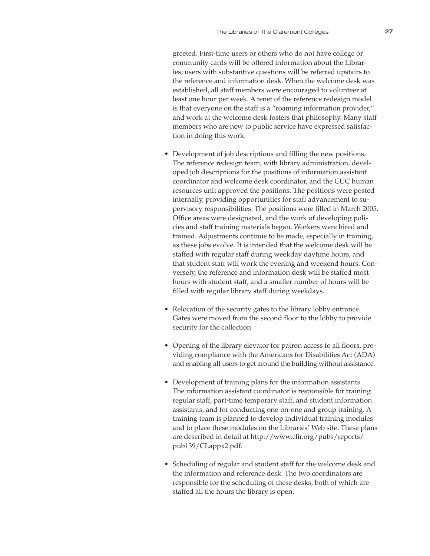greeted. First-time users or others who do not have college or community cards will be offered information about the Libraries; users with substantive questions will be referred upstairs to the reference and information desk. When the welcome desk was established, all staff members were encouraged to volunteer at least one hour per week. A tenet of the reference redesign model is that everyone on the staff is a "roaming information provider," and work at the welcome desk fosters that philosophy. Many staff members who are new to public service have expressed satisfaction in doing this work.

- Development of job descriptions and filling the new positions. The reference redesign team, with library administration, developed job descriptions for the positions of information assistant coordinator and welcome desk coordinator, and the CUC human resources unit approved the positions. The positions were posted internally, providing opportunities for staff advancement to supervisory responsibilities. The positions were filled in March 2005. Office areas were designated, and the work of developing policies and staff training materials began. Workers were hired and trained. Adjustments continue to be made, especially in training, as these jobs evolve. It is intended that the welcome desk will be staffed with regular staff during weekday daytime hours, and that student staff will work the evening and weekend hours. Conversely, the reference and information desk will be staffed most hours with student staff, and a smaller number of hours will be filled with regular library staff during weekdays.
- Relocation of the security gates to the library lobby entrance. Gates were moved from the second floor to the lobby to provide security for the collection.
- Opening of the library elevator for patron access to all floors, providing compliance with the Americans for Disabilities Act (ADA) and enabling all users to get around the building without assistance.
- Development of training plans for the information assistants. The information assistant coordinator is responsible for training regular staff, part-time temporary staff, and student information assistants, and for conducting one-on-one and group training. A training team is planned to develop individual training modules and to place these modules on the Libraries' Web site. These plans are described in detail at http://www.clir.org/pubs/reports/ pub139/CLappx2.pdf.
- Scheduling of regular and student staff for the welcome desk and the information and reference desk. The two coordinators are responsible for the scheduling of these desks, both of which are staffed all the hours the library is open.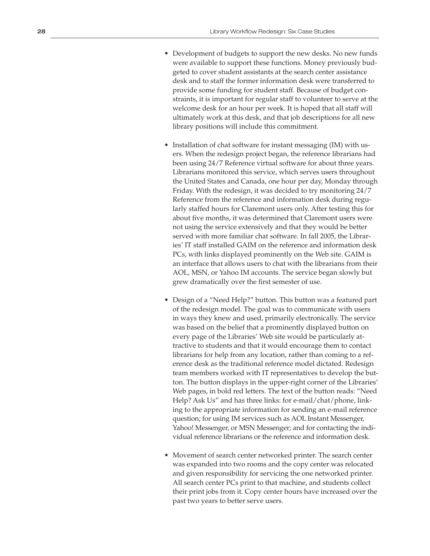- Development of budgets to support the new desks. No new funds were available to support these functions. Money previously bud geted to cover student assistants at the search center assistance desk and to staff the former information desk were transferred to provide some funding for student staff. Because of budget con straints, it is important for regular staff to volunteer to serve at the welcome desk for an hour per week. It is hoped that all staff will ultimately work at this desk, and that job descriptions for all new library positions will include this commitment.
- Installation of chat software for instant messaging (IM) with users. When the redesign project began, the reference librarians had been using 24/7 Reference virtual software for about three years. Librarians monitored this service, which serves users throughout the United States and Canada, one hour per day, Monday through Friday. With the redesign, it was decided to try monitoring 24/7 Reference from the reference and information desk during regu larly staffed hours for Claremont users only. After testing this for about five months, it was determined that Claremont users were not using the service extensively and that they would be better served with more familiar chat software. In fall 2005, the Librar ies' IT staff installed GAIM on the reference and information desk PCs, with links displayed prominently on the Web site. GAIM is an interface that allows users to chat with the librarians from their AOL, MSN, or Yahoo IM accounts. The service began slowly but grew dramatically over the first semester of use.
- Design of a "Need Help?" button. This button was a featured part of the redesign model. The goal was to communicate with users in ways they knew and used, primarily electronically. The service was based on the belief that a prominently displayed button on every page of the Libraries' Web site would be particularly at tractive to students and that it would encourage them to contact librarians for help from any location, rather than coming to a ref erence desk as the traditional reference model dictated. Redesign team members worked with IT representatives to develop the but ton. The button displays in the upper-right corner of the Libraries' Web pages, in bold red letters. The text of the button reads: "Need Help? Ask Us" and has three links: for e-mail/chat/phone, link ing to the appropriate information for sending an e-mail reference question; for using IM services such as AOL Instant Messenger, Yahoo! Messenger, or MSN Messenger; and for contacting the indi vidual reference librarians or the reference and information desk.
- Movement of search center networked printer. The search center was expanded into two rooms and the copy center was relocated and given responsibility for servicing the one networked printer. All search center PCs print to that machine, and students collect their print jobs from it. Copy center hours have increased over the past two years to better serve users.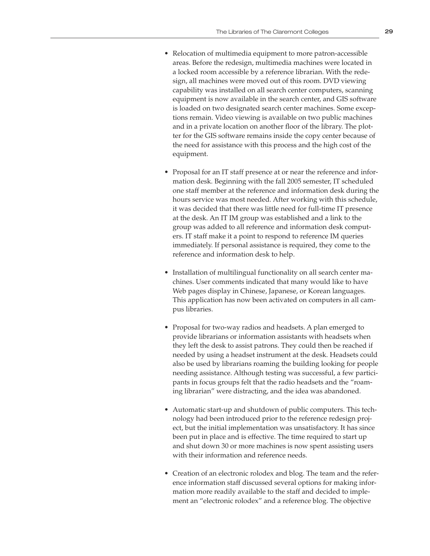- Relocation of multimedia equipment to more patron-accessible areas. Before the redesign, multimedia machines were located in a locked room accessible by a reference librarian. With the redesign, all machines were moved out of this room. DVD viewing capability was installed on all search center computers, scanning equipment is now available in the search center, and GIS software is loaded on two designated search center machines. Some exceptions remain. Video viewing is available on two public machines and in a private location on another floor of the library. The plotter for the GIS software remains inside the copy center because of the need for assistance with this process and the high cost of the equipment.
- Proposal for an IT staff presence at or near the reference and information desk. Beginning with the fall 2005 semester, IT scheduled one staff member at the reference and information desk during the hours service was most needed. After working with this schedule, it was decided that there was little need for full-time IT presence at the desk. An IT IM group was established and a link to the group was added to all reference and information desk computers. IT staff make it a point to respond to reference IM queries immediately. If personal assistance is required, they come to the reference and information desk to help.
- Installation of multilingual functionality on all search center machines. User comments indicated that many would like to have Web pages display in Chinese, Japanese, or Korean languages. This application has now been activated on computers in all campus libraries.
- Proposal for two-way radios and headsets. A plan emerged to provide librarians or information assistants with headsets when they left the desk to assist patrons. They could then be reached if needed by using a headset instrument at the desk. Headsets could also be used by librarians roaming the building looking for people needing assistance. Although testing was successful, a few participants in focus groups felt that the radio headsets and the "roaming librarian" were distracting, and the idea was abandoned.
- Automatic start-up and shutdown of public computers. This technology had been introduced prior to the reference redesign project, but the initial implementation was unsatisfactory. It has since been put in place and is effective. The time required to start up and shut down 30 or more machines is now spent assisting users with their information and reference needs.
- Creation of an electronic rolodex and blog. The team and the reference information staff discussed several options for making information more readily available to the staff and decided to implement an "electronic rolodex" and a reference blog. The objective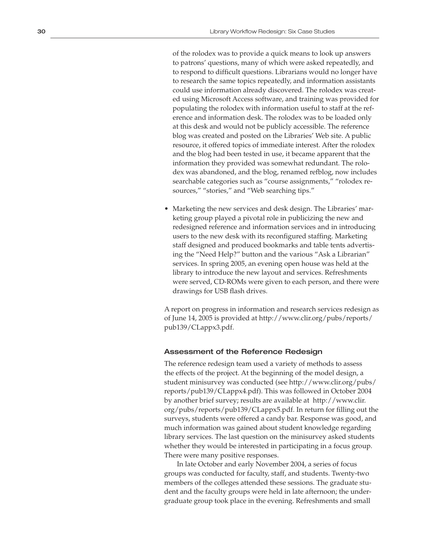of the rolodex was to provide a quick means to look up answers to patrons' questions, many of which were asked repeatedly, and to respond to difficult questions. Librarians would no longer have to research the same topics repeatedly, and information assistants could use information already discovered. The rolodex was creat ed using Microsoft Access software, and training was provided for populating the rolodex with information useful to staff at the ref erence and information desk. The rolodex was to be loaded only at this desk and would not be publicly accessible. The reference blog was created and posted on the Libraries' Web site. A public resource, it offered topics of immediate interest. After the rolodex and the blog had been tested in use, it became apparent that the information they provided was somewhat redundant. The rolo dex was abandoned, and the blog, renamed refblog, now includes searchable categories such as "course assignments," "rolodex re sources," "stories," and "Web searching tips."

• Marketing the new services and desk design. The Libraries' marketing group played a pivotal role in publicizing the new and redesigned reference and information services and in introducing users to the new desk with its reconfigured staffing. Marketing staff designed and produced bookmarks and table tents advertis ing the "Need Help?" button and the various "Ask a Librarian" services. In spring 2005, an evening open house was held at the library to introduce the new layout and services. Refreshments were served, CD-ROMs were given to each person, and there were drawings for USB flash drives.

A report on progress in information and research services redesign as of June 14, 2005 is provided at http://www.clir.org/pubs/reports/ pub139/CLappx3.pdf.

# Assessment of the Reference Redesign

The reference redesign team used a variety of methods to assess the effects of the project. At the beginning of the model design, a student minisurvey was conducted (see http://www.clir.org/pubs/ reports/pub139/CLappx4.pdf). This was followed in October 2004 by another brief survey; results are available at http://www.clir. org/pubs/reports/pub139/CLappx5.pdf. In return for filling out the surveys, students were offered a candy bar. Response was good, and much information was gained about student knowledge regarding library services. The last question on the minisurvey asked students whether they would be interested in participating in a focus group. There were many positive responses.

In late October and early November 2004, a series of focus groups was conducted for faculty, staff, and students. Twenty-two members of the colleges attended these sessions. The graduate stu dent and the faculty groups were held in late afternoon; the under graduate group took place in the evening. Refreshments and small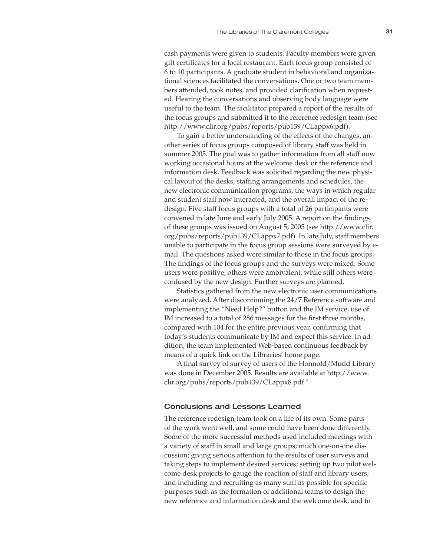cash payments were given to students. Faculty members were given gift certificates for a local restaurant. Each focus group consisted of 6 to 10 participants. A graduate student in behavioral and organizational sciences facilitated the conversations. One or two team members attended, took notes, and provided clarification when requested. Hearing the conversations and observing body language were useful to the team. The facilitator prepared a report of the results of the focus groups and submitted it to the reference redesign team (see http://www.clir.org/pubs/reports/pub139/CLappx6.pdf).

To gain a better understanding of the effects of the changes, another series of focus groups composed of library staff was held in summer 2005. The goal was to gather information from all staff now working occasional hours at the welcome desk or the reference and information desk. Feedback was solicited regarding the new physical layout of the desks, staffing arrangements and schedules, the new electronic communication programs, the ways in which regular and student staff now interacted, and the overall impact of the redesign. Five staff focus groups with a total of 26 participants were convened in late June and early July 2005. A report on the findings of these groups was issued on August 5, 2005 (see http://www.clir. org/pubs/reports/pub139/CLappx7.pdf). In late July, staff members unable to participate in the focus group sessions were surveyed by email. The questions asked were similar to those in the focus groups. The findings of the focus groups and the surveys were mixed. Some users were positive, others were ambivalent, while still others were confused by the new design. Further surveys are planned.

Statistics gathered from the new electronic user communications were analyzed. After discontinuing the 24/7 Reference software and implementing the "Need Help?" button and the IM service, use of IM increased to a total of 286 messages for the first three months, compared with 104 for the entire previous year, confirming that today's students communicate by IM and expect this service. In addition, the team implemented Web-based continuous feedback by means of a quick link on the Libraries' home page.

A final survey of survey of users of the Honnold/Mudd Library was done in December 2005. Results are available at http://www. clir.org/pubs/reports/pub139/CLappx8.pdf.º

# Conclusions and Lessons Learned

The reference redesign team took on a life of its own. Some parts of the work went well, and some could have been done differently. Some of the more successful methods used included meetings with a variety of staff in small and large groups; much one-on-one discussion; giving serious attention to the results of user surveys and taking steps to implement desired services; setting up two pilot welcome desk projects to gauge the reaction of staff and library users; and including and recruiting as many staff as possible for specific purposes such as the formation of additional teams to design the new reference and information desk and the welcome desk, and to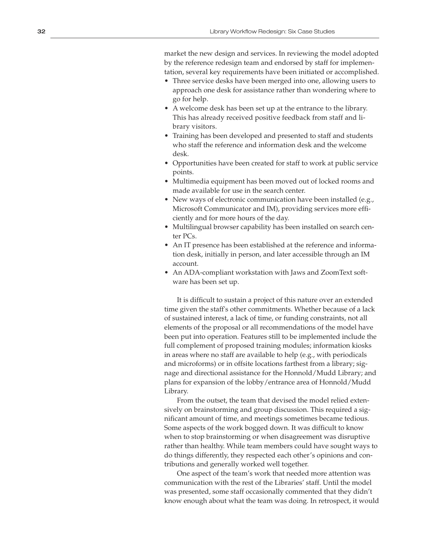market the new design and services. In reviewing the model adopted by the reference redesign team and endorsed by staff for implemen tation, several key requirements have been initiated or accomplished.

- Three service desks have been merged into one, allowing users to approach one desk for assistance rather than wondering where to go for help.
- A welcome desk has been set up at the entrance to the library. This has already received positive feedback from staff and li brary visitors.
- Training has been developed and presented to staff and students who staff the reference and information desk and the welcome desk.
- Opportunities have been created for staff to work at public service points.
- Multimedia equipment has been moved out of locked rooms and made available for use in the search center.
- New ways of electronic communication have been installed (e.g., Microsoft Communicator and IM), providing services more effi ciently and for more hours of the day.
- Multilingual browser capability has been installed on search center PCs.
- An IT presence has been established at the reference and informa tion desk, initially in person, and later accessible through an IM account.
- An ADA-compliant workstation with Jaws and ZoomText soft ware has been set up.

It is difficult to sustain a project of this nature over an extended time given the staff's other commitments. Whether because of a lack of sustained interest, a lack of time, or funding constraints, not all elements of the proposal or all recommendations of the model have been put into operation. Features still to be implemented include the full complement of proposed training modules; information kiosks in areas where no staff are available to help (e.g., with periodicals and microforms) or in offsite locations farthest from a library; sig nage and directional assistance for the Honnold/Mudd Library; and plans for expansion of the lobby/entrance area of Honnold/Mudd Library.

From the outset, the team that devised the model relied exten sively on brainstorming and group discussion. This required a sig nificant amount of time, and meetings sometimes became tedious. Some aspects of the work bogged down. It was difficult to know when to stop brainstorming or when disagreement was disruptive rather than healthy. While team members could have sought ways to do things differently, they respected each other's opinions and con tributions and generally worked well together.

One aspect of the team's work that needed more attention was communication with the rest of the Libraries' staff. Until the model was presented, some staff occasionally commented that they didn't know enough about what the team was doing. In retrospect, it would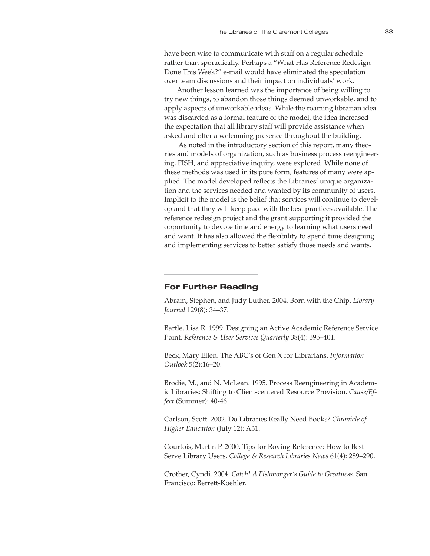have been wise to communicate with staff on a regular schedule rather than sporadically. Perhaps a "What Has Reference Redesign Done This Week?" e-mail would have eliminated the speculation over team discussions and their impact on individuals' work.

Another lesson learned was the importance of being willing to try new things, to abandon those things deemed unworkable, and to apply aspects of unworkable ideas. While the roaming librarian idea was discarded as a formal feature of the model, the idea increased the expectation that all library staff will provide assistance when asked and offer a welcoming presence throughout the building.

 As noted in the introductory section of this report, many theories and models of organization, such as business process reengineering, FISH, and appreciative inquiry, were explored. While none of these methods was used in its pure form, features of many were applied. The model developed reflects the Libraries' unique organization and the services needed and wanted by its community of users. Implicit to the model is the belief that services will continue to develop and that they will keep pace with the best practices available. The reference redesign project and the grant supporting it provided the opportunity to devote time and energy to learning what users need and want. It has also allowed the flexibility to spend time designing and implementing services to better satisfy those needs and wants.

# **For Further Reading**

Abram, Stephen, and Judy Luther. 2004. Born with the Chip. *Library Journal* 129(8): 34–37.

Bartle, Lisa R. 1999. Designing an Active Academic Reference Service Point. *Reference & User Services Quarterly* 38(4): 395–401.

Beck, Mary Ellen. The ABC's of Gen X for Librarians. *Information Outlook* 5(2):16–20.

Brodie, M., and N. McLean. 1995. Process Reengineering in Academic Libraries: Shifting to Client-centered Resource Provision. *Cause/Effect* (Summer): 40-46.

Carlson, Scott. 2002. Do Libraries Really Need Books? *Chronicle of Higher Education* (July 12): A31.

Courtois, Martin P. 2000. Tips for Roving Reference: How to Best Serve Library Users. *College & Research Libraries News* 61(4): 289–290.

Crother, Cyndi. 2004. *Catch! A Fishmonger's Guide to Greatness*. San Francisco: Berrett-Koehler.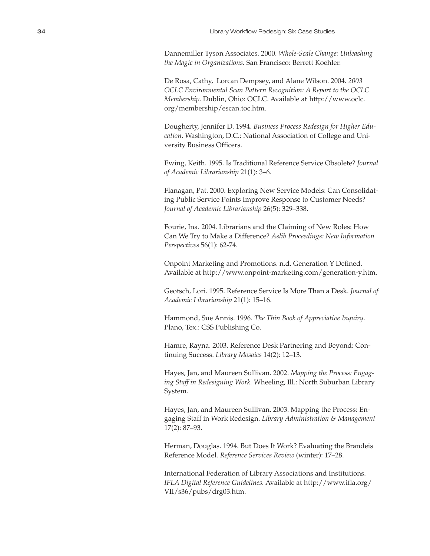Dannemiller Tyson Associates. 2000. *Whole-Scale Change: Unleashing the Magic in Organizations.* San Francisco: Berrett Koehler.

De Rosa, Cathy, Lorcan Dempsey, and Alane Wilson. 2004. *2003 OCLC Environmental Scan Pattern Recognition: A Report to the OCLC Membership.* Dublin, Ohio: OCLC. Available at http://www.oclc. org/membership/escan.toc.htm.

Dougherty, Jennifer D. 1994. *Business Process Redesign for Higher Education*. Washington, D.C.: National Association of College and University Business Officers.

Ewing, Keith. 1995. Is Traditional Reference Service Obsolete? *Journal of Academic Librarianship* 21(1): 3–6.

Flanagan, Pat. 2000. Exploring New Service Models: Can Consolidating Public Service Points Improve Response to Customer Needs? *Journal of Academic Librarianship* 26(5): 329–338.

Fourie, Ina. 2004. Librarians and the Claiming of New Roles: How Can We Try to Make a Difference? *Aslib Proceedings: New Information Perspectives* 56(1): 62-74.

Onpoint Marketing and Promotions. n.d. Generation Y Defined. Available at http://www.onpoint-marketing.com/generation-y.htm.

Geotsch, Lori. 1995. Reference Service Is More Than a Desk. *Journal of Academic Librarianship* 21(1): 15–16.

Hammond, Sue Annis. 1996. *The Thin Book of Appreciative Inquiry*. Plano, Tex.: CSS Publishing Co.

Hamre, Rayna. 2003. Reference Desk Partnering and Beyond: Continuing Success. *Library Mosaics* 14(2): 12–13.

Hayes, Jan, and Maureen Sullivan. 2002. *Mapping the Process: Engaging Staff in Redesigning Work.* Wheeling, Ill.: North Suburban Library System.

Hayes, Jan, and Maureen Sullivan. 2003. Mapping the Process: Engaging Staff in Work Redesign. *Library Administration & Management* 17(2): 87–93.

Herman, Douglas. 1994. But Does It Work? Evaluating the Brandeis Reference Model. *Reference Services Review* (winter): 17–28.

International Federation of Library Associations and Institutions. *IFLA Digital Reference Guidelines.* Available at http://www.ifla.org/ VII/s36/pubs/drg03.htm.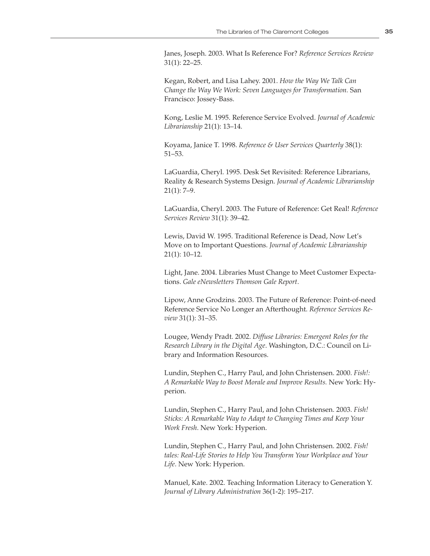Janes, Joseph. 2003. What Is Reference For? *Reference Services Review* 31(1): 22–25.

Kegan, Robert, and Lisa Lahey. 2001. *How the Way We Talk Can Change the Way We Work: Seven Languages for Transformation.* San Francisco: Jossey-Bass.

Kong, Leslie M. 1995. Reference Service Evolved. *Journal of Academic Librarianship* 21(1): 13–14.

Koyama, Janice T. 1998. *Reference & User Services Quarterly* 38(1): 51–53.

LaGuardia, Cheryl. 1995. Desk Set Revisited: Reference Librarians, Reality & Research Systems Design. *Journal of Academic Librarianship*   $21(1): 7-9.$ 

LaGuardia, Cheryl. 2003. The Future of Reference: Get Real! *Reference Services Review* 31(1): 39–42.

Lewis, David W. 1995. Traditional Reference is Dead, Now Let's Move on to Important Questions. *Journal of Academic Librarianship* 21(1): 10–12.

Light, Jane. 2004. Libraries Must Change to Meet Customer Expectations. *Gale eNewsletters Thomson Gale Report*.

Lipow, Anne Grodzins. 2003. The Future of Reference: Point-of-need Reference Service No Longer an Afterthought. *Reference Services Review* 31(1): 31–35.

Lougee, Wendy Pradt. 2002. *Diffuse Libraries: Emergent Roles for the Research Library in the Digital Age*. Washington, D.C.: Council on Library and Information Resources.

Lundin, Stephen C., Harry Paul, and John Christensen. 2000. *Fish!: A Remarkable Way to Boost Morale and Improve Results.* New York: Hyperion.

Lundin, Stephen C., Harry Paul, and John Christensen. 2003. *Fish! Sticks: A Remarkable Way to Adapt to Changing Times and Keep Your Work Fresh*. New York: Hyperion.

Lundin, Stephen C., Harry Paul, and John Christensen. 2002. *Fish! tales: Real-Life Stories to Help You Transform Your Workplace and Your Life*. New York: Hyperion.

Manuel, Kate. 2002. Teaching Information Literacy to Generation Y. *Journal of Library Administration* 36(1-2): 195–217.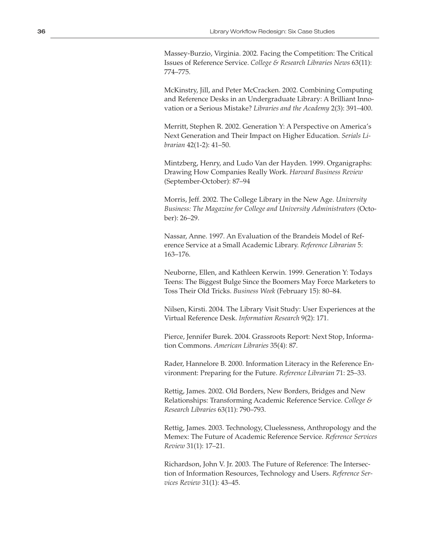Massey-Burzio, Virginia. 2002. Facing the Competition: The Critical Issues of Reference Service. *College & Research Libraries News* 63(11): 774–775.

McKinstry, Jill, and Peter McCracken. 2002. Combining Computing and Reference Desks in an Undergraduate Library: A Brilliant Innovation or a Serious Mistake? *Libraries and the Academy* 2(3): 391–400.

Merritt, Stephen R. 2002. Generation Y: A Perspective on America's Next Generation and Their Impact on Higher Education. *Serials Librarian* 42(1-2): 41–50.

Mintzberg, Henry, and Ludo Van der Hayden. 1999. Organigraphs: Drawing How Companies Really Work. *Harvard Business Review* (September-October): 87–94

Morris, Jeff. 2002. The College Library in the New Age. *University Business: The Magazine for College and University Administrators* (October): 26–29.

Nassar, Anne. 1997. An Evaluation of the Brandeis Model of Reference Service at a Small Academic Library. *Reference Librarian* 5: 163–176.

Neuborne, Ellen, and Kathleen Kerwin. 1999. Generation Y: Todays Teens: The Biggest Bulge Since the Boomers May Force Marketers to Toss Their Old Tricks. *Business Week* (February 15): 80–84.

Nilsen, Kirsti. 2004. The Library Visit Study: User Experiences at the Virtual Reference Desk. *Information Research* 9(2): 171.

Pierce, Jennifer Burek. 2004. Grassroots Report: Next Stop, Information Commons. *American Libraries* 35(4): 87.

Rader, Hannelore B. 2000. Information Literacy in the Reference Environment: Preparing for the Future. *Reference Librarian* 71: 25–33.

Rettig, James. 2002. Old Borders, New Borders, Bridges and New Relationships: Transforming Academic Reference Service. *College & Research Libraries* 63(11): 790–793.

Rettig, James. 2003. Technology, Cluelessness, Anthropology and the Memex: The Future of Academic Reference Service. *Reference Services Review* 31(1): 17–21.

Richardson, John V. Jr. 2003. The Future of Reference: The Intersection of Information Resources, Technology and Users. *Reference Services Review* 31(1): 43–45.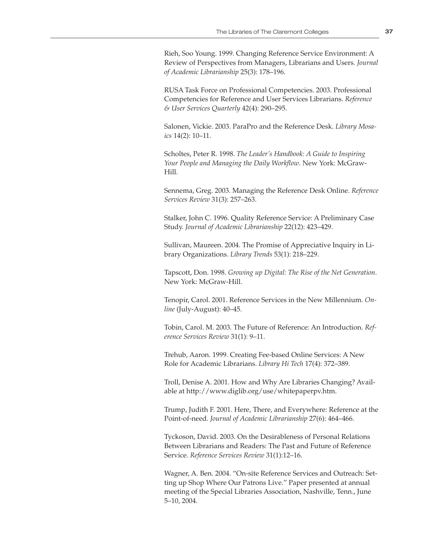Rieh, Soo Young. 1999. Changing Reference Service Environment: A Review of Perspectives from Managers, Librarians and Users. *Journal of Academic Librarianship* 25(3): 178–196.

RUSA Task Force on Professional Competencies. 2003. Professional Competencies for Reference and User Services Librarians. *Reference & User Services Quarterly* 42(4): 290–295.

Salonen, Vickie. 2003. ParaPro and the Reference Desk. *Library Mosaics* 14(2): 10–11.

Scholtes, Peter R. 1998. *The Leader's Handbook: A Guide to Inspiring Your People and Managing the Daily Workflow*. New York: McGraw-Hill.

Sennema, Greg. 2003. Managing the Reference Desk Online. *Reference Services Review* 31(3): 257–263.

Stalker, John C. 1996. Quality Reference Service: A Preliminary Case Study. *Journal of Academic Librarianship* 22(12): 423–429.

Sullivan, Maureen. 2004. The Promise of Appreciative Inquiry in Library Organizations. *Library Trends* 53(1): 218–229.

Tapscott, Don. 1998. *Growing up Digital: The Rise of the Net Generation*. New York: McGraw-Hill.

Tenopir, Carol. 2001. Reference Services in the New Millennium. *Online* (July-August): 40–45.

Tobin, Carol. M. 2003. The Future of Reference: An Introduction. *Reference Services Review* 31(1): 9–11.

Trehub, Aaron. 1999. Creating Fee-based Online Services: A New Role for Academic Librarians. *Library Hi Tech* 17(4): 372–389.

Troll, Denise A. 2001. How and Why Are Libraries Changing? Available at http://www.diglib.org/use/whitepaperpv.htm.

Trump, Judith F. 2001. Here, There, and Everywhere: Reference at the Point-of-need. *Journal of Academic Librarianship* 27(6): 464–466.

Tyckoson, David. 2003. On the Desirableness of Personal Relations Between Librarians and Readers: The Past and Future of Reference Service. *Reference Services Review* 31(1):12–16.

Wagner, A. Ben. 2004. "On-site Reference Services and Outreach: Setting up Shop Where Our Patrons Live." Paper presented at annual meeting of the Special Libraries Association, Nashville, Tenn., June 5–10, 2004.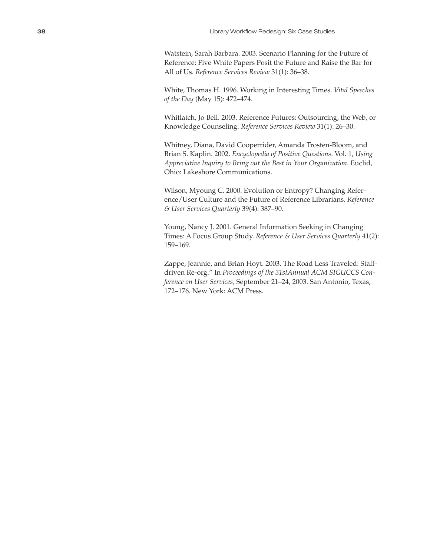Watstein, Sarah Barbara. 2003. Scenario Planning for the Future of Reference: Five White Papers Posit the Future and Raise the Bar for All of Us. *Reference Services Review* 31(1): 36–38.

White, Thomas H. 1996. Working in Interesting Times. *Vital Speeches of the Day* (May 15): 472–474.

Whitlatch, Jo Bell. 2003. Reference Futures: Outsourcing, the Web, or Knowledge Counseling. *Reference Services Review* 31(1): 26–30.

Whitney, Diana, David Cooperrider, Amanda Trosten-Bloom, and Brian S. Kaplin. 2002. *Encyclopedia of Positive Questions*. Vol. 1, *Using Appreciative Inquiry to Bring out the Best in Your Organization.* Euclid, Ohio: Lakeshore Communications.

Wilson, Myoung C. 2000. Evolution or Entropy? Changing Reference/User Culture and the Future of Reference Librarians. *Reference & User Services Quarterly* 39(4): 387–90.

Young, Nancy J. 2001. General Information Seeking in Changing Times: A Focus Group Study. *Reference & User Services Quarterly* 41(2): 159–169.

Zappe, Jeannie, and Brian Hoyt. 2003. The Road Less Traveled: Staffdriven Re-org." In *Proceedings of the 31stAnnual ACM SIGUCCS Conference on User Services,* September 21–24, 2003. San Antonio, Texas, 172–176. New York: ACM Press.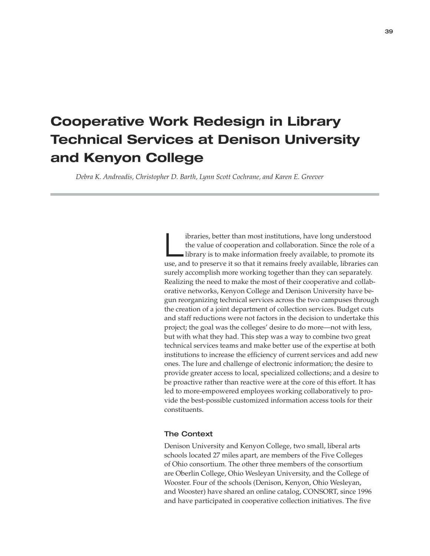# **Cooperative Work Redesign in Library Technical Services at Denison University and Kenyon College**

 *Debra K. Andreadis, Christopher D. Barth, Lynn Scott Cochrane, and Karen E. Greever*

Libraries, better than most institutions, have long understood library is to make information freely available, to promote its the value of cooperation and collaboration. Since the role of a use, and to preserve it so that it remains freely available, libraries can surely accomplish more working together than they can separately. Realizing the need to make the most of their cooperative and collaborative networks, Kenyon College and Denison University have begun reorganizing technical services across the two campuses through the creation of a joint department of collection services. Budget cuts and staff reductions were not factors in the decision to undertake this project; the goal was the colleges' desire to do more—not with less, but with what they had. This step was a way to combine two great technical services teams and make better use of the expertise at both institutions to increase the efficiency of current services and add new ones. The lure and challenge of electronic information; the desire to provide greater access to local, specialized collections; and a desire to be proactive rather than reactive were at the core of this effort. It has led to more-empowered employees working collaboratively to provide the best-possible customized information access tools for their constituents.

# The Context

Denison University and Kenyon College, two small, liberal arts schools located 27 miles apart, are members of the Five Colleges of Ohio consortium. The other three members of the consortium are Oberlin College, Ohio Wesleyan University, and the College of Wooster. Four of the schools (Denison, Kenyon, Ohio Wesleyan, and Wooster) have shared an online catalog, CONSORT, since 1996 and have participated in cooperative collection initiatives. The five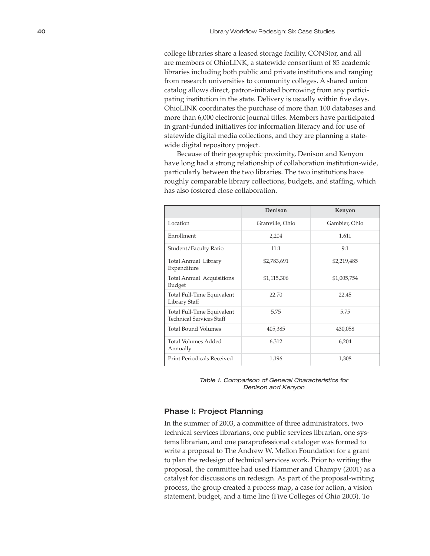college libraries share a leased storage facility, CONStor, and all are members of OhioLINK, a statewide consortium of 85 academic libraries including both public and private institutions and ranging from research universities to community colleges. A shared union catalog allows direct, patron-initiated borrowing from any participating institution in the state. Delivery is usually within five days. OhioLINK coordinates the purchase of more than 100 databases and more than 6,000 electronic journal titles. Members have participated in grant-funded initiatives for information literacy and for use of statewide digital media collections, and they are planning a statewide digital repository project.

Because of their geographic proximity, Denison and Kenyon have long had a strong relationship of collaboration institution-wide, particularly between the two libraries. The two institutions have roughly comparable library collections, budgets, and staffing, which has also fostered close collaboration.

|                                                               | Denison         | Kenyon        |
|---------------------------------------------------------------|-----------------|---------------|
| Location                                                      | Granville, Ohio | Gambier, Ohio |
| Enrollment                                                    | 2,204           | 1,611         |
| Student/Faculty Ratio                                         | 11:1            | 9:1           |
| Total Annual Library<br>Expenditure                           | \$2,783,691     | \$2,219,485   |
| Total Annual Acquisitions<br><b>Budget</b>                    | \$1,115,306     | \$1,005,754   |
| Total Full-Time Equivalent<br>Library Staff                   | 22.70           | 22.45         |
| Total Full-Time Equivalent<br><b>Technical Services Staff</b> | 5.75            | 5.75          |
| <b>Total Bound Volumes</b>                                    | 405,385         | 430,058       |
| Total Volumes Added<br>Annually                               | 6,312           | 6,204         |
| <b>Print Periodicals Received</b>                             | 1,196           | 1,308         |

Table 1. Comparison of General Characteristics for Denison and Kenyon

# Phase I: Project Planning

In the summer of 2003, a committee of three administrators, two technical services librarians, one public services librarian, one systems librarian, and one paraprofessional cataloger was formed to write a proposal to The Andrew W. Mellon Foundation for a grant to plan the redesign of technical services work. Prior to writing the proposal, the committee had used Hammer and Champy (2001) as a catalyst for discussions on redesign. As part of the proposal-writing process, the group created a process map, a case for action, a vision statement, budget, and a time line (Five Colleges of Ohio 2003). To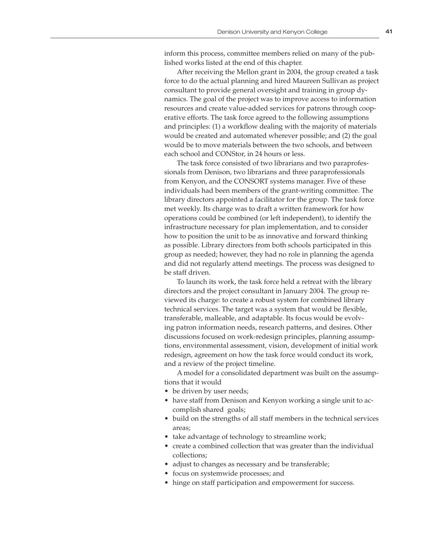inform this process, committee members relied on many of the published works listed at the end of this chapter.

After receiving the Mellon grant in 2004, the group created a task force to do the actual planning and hired Maureen Sullivan as project consultant to provide general oversight and training in group dynamics. The goal of the project was to improve access to information resources and create value-added services for patrons through cooperative efforts. The task force agreed to the following assumptions and principles: (1) a workflow dealing with the majority of materials would be created and automated wherever possible; and (2) the goal would be to move materials between the two schools, and between each school and CONStor, in 24 hours or less.

The task force consisted of two librarians and two paraprofessionals from Denison, two librarians and three paraprofessionals from Kenyon, and the CONSORT systems manager. Five of these individuals had been members of the grant-writing committee. The library directors appointed a facilitator for the group. The task force met weekly. Its charge was to draft a written framework for how operations could be combined (or left independent), to identify the infrastructure necessary for plan implementation, and to consider how to position the unit to be as innovative and forward thinking as possible. Library directors from both schools participated in this group as needed; however, they had no role in planning the agenda and did not regularly attend meetings. The process was designed to be staff driven.

To launch its work, the task force held a retreat with the library directors and the project consultant in January 2004. The group reviewed its charge: to create a robust system for combined library technical services. The target was a system that would be flexible, transferable, malleable, and adaptable. Its focus would be evolving patron information needs, research patterns, and desires. Other discussions focused on work-redesign principles, planning assumptions, environmental assessment, vision, development of initial work redesign, agreement on how the task force would conduct its work, and a review of the project timeline.

A model for a consolidated department was built on the assumptions that it would

- be driven by user needs;
- have staff from Denison and Kenyon working a single unit to accomplish shared goals;
- build on the strengths of all staff members in the technical services areas;
- take advantage of technology to streamline work;
- create a combined collection that was greater than the individual collections;
- adjust to changes as necessary and be transferable;
- focus on systemwide processes; and
- hinge on staff participation and empowerment for success.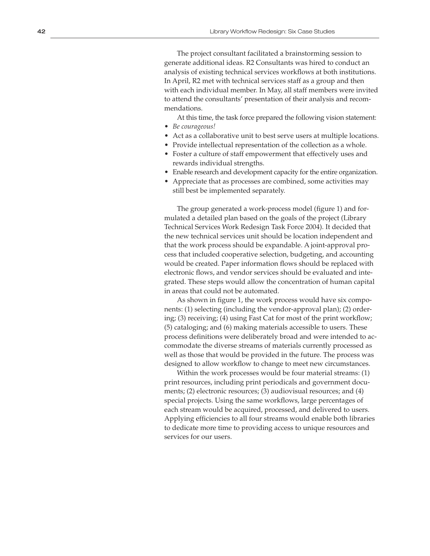The project consultant facilitated a brainstorming session to generate additional ideas. R2 Consultants was hired to conduct an analysis of existing technical services workflows at both institutions. In April, R2 met with technical services staff as a group and then with each individual member. In May, all staff members were invited to attend the consultants' presentation of their analysis and recom mendations.

At this time, the task force prepared the following vision statement: • *Be courageous!* 

- Act as a collaborative unit to best serve users at multiple locations.
- Provide intellectual representation of the collection as a whole.
- Foster a culture of staff empowerment that effectively uses and rewards individual strengths.
- Enable research and development capacity for the entire organization.
- Appreciate that as processes are combined, some activities may still best be implemented separately.

The group generated a work-process model (figure 1) and for mulated a detailed plan based on the goals of the project (Library Technical Services Work Redesign Task Force 2004). It decided that the new technical services unit should be location independent and that the work process should be expandable. A joint-approval pro cess that included cooperative selection, budgeting, and accounting would be created. Paper information flows should be replaced with electronic flows, and vendor services should be evaluated and inte grated. These steps would allow the concentration of human capital in areas that could not be automated.

As shown in figure 1, the work process would have six compo nents: (1) selecting (including the vendor-approval plan); (2) order ing; (3) receiving; (4) using Fast Cat for most of the print workflow; (5) cataloging; and (6) making materials accessible to users. These process definitions were deliberately broad and were intended to ac commodate the diverse streams of materials currently processed as well as those that would be provided in the future. The process was designed to allow workflow to change to meet new circumstances.

Within the work processes would be four material streams: (1) print resources, including print periodicals and government docu ments; (2) electronic resources; (3) audiovisual resources; and (4) special projects. Using the same workflows, large percentages of each stream would be acquired, processed, and delivered to users. Applying efficiencies to all four streams would enable both libraries to dedicate more time to providing access to unique resources and services for our users.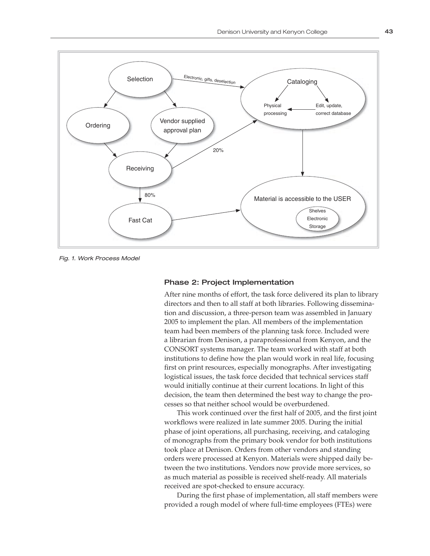

Fig. 1. Work Process Model

# Phase 2: Project Implementation

After nine months of effort, the task force delivered its plan to library directors and then to all staff at both libraries. Following dissemination and discussion, a three-person team was assembled in January 2005 to implement the plan. All members of the implementation team had been members of the planning task force. Included were a librarian from Denison, a paraprofessional from Kenyon, and the CONSORT systems manager. The team worked with staff at both institutions to define how the plan would work in real life, focusing first on print resources, especially monographs. After investigating logistical issues, the task force decided that technical services staff would initially continue at their current locations. In light of this decision, the team then determined the best way to change the processes so that neither school would be overburdened.

This work continued over the first half of 2005, and the first joint workflows were realized in late summer 2005. During the initial phase of joint operations, all purchasing, receiving, and cataloging of monographs from the primary book vendor for both institutions took place at Denison. Orders from other vendors and standing orders were processed at Kenyon. Materials were shipped daily between the two institutions. Vendors now provide more services, so as much material as possible is received shelf-ready. All materials received are spot-checked to ensure accuracy.

During the first phase of implementation, all staff members were provided a rough model of where full-time employees (FTEs) were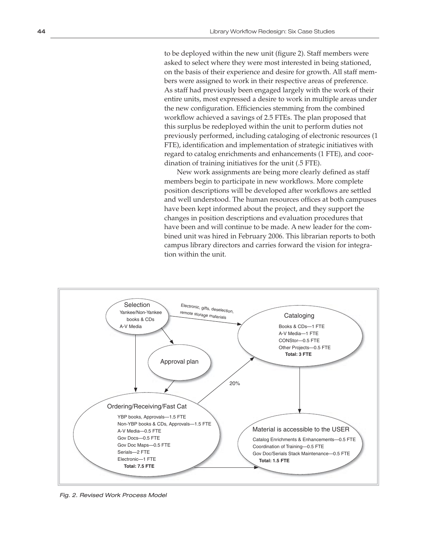to be deployed within the new unit (figure 2). Staff members were asked to select where they were most interested in being stationed, on the basis of their experience and desire for growth. All staff members were assigned to work in their respective areas of preference. As staff had previously been engaged largely with the work of their entire units, most expressed a desire to work in multiple areas under the new configuration. Efficiencies stemming from the combined workflow achieved a savings of 2.5 FTEs. The plan proposed that this surplus be redeployed within the unit to perform duties not previously performed, including cataloging of electronic resources (1 FTE), identification and implementation of strategic initiatives with regard to catalog enrichments and enhancements (1 FTE), and coordination of training initiatives for the unit (.5 FTE).

New work assignments are being more clearly defined as staff members begin to participate in new workflows. More complete position descriptions will be developed after workflows are settled and well understood. The human resources offices at both campuses have been kept informed about the project, and they support the changes in position descriptions and evaluation procedures that have been and will continue to be made. A new leader for the combined unit was hired in February 2006. This librarian reports to both campus library directors and carries forward the vision for integration within the unit.



Fig. 2. Revised Work Process Model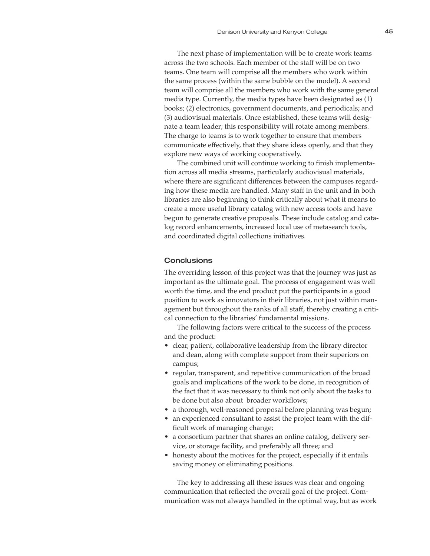The next phase of implementation will be to create work teams across the two schools. Each member of the staff will be on two teams. One team will comprise all the members who work within the same process (within the same bubble on the model). A second team will comprise all the members who work with the same general media type. Currently, the media types have been designated as (1) books; (2) electronics, government documents, and periodicals; and (3) audiovisual materials. Once established, these teams will designate a team leader; this responsibility will rotate among members. The charge to teams is to work together to ensure that members communicate effectively, that they share ideas openly, and that they explore new ways of working cooperatively.

The combined unit will continue working to finish implementation across all media streams, particularly audiovisual materials, where there are significant differences between the campuses regarding how these media are handled. Many staff in the unit and in both libraries are also beginning to think critically about what it means to create a more useful library catalog with new access tools and have begun to generate creative proposals. These include catalog and catalog record enhancements, increased local use of metasearch tools, and coordinated digital collections initiatives.

# **Conclusions**

The overriding lesson of this project was that the journey was just as important as the ultimate goal. The process of engagement was well worth the time, and the end product put the participants in a good position to work as innovators in their libraries, not just within management but throughout the ranks of all staff, thereby creating a critical connection to the libraries' fundamental missions.

The following factors were critical to the success of the process and the product:

- clear, patient, collaborative leadership from the library director and dean, along with complete support from their superiors on campus;
- regular, transparent, and repetitive communication of the broad goals and implications of the work to be done, in recognition of the fact that it was necessary to think not only about the tasks to be done but also about broader workflows;
- a thorough, well-reasoned proposal before planning was begun;
- an experienced consultant to assist the project team with the difficult work of managing change;
- a consortium partner that shares an online catalog, delivery service, or storage facility, and preferably all three; and
- honesty about the motives for the project, especially if it entails saving money or eliminating positions.

The key to addressing all these issues was clear and ongoing communication that reflected the overall goal of the project. Communication was not always handled in the optimal way, but as work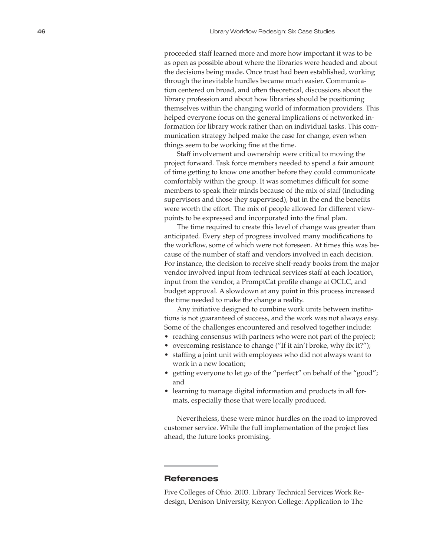proceeded staff learned more and more how important it was to be as open as possible about where the libraries were headed and about the decisions being made. Once trust had been established, working through the inevitable hurdles became much easier. Communica tion centered on broad, and often theoretical, discussions about the library profession and about how libraries should be positioning themselves within the changing world of information providers. This helped everyone focus on the general implications of networked in formation for library work rather than on individual tasks. This com munication strategy helped make the case for change, even when things seem to be working fine at the time.

Staff involvement and ownership were critical to moving the project forward. Task force members needed to spend a fair amount of time getting to know one another before they could communicate comfortably within the group. It was sometimes difficult for some members to speak their minds because of the mix of staff (including supervisors and those they supervised), but in the end the benefits were worth the effort. The mix of people allowed for different view points to be expressed and incorporated into the final plan.

The time required to create this level of change was greater than anticipated. Every step of progress involved many modifications to the workflow, some of which were not foreseen. At times this was be cause of the number of staff and vendors involved in each decision. For instance, the decision to receive shelf-ready books from the major vendor involved input from technical services staff at each location, input from the vendor, a PromptCat profile change at OCLC, and budget approval. A slowdown at any point in this process increased the time needed to make the change a reality.

Any initiative designed to combine work units between institu tions is not guaranteed of success, and the work was not always easy. Some of the challenges encountered and resolved together include:

- reaching consensus with partners who were not part of the project;
- overcoming resistance to change ("If it ain't broke, why fix it?");
- staffing a joint unit with employees who did not always want to work in a new location;
- getting everyone to let go of the "perfect" on behalf of the "good"; and
- learning to manage digital information and products in all for mats, especially those that were locally produced.

Nevertheless, these were minor hurdles on the road to improved customer service. While the full implementation of the project lies ahead, the future looks promising.

# **References**

Five Colleges of Ohio. 2003. Library Technical Services Work Re design, Denison University, Kenyon College: Application to The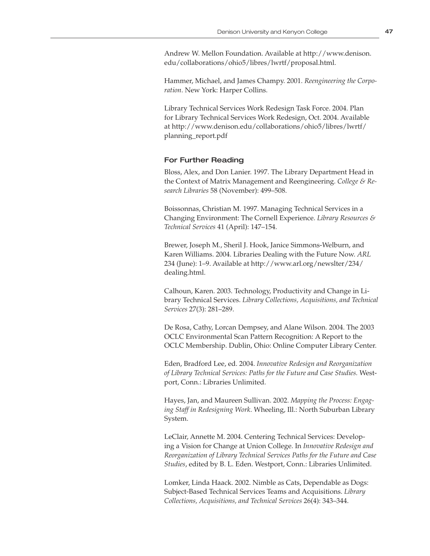Andrew W. Mellon Foundation. Available at http://www.denison. edu/collaborations/ohio5/libres/lwrtf/proposal.html.

Hammer, Michael, and James Champy. 2001. *Reengineering the Corporation*. New York: Harper Collins.

Library Technical Services Work Redesign Task Force. 2004. Plan for Library Technical Services Work Redesign, Oct. 2004. Available at http://www.denison.edu/collaborations/ohio5/libres/lwrtf/ planning\_report.pdf

# For Further Reading

Bloss, Alex, and Don Lanier. 1997. The Library Department Head in the Context of Matrix Management and Reengineering. *College & Research Libraries* 58 (November): 499–508.

Boissonnas, Christian M. 1997. Managing Technical Services in a Changing Environment: The Cornell Experience. *Library Resources & Technical Services* 41 (April): 147–154.

Brewer, Joseph M., Sheril J. Hook, Janice Simmons-Welburn, and Karen Williams. 2004. Libraries Dealing with the Future Now. *ARL* 234 (June): 1–9. Available at http://www.arl.org/newslter/234/ dealing.html.

Calhoun, Karen. 2003. Technology, Productivity and Change in Library Technical Services. *Library Collections, Acquisitions, and Technical Services* 27(3): 281–289.

De Rosa, Cathy, Lorcan Dempsey, and Alane Wilson. 2004. The 2003 OCLC Environmental Scan Pattern Recognition: A Report to the OCLC Membership. Dublin, Ohio: Online Computer Library Center.

Eden, Bradford Lee, ed. 2004. *Innovative Redesign and Reorganization of Library Technical Services: Paths for the Future and Case Studies.* Westport, Conn.: Libraries Unlimited.

Hayes, Jan, and Maureen Sullivan. 2002. *Mapping the Process: Engaging Staff in Redesigning Work*. Wheeling, Ill.: North Suburban Library System.

LeClair, Annette M. 2004. Centering Technical Services: Developing a Vision for Change at Union College. In *Innovative Redesign and Reorganization of Library Technical Services Paths for the Future and Case Studies*, edited by B. L. Eden. Westport, Conn.: Libraries Unlimited.

Lomker, Linda Haack. 2002. Nimble as Cats, Dependable as Dogs: Subject-Based Technical Services Teams and Acquisitions. *Library Collections, Acquisitions, and Technical Services* 26(4): 343–344.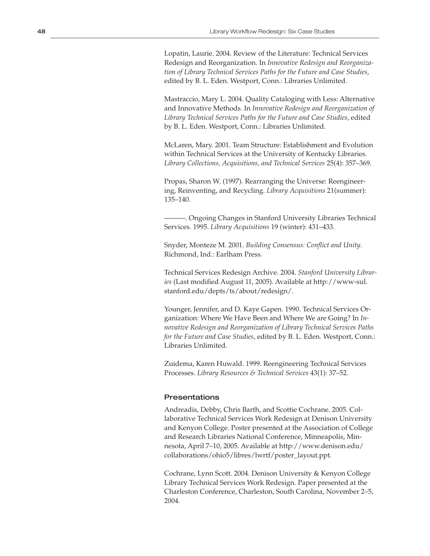Lopatin, Laurie. 2004. Review of the Literature: Technical Services Redesign and Reorganization. In *Innovative Redesign and Reorganization of Library Technical Services Paths for the Future and Case Studies*, edited by B. L. Eden. Westport, Conn.: Libraries Unlimited.

Mastraccio, Mary L. 2004. Quality Cataloging with Less: Alternative and Innovative Methods. In *Innovative Redesign and Reorganization of Library Technical Services Paths for the Future and Case Studies*, edited by B. L. Eden. Westport, Conn.: Libraries Unlimited.

McLaren, Mary. 2001. Team Structure: Establishment and Evolution within Technical Services at the University of Kentucky Libraries. *Library Collections, Acquisitions, and Technical Services* 25(4): 357–369.

Propas, Sharon W. (1997). Rearranging the Universe: Reengineering, Reinventing, and Recycling. *Library Acquisitions* 21(summer): 135–140.

———. Ongoing Changes in Stanford University Libraries Technical Services. 1995. *Library Acquisitions* 19 (winter): 431–433.

Snyder, Monteze M. 2001. *Building Consensus: Conflict and Unity*. Richmond, Ind.: Earlham Press.

Technical Services Redesign Archive. 2004. *Stanford University Libraries* (Last modified August 11, 2005). Available at http://www-sul. stanford.edu/depts/ts/about/redesign/.

Younger, Jennifer, and D. Kaye Gapen. 1990. Technical Services Organization: Where We Have Been and Where We are Going? In *Innovative Redesign and Reorganization of Library Technical Services Paths for the Future and Case Studies*, edited by B. L. Eden. Westport, Conn.: Libraries Unlimited.

Zuidema, Karen Huwald. 1999. Reengineering Technical Services Processes. *Library Resources & Technical Services* 43(1): 37–52.

# Presentations

Andreadis, Debby, Chris Barth, and Scottie Cochrane. 2005. Collaborative Technical Services Work Redesign at Denison University and Kenyon College. Poster presented at the Association of College and Research Libraries National Conference, Minneapolis, Minnesota, April 7–10, 2005. Available at http://www.denison.edu/ collaborations/ohio5/libres/lwrtf/poster\_layout.ppt.

Cochrane, Lynn Scott. 2004. Denison University & Kenyon College Library Technical Services Work Redesign. Paper presented at the Charleston Conference, Charleston, South Carolina, November 2–5, 2004.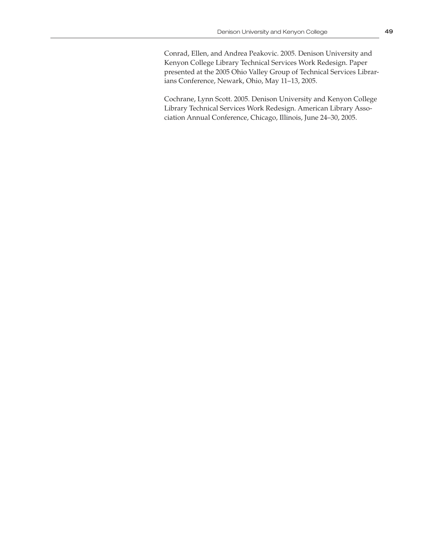Cochrane, Lynn Scott. 2005. Denison University and Kenyon College Library Technical Services Work Redesign. American Library Association Annual Conference, Chicago, Illinois, June 24–30, 2005.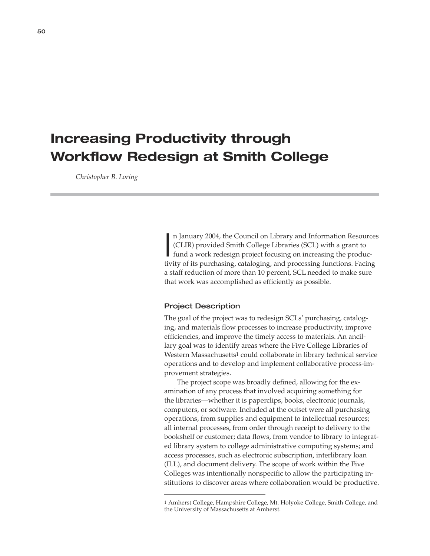# **Increasing Productivity through Workflow Redesign at Smith College**

 *Christopher B. Loring*

I n January 2004, the Council on Library and Information Resources (CLIR) provided Smith College Libraries (SCL) with a grant to fund a work redesign project focusing on increasing the productivity of its purchasing, cataloging, and processing functions. Facing a staff reduction of more than 10 percent, SCL needed to make sure that work was accomplished as efficiently as possible.

# Project Description

The goal of the project was to redesign SCLs' purchasing, cataloging, and materials flow processes to increase productivity, improve efficiencies, and improve the timely access to materials. An ancillary goal was to identify areas where the Five College Libraries of Western Massachusetts1 could collaborate in library technical service operations and to develop and implement collaborative process-improvement strategies.

The project scope was broadly defined, allowing for the examination of any process that involved acquiring something for the libraries—whether it is paperclips, books, electronic journals, computers, or software. Included at the outset were all purchasing operations, from supplies and equipment to intellectual resources; all internal processes, from order through receipt to delivery to the bookshelf or customer; data flows, from vendor to library to integrated library system to college administrative computing systems; and access processes, such as electronic subscription, interlibrary loan (ILL), and document delivery. The scope of work within the Five Colleges was intentionally nonspecific to allow the participating institutions to discover areas where collaboration would be productive.

<sup>1</sup> Amherst College, Hampshire College, Mt. Holyoke College, Smith College, and the University of Massachusetts at Amherst.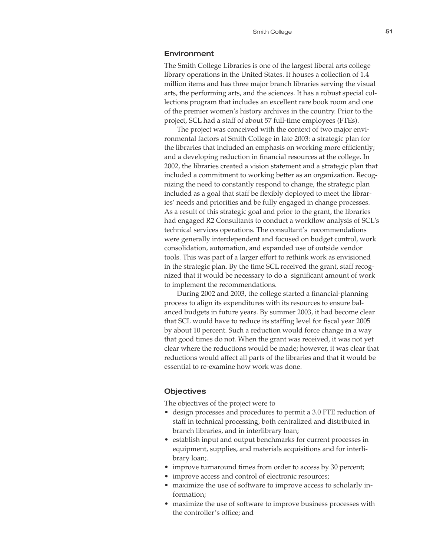### Environment

The Smith College Libraries is one of the largest liberal arts college library operations in the United States. It houses a collection of 1.4 million items and has three major branch libraries serving the visual arts, the performing arts, and the sciences. It has a robust special collections program that includes an excellent rare book room and one of the premier women's history archives in the country. Prior to the project, SCL had a staff of about 57 full-time employees (FTEs).

The project was conceived with the context of two major environmental factors at Smith College in late 2003: a strategic plan for the libraries that included an emphasis on working more efficiently; and a developing reduction in financial resources at the college. In 2002, the libraries created a vision statement and a strategic plan that included a commitment to working better as an organization. Recognizing the need to constantly respond to change, the strategic plan included as a goal that staff be flexibly deployed to meet the libraries' needs and priorities and be fully engaged in change processes. As a result of this strategic goal and prior to the grant, the libraries had engaged R2 Consultants to conduct a workflow analysis of SCL's technical services operations. The consultant's recommendations were generally interdependent and focused on budget control, work consolidation, automation, and expanded use of outside vendor tools. This was part of a larger effort to rethink work as envisioned in the strategic plan. By the time SCL received the grant, staff recognized that it would be necessary to do a significant amount of work to implement the recommendations.

During 2002 and 2003, the college started a financial-planning process to align its expenditures with its resources to ensure balanced budgets in future years. By summer 2003, it had become clear that SCL would have to reduce its staffing level for fiscal year 2005 by about 10 percent. Such a reduction would force change in a way that good times do not. When the grant was received, it was not yet clear where the reductions would be made; however, it was clear that reductions would affect all parts of the libraries and that it would be essential to re-examine how work was done.

#### **Objectives**

The objectives of the project were to

- design processes and procedures to permit a 3.0 FTE reduction of staff in technical processing, both centralized and distributed in branch libraries, and in interlibrary loan;
- establish input and output benchmarks for current processes in equipment, supplies, and materials acquisitions and for interlibrary loan;.
- improve turnaround times from order to access by 30 percent;
- improve access and control of electronic resources;
- maximize the use of software to improve access to scholarly information;
- maximize the use of software to improve business processes with the controller's office; and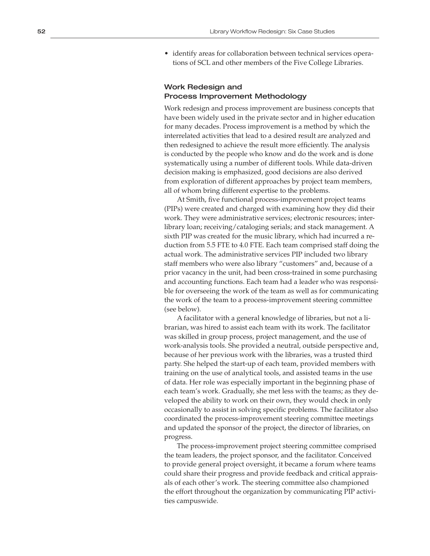• identify areas for collaboration between technical services operations of SCL and other members of the Five College Libraries.

# Work Redesign and Process Improvement Methodology

Work redesign and process improvement are business concepts that have been widely used in the private sector and in higher education for many decades. Process improvement is a method by which the interrelated activities that lead to a desired result are analyzed and then redesigned to achieve the result more efficiently. The analysis is conducted by the people who know and do the work and is done systematically using a number of different tools. While data-driven decision making is emphasized, good decisions are also derived from exploration of different approaches by project team members, all of whom bring different expertise to the problems.

At Smith, five functional process-improvement project teams (PIPs) were created and charged with examining how they did their work. They were administrative services; electronic resources; inter library loan; receiving/cataloging serials; and stack management. A sixth PIP was created for the music library, which had incurred a re duction from 5.5 FTE to 4.0 FTE. Each team comprised staff doing the actual work. The administrative services PIP included two library staff members who were also library "customers" and, because of a prior vacancy in the unit, had been cross-trained in some purchasing and accounting functions. Each team had a leader who was responsi ble for overseeing the work of the team as well as for communicating the work of the team to a process-improvement steering committee (see below).

A facilitator with a general knowledge of libraries, but not a li brarian, was hired to assist each team with its work. The facilitator was skilled in group process, project management, and the use of work-analysis tools. She provided a neutral, outside perspective and, because of her previous work with the libraries, was a trusted third party. She helped the start-up of each team, provided members with training on the use of analytical tools, and assisted teams in the use of data. Her role was especially important in the beginning phase of each team's work. Gradually, she met less with the teams; as they de veloped the ability to work on their own, they would check in only occasionally to assist in solving specific problems. The facilitator also coordinated the process-improvement steering committee meetings and updated the sponsor of the project, the director of libraries, on progress.

The process-improvement project steering committee comprised the team leaders, the project sponsor, and the facilitator. Conceived to provide general project oversight, it became a forum where teams could share their progress and provide feedback and critical apprais als of each other's work. The steering committee also championed the effort throughout the organization by communicating PIP activi ties campuswide.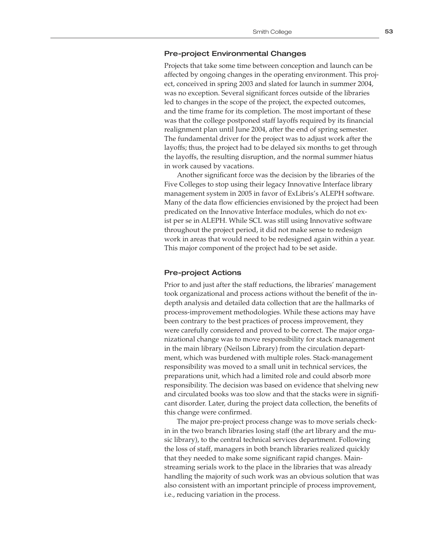# Pre-project Environmental Changes

Projects that take some time between conception and launch can be affected by ongoing changes in the operating environment. This project, conceived in spring 2003 and slated for launch in summer 2004, was no exception. Several significant forces outside of the libraries led to changes in the scope of the project, the expected outcomes, and the time frame for its completion. The most important of these was that the college postponed staff layoffs required by its financial realignment plan until June 2004, after the end of spring semester. The fundamental driver for the project was to adjust work after the layoffs; thus, the project had to be delayed six months to get through the layoffs, the resulting disruption, and the normal summer hiatus in work caused by vacations.

Another significant force was the decision by the libraries of the Five Colleges to stop using their legacy Innovative Interface library management system in 2005 in favor of ExLibris's ALEPH software. Many of the data flow efficiencies envisioned by the project had been predicated on the Innovative Interface modules, which do not exist per se in ALEPH. While SCL was still using Innovative software throughout the project period, it did not make sense to redesign work in areas that would need to be redesigned again within a year. This major component of the project had to be set aside.

# Pre-project Actions

Prior to and just after the staff reductions, the libraries' management took organizational and process actions without the benefit of the indepth analysis and detailed data collection that are the hallmarks of process-improvement methodologies. While these actions may have been contrary to the best practices of process improvement, they were carefully considered and proved to be correct. The major organizational change was to move responsibility for stack management in the main library (Neilson Library) from the circulation department, which was burdened with multiple roles. Stack-management responsibility was moved to a small unit in technical services, the preparations unit, which had a limited role and could absorb more responsibility. The decision was based on evidence that shelving new and circulated books was too slow and that the stacks were in significant disorder. Later, during the project data collection, the benefits of this change were confirmed.

The major pre-project process change was to move serials checkin in the two branch libraries losing staff (the art library and the music library), to the central technical services department. Following the loss of staff, managers in both branch libraries realized quickly that they needed to make some significant rapid changes. Mainstreaming serials work to the place in the libraries that was already handling the majority of such work was an obvious solution that was also consistent with an important principle of process improvement, i.e., reducing variation in the process.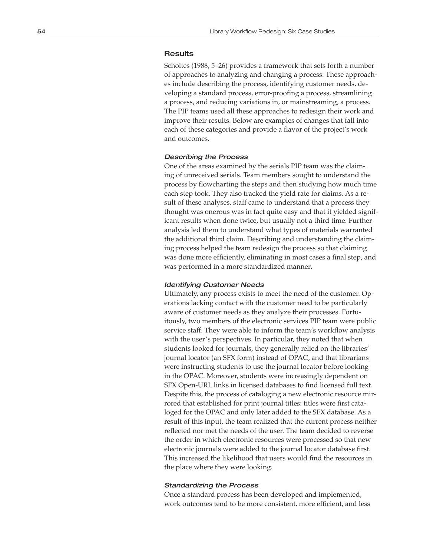# **Results**

Scholtes (1988, 5–26) provides a framework that sets forth a number of approaches to analyzing and changing a process. These approach es include describing the process, identifying customer needs, de veloping a standard process, error-proofing a process, streamlining a process, and reducing variations in, or mainstreaming, a process. The PIP teams used all these approaches to redesign their work and improve their results. Below are examples of changes that fall into each of these categories and provide a flavor of the project's work and outcomes.

#### Describing the Process

One of the areas examined by the serials PIP team was the claim ing of unreceived serials. Team members sought to understand the process by flowcharting the steps and then studying how much time each step took. They also tracked the yield rate for claims. As a re sult of these analyses, staff came to understand that a process they thought was onerous was in fact quite easy and that it yielded signif icant results when done twice, but usually not a third time. Further analysis led them to understand what types of materials warranted the additional third claim. Describing and understanding the claim ing process helped the team redesign the process so that claiming was done more efficiently, eliminating in most cases a final step, and was performed in a more standardized manner **.**

#### Identifying Customer Needs

Ultimately, any process exists to meet the need of the customer. Op erations lacking contact with the customer need to be particularly aware of customer needs as they analyze their processes. Fortu itously, two members of the electronic services PIP team were public service staff. They were able to inform the team's workflow analysis with the user's perspectives. In particular, they noted that when students looked for journals, they generally relied on the libraries' journal locator (an SFX form) instead of OPAC, and that librarians were instructing students to use the journal locator before looking in the OPAC. Moreover, students were increasingly dependent on SFX Open-URL links in licensed databases to find licensed full text. Despite this, the process of cataloging a new electronic resource mir rored that established for print journal titles: titles were first cata loged for the OPAC and only later added to the SFX database. As a result of this input, the team realized that the current process neither reflected nor met the needs of the user. The team decided to reverse the order in which electronic resources were processed so that new electronic journals were added to the journal locator database first. This increased the likelihood that users would find the resources in the place where they were looking.

# Standardizing the Process

Once a standard process has been developed and implemented, work outcomes tend to be more consistent, more efficient, and less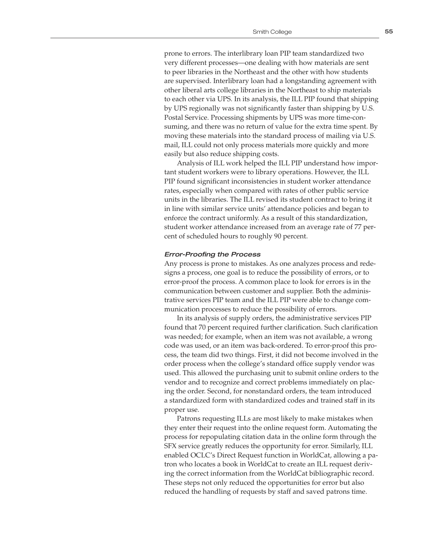prone to errors. The interlibrary loan PIP team standardized two very different processes—one dealing with how materials are sent to peer libraries in the Northeast and the other with how students are supervised. Interlibrary loan had a longstanding agreement with other liberal arts college libraries in the Northeast to ship materials to each other via UPS. In its analysis, the ILL PIP found that shipping by UPS regionally was not significantly faster than shipping by U.S. Postal Service. Processing shipments by UPS was more time-consuming, and there was no return of value for the extra time spent. By moving these materials into the standard process of mailing via U.S. mail, ILL could not only process materials more quickly and more easily but also reduce shipping costs.

Analysis of ILL work helped the ILL PIP understand how important student workers were to library operations. However, the ILL PIP found significant inconsistencies in student worker attendance rates, especially when compared with rates of other public service units in the libraries. The ILL revised its student contract to bring it in line with similar service units' attendance policies and began to enforce the contract uniformly. As a result of this standardization, student worker attendance increased from an average rate of 77 percent of scheduled hours to roughly 90 percent.

#### Error-Proofing the Process

Any process is prone to mistakes. As one analyzes process and redesigns a process, one goal is to reduce the possibility of errors, or to error-proof the process. A common place to look for errors is in the communication between customer and supplier. Both the administrative services PIP team and the ILL PIP were able to change communication processes to reduce the possibility of errors.

In its analysis of supply orders, the administrative services PIP found that 70 percent required further clarification. Such clarification was needed; for example, when an item was not available, a wrong code was used, or an item was back-ordered. To error-proof this process, the team did two things. First, it did not become involved in the order process when the college's standard office supply vendor was used. This allowed the purchasing unit to submit online orders to the vendor and to recognize and correct problems immediately on placing the order. Second, for nonstandard orders, the team introduced a standardized form with standardized codes and trained staff in its proper use.

Patrons requesting ILLs are most likely to make mistakes when they enter their request into the online request form. Automating the process for repopulating citation data in the online form through the SFX service greatly reduces the opportunity for error. Similarly, ILL enabled OCLC's Direct Request function in WorldCat, allowing a patron who locates a book in WorldCat to create an ILL request deriving the correct information from the WorldCat bibliographic record. These steps not only reduced the opportunities for error but also reduced the handling of requests by staff and saved patrons time.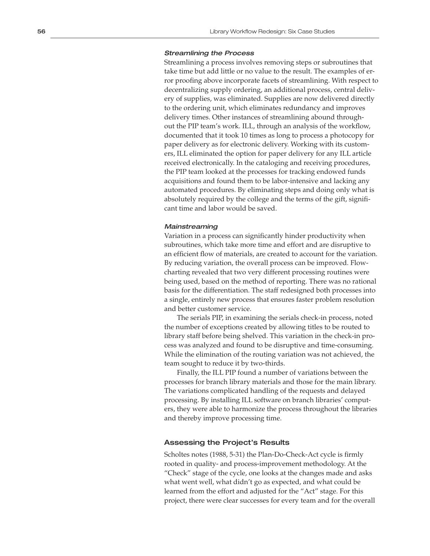#### Streamlining the Process

Streamlining a process involves removing steps or subroutines that take time but add little or no value to the result. The examples of er ror proofing above incorporate facets of streamlining. With respect to decentralizing supply ordering, an additional process, central deliv ery of supplies, was eliminated. Supplies are now delivered directly to the ordering unit, which eliminates redundancy and improves delivery times. Other instances of streamlining abound through out the PIP team's work. ILL, through an analysis of the workflow, documented that it took 10 times as long to process a photocopy for paper delivery as for electronic delivery. Working with its custom ers, ILL eliminated the option for paper delivery for any ILL article received electronically. In the cataloging and receiving procedures, the PIP team looked at the processes for tracking endowed funds acquisitions and found them to be labor-intensive and lacking any automated procedures. By eliminating steps and doing only what is absolutely required by the college and the terms of the gift, signifi cant time and labor would be saved.

# **Mainstreaming**

Variation in a process can significantly hinder productivity when subroutines, which take more time and effort and are disruptive to an efficient flow of materials, are created to account for the variation. By reducing variation, the overall process can be improved. Flow charting revealed that two very different processing routines were being used, based on the method of reporting. There was no rational basis for the differentiation. The staff redesigned both processes into a single, entirely new process that ensures faster problem resolution and better customer service.

The serials PIP, in examining the serials check-in process, noted the number of exceptions created by allowing titles to be routed to library staff before being shelved. This variation in the check-in pro cess was analyzed and found to be disruptive and time-consuming. While the elimination of the routing variation was not achieved, the team sought to reduce it by two-thirds.

Finally, the ILL PIP found a number of variations between the processes for branch library materials and those for the main library. The variations complicated handling of the requests and delayed processing. By installing ILL software on branch libraries' comput ers, they were able to harmonize the process throughout the libraries and thereby improve processing time.

# Assessing the Project's Results

Scholtes notes (1988, 5-31) the Plan-Do-Check-Act cycle is firmly rooted in quality- and process-improvement methodology. At the "Check" stage of the cycle, one looks at the changes made and asks what went well, what didn't go as expected, and what could be learned from the effort and adjusted for the "Act" stage. For this project, there were clear successes for every team and for the overall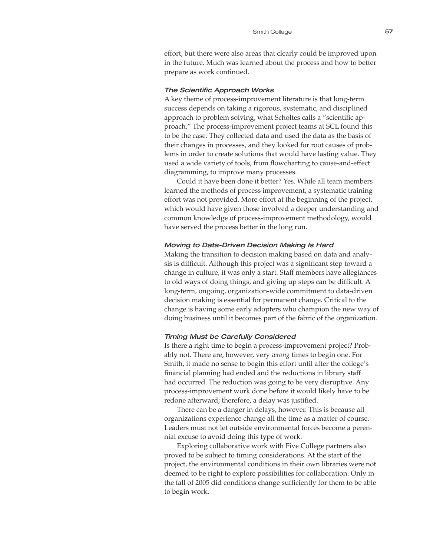effort, but there were also areas that clearly could be improved upon in the future. Much was learned about the process and how to better prepare as work continued.

#### The Scientific Approach Works

A key theme of process-improvement literature is that long-term success depends on taking a rigorous, systematic, and disciplined approach to problem solving, what Scholtes calls a "scientific approach." The process-improvement project teams at SCL found this to be the case. They collected data and used the data as the basis of their changes in processes, and they looked for root causes of problems in order to create solutions that would have lasting value. They used a wide variety of tools, from flowcharting to cause-and-effect diagramming, to improve many processes.

Could it have been done it better? Yes. While all team members learned the methods of process improvement, a systematic training effort was not provided. More effort at the beginning of the project, which would have given those involved a deeper understanding and common knowledge of process-improvement methodology, would have served the process better in the long run.

#### Moving to Data-Driven Decision Making Is Hard

Making the transition to decision making based on data and analysis is difficult. Although this project was a significant step toward a change in culture, it was only a start. Staff members have allegiances to old ways of doing things, and giving up steps can be difficult. A long-term, ongoing, organization-wide commitment to data-driven decision making is essential for permanent change. Critical to the change is having some early adopters who champion the new way of doing business until it becomes part of the fabric of the organization.

#### Timing Must be Carefully Considered

Is there a right time to begin a process-improvement project? Probably not. There are, however, very *wrong* times to begin one. For Smith, it made no sense to begin this effort until after the college's financial planning had ended and the reductions in library staff had occurred. The reduction was going to be very disruptive. Any process-improvement work done before it would likely have to be redone afterward; therefore, a delay was justified.

There can be a danger in delays, however. This is because all organizations experience change all the time as a matter of course. Leaders must not let outside environmental forces become a perennial excuse to avoid doing this type of work.

Exploring collaborative work with Five College partners also proved to be subject to timing considerations. At the start of the project, the environmental conditions in their own libraries were not deemed to be right to explore possibilities for collaboration. Only in the fall of 2005 did conditions change sufficiently for them to be able to begin work.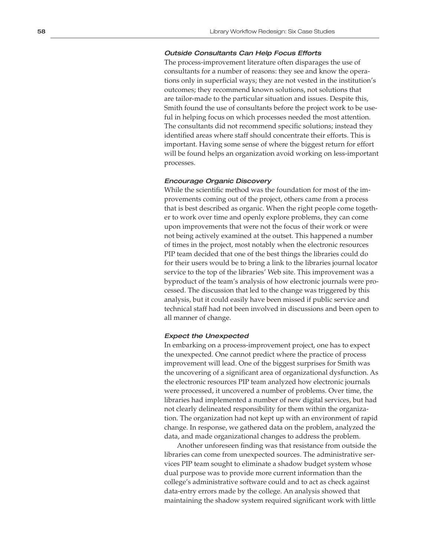#### Outside Consultants Can Help Focus Efforts

The process-improvement literature often disparages the use of consultants for a number of reasons: they see and know the opera tions only in superficial ways; they are not vested in the institution's outcomes; they recommend known solutions, not solutions that are tailor-made to the particular situation and issues. Despite this, Smith found the use of consultants before the project work to be use ful in helping focus on which processes needed the most attention. The consultants did not recommend specific solutions; instead they identified areas where staff should concentrate their efforts. This is important. Having some sense of where the biggest return for effort will be found helps an organization avoid working on less-important processes.

#### Encourage Organic Discovery

While the scientific method was the foundation for most of the im provements coming out of the project, others came from a process that is best described as organic. When the right people come togeth er to work over time and openly explore problems, they can come upon improvements that were not the focus of their work or were not being actively examined at the outset. This happened a number of times in the project, most notably when the electronic resources PIP team decided that one of the best things the libraries could do for their users would be to bring a link to the libraries journal locator service to the top of the libraries' Web site. This improvement was a byproduct of the team's analysis of how electronic journals were pro cessed. The discussion that led to the change was triggered by this analysis, but it could easily have been missed if public service and technical staff had not been involved in discussions and been open to all manner of change.

#### Expect the Unexpected

In embarking on a process-improvement project, one has to expect the unexpected. One cannot predict where the practice of process improvement will lead. One of the biggest surprises for Smith was the uncovering of a significant area of organizational dysfunction. As the electronic resources PIP team analyzed how electronic journals were processed, it uncovered a number of problems. Over time, the libraries had implemented a number of new digital services, but had not clearly delineated responsibility for them within the organiza tion. The organization had not kept up with an environment of rapid change. In response, we gathered data on the problem, analyzed the data, and made organizational changes to address the problem.

Another unforeseen finding was that resistance from outside the libraries can come from unexpected sources. The administrative ser vices PIP team sought to eliminate a shadow budget system whose dual purpose was to provide more current information than the college's administrative software could and to act as check against data-entry errors made by the college. An analysis showed that maintaining the shadow system required significant work with little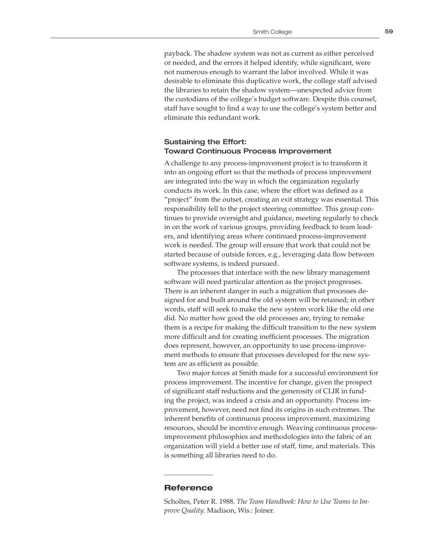payback. The shadow system was not as current as either perceived or needed, and the errors it helped identify, while significant, were not numerous enough to warrant the labor involved. While it was desirable to eliminate this duplicative work, the college staff advised the libraries to retain the shadow system—unexpected advice from the custodians of the college's budget software. Despite this counsel, staff have sought to find a way to use the college's system better and eliminate this redundant work.

# Sustaining the Effort: Toward Continuous Process Improvement

A challenge to any process-improvement project is to transform it into an ongoing effort so that the methods of process improvement are integrated into the way in which the organization regularly conducts its work. In this case, where the effort was defined as a "project" from the outset, creating an exit strategy was essential. This responsibility fell to the project steering committee. This group continues to provide oversight and guidance, meeting regularly to check in on the work of various groups, providing feedback to team leaders, and identifying areas where continued process-improvement work is needed. The group will ensure that work that could not be started because of outside forces, e.g., leveraging data flow between software systems, is indeed pursued.

The processes that interface with the new library management software will need particular attention as the project progresses. There is an inherent danger in such a migration that processes designed for and built around the old system will be retained; in other words, staff will seek to make the new system work like the old one did. No matter how good the old processes are, trying to remake them is a recipe for making the difficult transition to the new system more difficult and for creating inefficient processes. The migration does represent, however, an opportunity to use process-improvement methods to ensure that processes developed for the new system are as efficient as possible.

Two major forces at Smith made for a successful environment for process improvement. The incentive for change, given the prospect of significant staff reductions and the generosity of CLIR in funding the project, was indeed a crisis and an opportunity. Process improvement, however, need not find its origins in such extremes. The inherent benefits of continuous process improvement, maximizing resources, should be incentive enough. Weaving continuous processimprovement philosophies and methodologies into the fabric of an organization will yield a better use of staff, time, and materials. This is something all libraries need to do.

# **Reference**

Scholtes, Peter R. 1988. *The Team Handbook: How to Use Teams to Improve Quality.* Madison, Wis.: Joiner.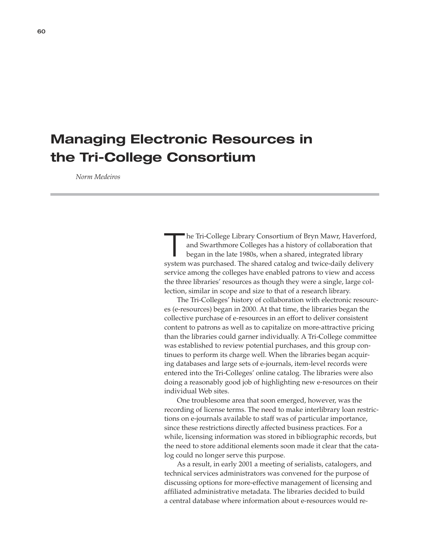# **Managing Electronic Resources in the Tri-College Consortium**

 *Norm Medeiros*

The Tri-College Library Consortium of Bryn Mawr, Haverford,<br>
and Swarthmore Colleges has a history of collaboration that<br>
began in the late 1980s, when a shared, integrated library and Swarthmore Colleges has a history of collaboration that system was purchased. The shared catalog and twice-daily delivery service among the colleges have enabled patrons to view and access the three libraries' resources as though they were a single, large collection, similar in scope and size to that of a research library.

The Tri-Colleges' history of collaboration with electronic resources (e-resources) began in 2000. At that time, the libraries began the collective purchase of e-resources in an effort to deliver consistent content to patrons as well as to capitalize on more-attractive pricing than the libraries could garner individually. A Tri-College committee was established to review potential purchases, and this group continues to perform its charge well. When the libraries began acquiring databases and large sets of e-journals, item-level records were entered into the Tri-Colleges' online catalog. The libraries were also doing a reasonably good job of highlighting new e-resources on their individual Web sites.

One troublesome area that soon emerged, however, was the recording of license terms. The need to make interlibrary loan restrictions on e-journals available to staff was of particular importance, since these restrictions directly affected business practices. For a while, licensing information was stored in bibliographic records, but the need to store additional elements soon made it clear that the catalog could no longer serve this purpose.

As a result, in early 2001 a meeting of serialists, catalogers, and technical services administrators was convened for the purpose of discussing options for more-effective management of licensing and affiliated administrative metadata. The libraries decided to build a central database where information about e-resources would re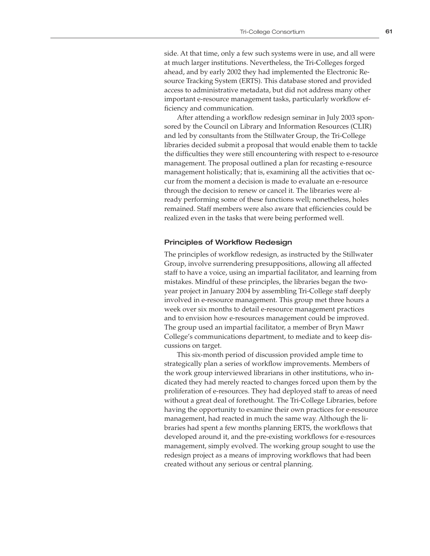side. At that time, only a few such systems were in use, and all were at much larger institutions. Nevertheless, the Tri-Colleges forged ahead, and by early 2002 they had implemented the Electronic Resource Tracking System (ERTS). This database stored and provided access to administrative metadata, but did not address many other important e-resource management tasks, particularly workflow efficiency and communication.

After attending a workflow redesign seminar in July 2003 sponsored by the Council on Library and Information Resources (CLIR) and led by consultants from the Stillwater Group, the Tri-College libraries decided submit a proposal that would enable them to tackle the difficulties they were still encountering with respect to e-resource management. The proposal outlined a plan for recasting e-resource management holistically; that is, examining all the activities that occur from the moment a decision is made to evaluate an e-resource through the decision to renew or cancel it. The libraries were already performing some of these functions well; nonetheless, holes remained. Staff members were also aware that efficiencies could be realized even in the tasks that were being performed well.

#### Principles of Workflow Redesign

The principles of workflow redesign, as instructed by the Stillwater Group, involve surrendering presuppositions, allowing all affected staff to have a voice, using an impartial facilitator, and learning from mistakes. Mindful of these principles, the libraries began the twoyear project in January 2004 by assembling Tri-College staff deeply involved in e-resource management. This group met three hours a week over six months to detail e-resource management practices and to envision how e-resources management could be improved. The group used an impartial facilitator, a member of Bryn Mawr College's communications department, to mediate and to keep discussions on target.

This six-month period of discussion provided ample time to strategically plan a series of workflow improvements. Members of the work group interviewed librarians in other institutions, who indicated they had merely reacted to changes forced upon them by the proliferation of e-resources. They had deployed staff to areas of need without a great deal of forethought. The Tri-College Libraries, before having the opportunity to examine their own practices for e-resource management, had reacted in much the same way. Although the libraries had spent a few months planning ERTS, the workflows that developed around it, and the pre-existing workflows for e-resources management, simply evolved. The working group sought to use the redesign project as a means of improving workflows that had been created without any serious or central planning.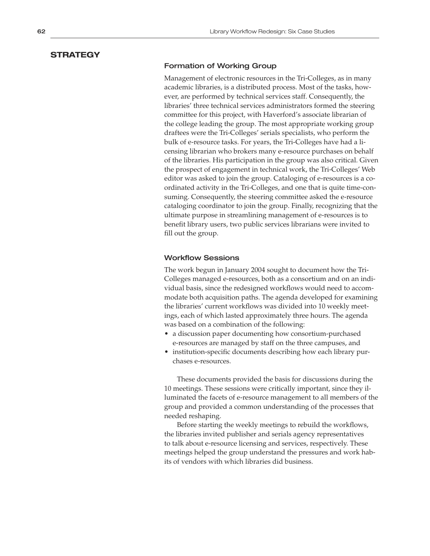# **STRATEGY**

# Formation of Working Group

Management of electronic resources in the Tri-Colleges, as in many academic libraries, is a distributed process. Most of the tasks, however, are performed by technical services staff. Consequently, the libraries' three technical services administrators formed the steering committee for this project, with Haverford's associate librarian of the college leading the group. The most appropriate working group draftees were the Tri-Colleges' serials specialists, who perform the bulk of e-resource tasks. For years, the Tri-Colleges have had a licensing librarian who brokers many e-resource purchases on behalf of the libraries. His participation in the group was also critical. Given the prospect of engagement in technical work, the Tri-Colleges' Web editor was asked to join the group. Cataloging of e-resources is a coordinated activity in the Tri-Colleges, and one that is quite time-consuming. Consequently, the steering committee asked the e-resource cataloging coordinator to join the group. Finally, recognizing that the ultimate purpose in streamlining management of e-resources is to benefit library users, two public services librarians were invited to fill out the group.

# Workflow Sessions

The work begun in January 2004 sought to document how the Tri-Colleges managed e-resources, both as a consortium and on an individual basis, since the redesigned workflows would need to accommodate both acquisition paths. The agenda developed for examining the libraries' current workflows was divided into 10 weekly meetings, each of which lasted approximately three hours. The agenda was based on a combination of the following:

- a discussion paper documenting how consortium-purchased e-resources are managed by staff on the three campuses, and
- institution-specific documents describing how each library purchases e-resources.

These documents provided the basis for discussions during the 10 meetings. These sessions were critically important, since they illuminated the facets of e-resource management to all members of the group and provided a common understanding of the processes that needed reshaping.

Before starting the weekly meetings to rebuild the workflows, the libraries invited publisher and serials agency representatives to talk about e-resource licensing and services, respectively. These meetings helped the group understand the pressures and work habits of vendors with which libraries did business.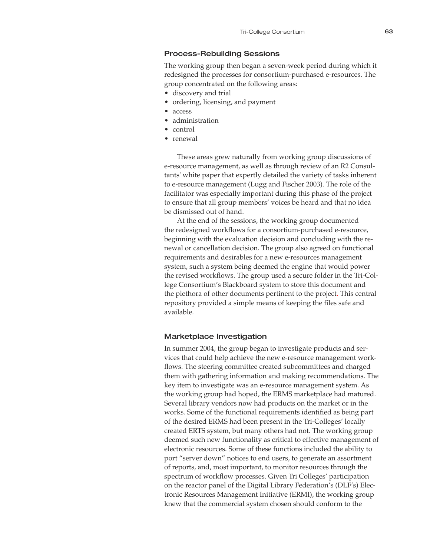# Process-Rebuilding Sessions

The working group then began a seven-week period during which it redesigned the processes for consortium-purchased e-resources. The group concentrated on the following areas:

- discovery and trial
- ordering, licensing, and payment
- access
- administration
- control
- renewal

These areas grew naturally from working group discussions of e-resource management, as well as through review of an R2 Consultants' white paper that expertly detailed the variety of tasks inherent to e-resource management (Lugg and Fischer 2003). The role of the facilitator was especially important during this phase of the project to ensure that all group members' voices be heard and that no idea be dismissed out of hand.

At the end of the sessions, the working group documented the redesigned workflows for a consortium-purchased e-resource, beginning with the evaluation decision and concluding with the renewal or cancellation decision. The group also agreed on functional requirements and desirables for a new e-resources management system, such a system being deemed the engine that would power the revised workflows. The group used a secure folder in the Tri-College Consortium's Blackboard system to store this document and the plethora of other documents pertinent to the project. This central repository provided a simple means of keeping the files safe and available.

#### Marketplace Investigation

In summer 2004, the group began to investigate products and services that could help achieve the new e-resource management workflows. The steering committee created subcommittees and charged them with gathering information and making recommendations. The key item to investigate was an e-resource management system. As the working group had hoped, the ERMS marketplace had matured. Several library vendors now had products on the market or in the works. Some of the functional requirements identified as being part of the desired ERMS had been present in the Tri-Colleges' locally created ERTS system, but many others had not. The working group deemed such new functionality as critical to effective management of electronic resources. Some of these functions included the ability to port "server down" notices to end users, to generate an assortment of reports, and, most important, to monitor resources through the spectrum of workflow processes. Given Tri Colleges' participation on the reactor panel of the Digital Library Federation's (DLF's) Electronic Resources Management Initiative (ERMI), the working group knew that the commercial system chosen should conform to the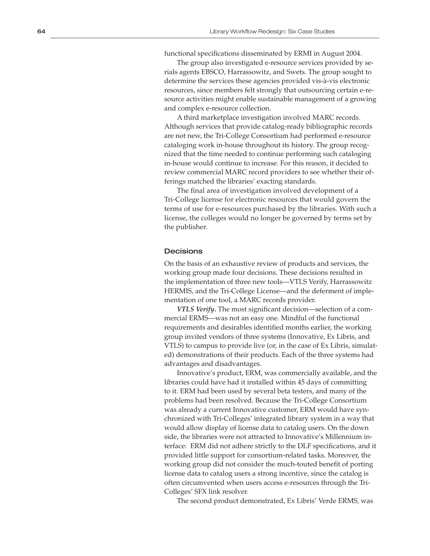functional specifications disseminated by ERMI in August 2004.

The group also investigated e-resource services provided by se rials agents EBSCO, Harrassowitz, and Swets. The group sought to determine the services these agencies provided vis-à-vis electronic resources, since members felt strongly that outsourcing certain e-re source activities might enable sustainable management of a growing and complex e-resource collection.

A third marketplace investigation involved MARC records. Although services that provide catalog-ready bibliographic records are not new, the Tri-College Consortium had performed e-resource cataloging work in-house throughout its history. The group recog nized that the time needed to continue performing such cataloging in-house would continue to increase. For this reason, it decided to review commercial MARC record providers to see whether their of ferings matched the libraries' exacting standards.

The final area of investigation involved development of a Tri-College license for electronic resources that would govern the terms of use for e-resources purchased by the libraries. With such a license, the colleges would no longer be governed by terms set by the publisher.

# **Decisions**

On the basis of an exhaustive review of products and services, the working group made four decisions. These decisions resulted in the implementation of three new tools—VTLS Verify, Harrassowitz HERMIS, and the Tri-College License—and the deferment of imple mentation of one tool, a MARC records provider.

VTLS Verify. The most significant decision—selection of a commercial ERMS—was not an easy one. Mindful of the functional requirements and desirables identified months earlier, the working group invited vendors of three systems (Innovative, Ex Libris, and VTLS) to campus to provide live (or, in the case of Ex Libris, simulat ed) demonstrations of their products. Each of the three systems had advantages and disadvantages.

Innovative's product, ERM, was commercially available, and the libraries could have had it installed within 45 days of committing to it. ERM had been used by several beta testers, and many of the problems had been resolved. Because the Tri-College Consortium was already a current Innovative customer, ERM would have syn chronized with Tri-Colleges' integrated library system in a way that would allow display of license data to catalog users. On the down side, the libraries were not attracted to Innovative's Millennium in terface: ERM did not adhere strictly to the DLF specifications, and it provided little support for consortium-related tasks. Moreover, the working group did not consider the much-touted benefit of porting license data to catalog users a strong incentive, since the catalog is often circumvented when users access e-resources through the Tri-Colleges' SFX link resolver.

The second product demonstrated, Ex Libris' Verde ERMS, was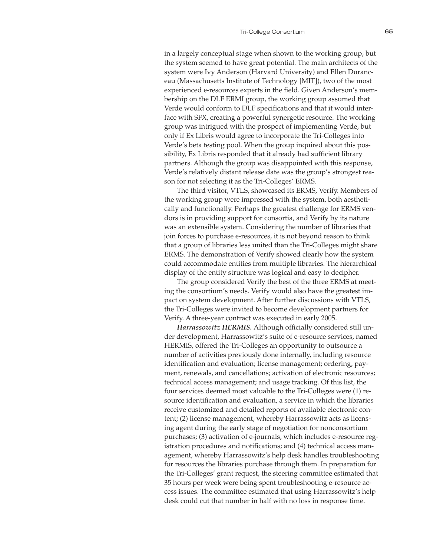in a largely conceptual stage when shown to the working group, but the system seemed to have great potential. The main architects of the system were Ivy Anderson (Harvard University) and Ellen Duranceau (Massachusetts Institute of Technology [MIT]), two of the most experienced e-resources experts in the field. Given Anderson's membership on the DLF ERMI group, the working group assumed that Verde would conform to DLF specifications and that it would interface with SFX, creating a powerful synergetic resource. The working group was intrigued with the prospect of implementing Verde, but only if Ex Libris would agree to incorporate the Tri-Colleges into Verde's beta testing pool. When the group inquired about this possibility, Ex Libris responded that it already had sufficient library partners. Although the group was disappointed with this response, Verde's relatively distant release date was the group's strongest reason for not selecting it as the Tri-Colleges' ERMS.

The third visitor, VTLS, showcased its ERMS, Verify. Members of the working group were impressed with the system, both aesthetically and functionally. Perhaps the greatest challenge for ERMS vendors is in providing support for consortia, and Verify by its nature was an extensible system. Considering the number of libraries that join forces to purchase e-resources, it is not beyond reason to think that a group of libraries less united than the Tri-Colleges might share ERMS. The demonstration of Verify showed clearly how the system could accommodate entities from multiple libraries. The hierarchical display of the entity structure was logical and easy to decipher.

The group considered Verify the best of the three ERMS at meeting the consortium's needs. Verify would also have the greatest impact on system development. After further discussions with VTLS, the Tri-Colleges were invited to become development partners for Verify. A three-year contract was executed in early 2005.

*Harrassowitz HERMIS.* Although officially considered still under development, Harrassowitz's suite of e-resource services, named HERMIS, offered the Tri-Colleges an opportunity to outsource a number of activities previously done internally, including resource identification and evaluation; license management; ordering, payment, renewals, and cancellations; activation of electronic resources; technical access management; and usage tracking. Of this list, the four services deemed most valuable to the Tri-Colleges were (1) resource identification and evaluation, a service in which the libraries receive customized and detailed reports of available electronic content; (2) license management, whereby Harrassowitz acts as licensing agent during the early stage of negotiation for nonconsortium purchases; (3) activation of e-journals, which includes e-resource registration procedures and notifications; and (4) technical access management, whereby Harrassowitz's help desk handles troubleshooting for resources the libraries purchase through them. In preparation for the Tri-Colleges' grant request, the steering committee estimated that 35 hours per week were being spent troubleshooting e-resource access issues. The committee estimated that using Harrassowitz's help desk could cut that number in half with no loss in response time.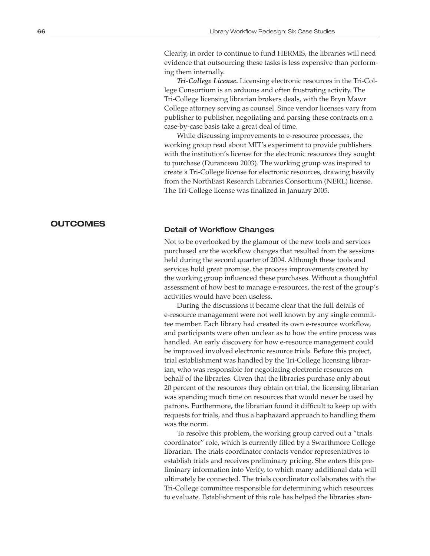Clearly, in order to continue to fund HERMIS, the libraries will need evidence that outsourcing these tasks is less expensive than performing them internally.

*Tri-College License.* Licensing electronic resources in the Tri-College Consortium is an arduous and often frustrating activity. The Tri-College licensing librarian brokers deals, with the Bryn Mawr College attorney serving as counsel. Since vendor licenses vary from publisher to publisher, negotiating and parsing these contracts on a case-by-case basis take a great deal of time.

While discussing improvements to e-resource processes, the working group read about MIT's experiment to provide publishers with the institution's license for the electronic resources they sought to purchase (Duranceau 2003). The working group was inspired to create a Tri-College license for electronic resources, drawing heavily from the NorthEast Research Libraries Consortium (NERL) license. The Tri-College license was finalized in January 2005.

# **OUTCOMES**

# Detail of Workflow Changes

Not to be overlooked by the glamour of the new tools and services purchased are the workflow changes that resulted from the sessions held during the second quarter of 2004. Although these tools and services hold great promise, the process improvements created by the working group influenced these purchases. Without a thoughtful assessment of how best to manage e-resources, the rest of the group's activities would have been useless.

During the discussions it became clear that the full details of e-resource management were not well known by any single committee member. Each library had created its own e-resource workflow, and participants were often unclear as to how the entire process was handled. An early discovery for how e-resource management could be improved involved electronic resource trials. Before this project, trial establishment was handled by the Tri-College licensing librarian, who was responsible for negotiating electronic resources on behalf of the libraries. Given that the libraries purchase only about 20 percent of the resources they obtain on trial, the licensing librarian was spending much time on resources that would never be used by patrons. Furthermore, the librarian found it difficult to keep up with requests for trials, and thus a haphazard approach to handling them was the norm.

To resolve this problem, the working group carved out a "trials coordinator" role, which is currently filled by a Swarthmore College librarian. The trials coordinator contacts vendor representatives to establish trials and receives preliminary pricing. She enters this preliminary information into Verify, to which many additional data will ultimately be connected. The trials coordinator collaborates with the Tri-College committee responsible for determining which resources to evaluate. Establishment of this role has helped the libraries stan-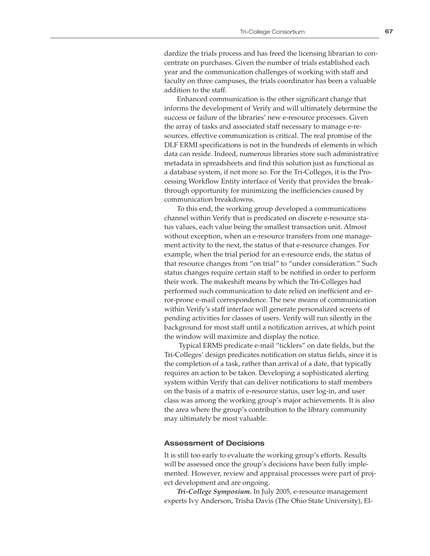dardize the trials process and has freed the licensing librarian to concentrate on purchases. Given the number of trials established each year and the communication challenges of working with staff and faculty on three campuses, the trials coordinator has been a valuable addition to the staff.

Enhanced communication is the other significant change that informs the development of Verify and will ultimately determine the success or failure of the libraries' new e-resource processes. Given the array of tasks and associated staff necessary to manage e-resources, effective communication is critical. The real promise of the DLF ERMI specifications is not in the hundreds of elements in which data can reside. Indeed, numerous libraries store such administrative metadata in spreadsheets and find this solution just as functional as a database system, if not more so. For the Tri-Colleges, it is the Processing Workflow Entity interface of Verify that provides the breakthrough opportunity for minimizing the inefficiencies caused by communication breakdowns.

To this end, the working group developed a communications channel within Verify that is predicated on discrete e-resource status values, each value being the smallest transaction unit. Almost without exception, when an e-resource transfers from one management activity to the next, the status of that e-resource changes. For example, when the trial period for an e-resource ends, the status of that resource changes from "on trial" to "under consideration." Such status changes require certain staff to be notified in order to perform their work. The makeshift means by which the Tri-Colleges had performed such communication to date relied on inefficient and error-prone e-mail correspondence. The new means of communication within Verify's staff interface will generate personalized screens of pending activities for classes of users. Verify will run silently in the background for most staff until a notification arrives, at which point the window will maximize and display the notice.

 Typical ERMS predicate e-mail "ticklers" on date fields, but the Tri-Colleges' design predicates notification on status fields, since it is the completion of a task, rather than arrival of a date, that typically requires an action to be taken. Developing a sophisticated alerting system within Verify that can deliver notifications to staff members on the basis of a matrix of e-resource status, user log-in, and user class was among the working group's major achievements. It is also the area where the group's contribution to the library community may ultimately be most valuable.

## Assessment of Decisions

It is still too early to evaluate the working group's efforts. Results will be assessed once the group's decisions have been fully implemented. However, review and appraisal processes were part of project development and are ongoing.

*Tri-College Symposium.* In July 2005, e-resource management experts Ivy Anderson, Trisha Davis (The Ohio State University), El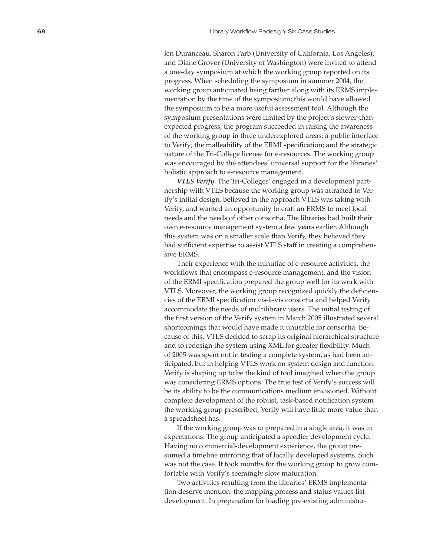len Duranceau, Sharon Farb (University of California, Los Angeles), and Diane Grover (University of Washington) were invited to attend a one-day symposium at which the working group reported on its progress. When scheduling the symposium in summer 2004, the working group anticipated being farther along with its ERMS imple mentation by the time of the symposium; this would have allowed the symposium to be a more useful assessment tool. Although the symposium presentations were limited by the project's slower-thanexpected progress, the program succeeded in raising the awareness of the working group in three underexplored areas: a public interface to Verify; the malleability of the ERMI specification; and the strategic nature of the Tri-College license for e-resources. The working group was encouraged by the attendees' universal support for the libraries' holistic approach to e-resource management.

*VTLS Verify.* The Tri-Colleges' engaged in a development part nership with VTLS because the working group was attracted to Ver ify's initial design, believed in the approach VTLS was taking with Verify, and wanted an opportunity to craft an ERMS to meet local needs and the needs of other consortia. The libraries had built their own e-resource management system a few years earlier. Although this system was on a smaller scale than Verify, they believed they had sufficient expertise to assist VTLS staff in creating a comprehen sive ERMS.

Their experience with the minutiae of e-resource activities, the workflows that encompass e-resource management, and the vision of the ERMI specification prepared the group well for its work with VTLS. Moreover, the working group recognized quickly the deficien cies of the ERMI specification vis-à-vis consortia and helped Verify accommodate the needs of multilibrary users. The initial testing of the first version of the Verify system in March 2005 illustrated several shortcomings that would have made it unusable for consortia. Be cause of this, VTLS decided to scrap its original hierarchical structure and to redesign the system using XML for greater flexibility. Much of 2005 was spent not in testing a complete system, as had been an ticipated, but in helping VTLS work on system design and function. Verify is shaping up to be the kind of tool imagined when the group was considering ERMS options. The true test of Verify's success will be its ability to be the communications medium envisioned. Without complete development of the robust, task-based notification system the working group prescribed, Verify will have little more value than a spreadsheet has.

If the working group was unprepared in a single area, it was in expectations. The group anticipated a speedier development cycle. Having no commercial-development experience, the group pre sumed a timeline mirroring that of locally developed systems. Such was not the case. It took months for the working group to grow com fortable with Verify's seemingly slow maturation.

Two activities resulting from the libraries' ERMS implementa tion deserve mention: the mapping process and status values list development. In preparation for loading pre-existing administra -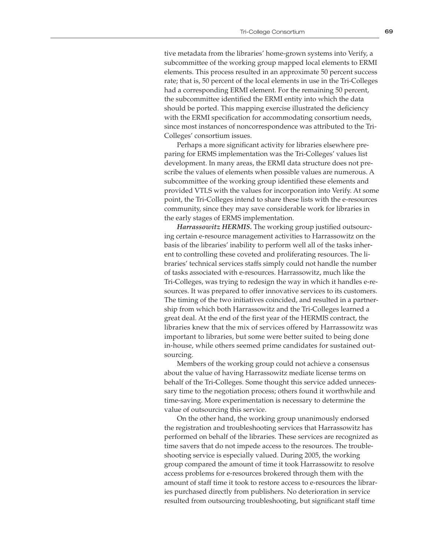tive metadata from the libraries' home-grown systems into Verify, a subcommittee of the working group mapped local elements to ERMI elements. This process resulted in an approximate 50 percent success rate; that is, 50 percent of the local elements in use in the Tri-Colleges had a corresponding ERMI element. For the remaining 50 percent, the subcommittee identified the ERMI entity into which the data should be ported. This mapping exercise illustrated the deficiency with the ERMI specification for accommodating consortium needs, since most instances of noncorrespondence was attributed to the Tri-Colleges' consortium issues.

Perhaps a more significant activity for libraries elsewhere preparing for ERMS implementation was the Tri-Colleges' values list development. In many areas, the ERMI data structure does not prescribe the values of elements when possible values are numerous. A subcommittee of the working group identified these elements and provided VTLS with the values for incorporation into Verify. At some point, the Tri-Colleges intend to share these lists with the e-resources community, since they may save considerable work for libraries in the early stages of ERMS implementation.

*Harrassowitz HERMIS.* The working group justified outsourcing certain e-resource management activities to Harrassowitz on the basis of the libraries' inability to perform well all of the tasks inherent to controlling these coveted and proliferating resources. The libraries' technical services staffs simply could not handle the number of tasks associated with e-resources. Harrassowitz, much like the Tri-Colleges, was trying to redesign the way in which it handles e-resources. It was prepared to offer innovative services to its customers. The timing of the two initiatives coincided, and resulted in a partnership from which both Harrassowitz and the Tri-Colleges learned a great deal. At the end of the first year of the HERMIS contract, the libraries knew that the mix of services offered by Harrassowitz was important to libraries, but some were better suited to being done in-house, while others seemed prime candidates for sustained outsourcing.

Members of the working group could not achieve a consensus about the value of having Harrassowitz mediate license terms on behalf of the Tri-Colleges. Some thought this service added unnecessary time to the negotiation process; others found it worthwhile and time-saving. More experimentation is necessary to determine the value of outsourcing this service.

On the other hand, the working group unanimously endorsed the registration and troubleshooting services that Harrassowitz has performed on behalf of the libraries. These services are recognized as time savers that do not impede access to the resources. The troubleshooting service is especially valued. During 2005, the working group compared the amount of time it took Harrassowitz to resolve access problems for e-resources brokered through them with the amount of staff time it took to restore access to e-resources the libraries purchased directly from publishers. No deterioration in service resulted from outsourcing troubleshooting, but significant staff time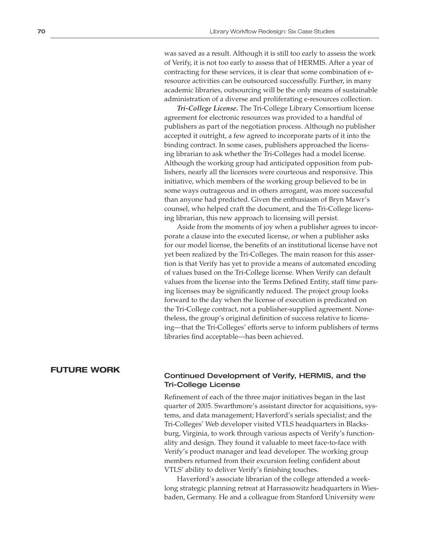was saved as a result. Although it is still too early to assess the work of Verify, it is not too early to assess that of HERMIS. After a year of contracting for these services, it is clear that some combination of eresource activities can be outsourced successfully. Further, in many academic libraries, outsourcing will be the only means of sustainable administration of a diverse and proliferating e-resources collection.

*Tri-College License.* The Tri-College Library Consortium license agreement for electronic resources was provided to a handful of publishers as part of the negotiation process. Although no publisher accepted it outright, a few agreed to incorporate parts of it into the binding contract. In some cases, publishers approached the licensing librarian to ask whether the Tri-Colleges had a model license. Although the working group had anticipated opposition from publishers, nearly all the licensors were courteous and responsive. This initiative, which members of the working group believed to be in some ways outrageous and in others arrogant, was more successful than anyone had predicted. Given the enthusiasm of Bryn Mawr's counsel, who helped craft the document, and the Tri-College licensing librarian, this new approach to licensing will persist.

Aside from the moments of joy when a publisher agrees to incorporate a clause into the executed license, or when a publisher asks for our model license, the benefits of an institutional license have not yet been realized by the Tri-Colleges. The main reason for this assertion is that Verify has yet to provide a means of automated encoding of values based on the Tri-College license. When Verify can default values from the license into the Terms Defined Entity, staff time parsing licenses may be significantly reduced. The project group looks forward to the day when the license of execution is predicated on the Tri-College contract, not a publisher-supplied agreement. Nonetheless, the group's original definition of success relative to licensing—that the Tri-Colleges' efforts serve to inform publishers of terms libraries find acceptable—has been achieved.

# **FUTURE WORK**

# Continued Development of Verify, HERMIS, and the Tri-College License

Refinement of each of the three major initiatives began in the last quarter of 2005. Swarthmore's assistant director for acquisitions, systems, and data management; Haverford's serials specialist; and the Tri-Colleges' Web developer visited VTLS headquarters in Blacksburg, Virginia, to work through various aspects of Verify's functionality and design. They found it valuable to meet face-to-face with Verify's product manager and lead developer. The working group members returned from their excursion feeling confident about VTLS' ability to deliver Verify's finishing touches.

Haverford's associate librarian of the college attended a weeklong strategic planning retreat at Harrassowitz headquarters in Wiesbaden, Germany. He and a colleague from Stanford University were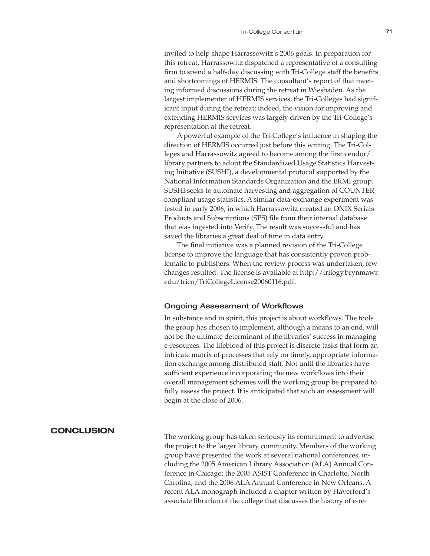invited to help shape Harrassowitz's 2006 goals. In preparation for this retreat, Harrassowitz dispatched a representative of a consulting firm to spend a half-day discussing with Tri-College staff the benefits and shortcomings of HERMIS. The consultant's report of that meeting informed discussions during the retreat in Wiesbaden. As the largest implementer of HERMIS services, the Tri-Colleges had significant input during the retreat; indeed, the vision for improving and extending HERMIS services was largely driven by the Tri-College's representation at the retreat.

A powerful example of the Tri-College's influence in shaping the direction of HERMIS occurred just before this writing. The Tri-Colleges and Harrassowitz agreed to become among the first vendor/ library partners to adopt the Standardized Usage Statistics Harvesting Initiative (SUSHI), a developmental protocol supported by the National Information Standards Organization and the ERMI group. SUSHI seeks to automate harvesting and aggregation of COUNTERcompliant usage statistics. A similar data-exchange experiment was tested in early 2006, in which Harrassowitz created an ONIX Serials Products and Subscriptions (SPS) file from their internal database that was ingested into Verify. The result was successful and has saved the libraries a great deal of time in data entry.

The final initiative was a planned revision of the Tri-College license to improve the language that has consistently proven problematic to publishers. When the review process was undertaken, few changes resulted. The license is available at http://trilogy.brynmawr. edu/trico/TriCollegeLicense20060116.pdf.

# Ongoing Assessment of Workflows

In substance and in spirit, this project is about workflows. The tools the group has chosen to implement, although a means to an end, will not be the ultimate determinant of the libraries' success in managing e-resources. The lifeblood of this project is discrete tasks that form an intricate matrix of processes that rely on timely, appropriate information exchange among distributed staff. Not until the libraries have sufficient experience incorporating the new workflows into their overall management schemes will the working group be prepared to fully assess the project. It is anticipated that such an assessment will begin at the close of 2006.

# **CONCLUSION**

The working group has taken seriously its commitment to advertise the project to the larger library community. Members of the working group have presented the work at several national conferences, including the 2005 American Library Association (ALA) Annual Conference in Chicago; the 2005 ASIST Conference in Charlotte, North Carolina; and the 2006 ALA Annual Conference in New Orleans. A recent ALA monograph included a chapter written by Haverford's associate librarian of the college that discusses the history of e-re-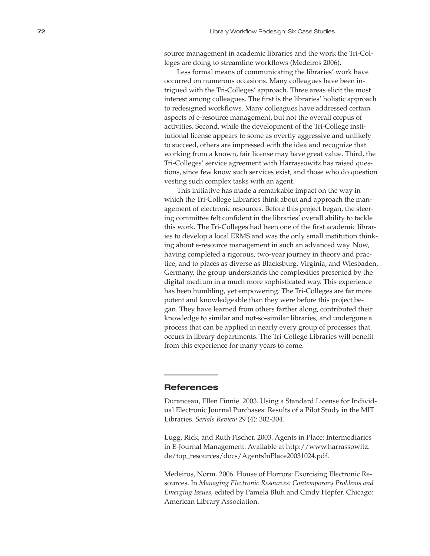source management in academic libraries and the work the Tri-Col leges are doing to streamline workflows (Medeiros 2006).

Less formal means of communicating the libraries' work have occurred on numerous occasions. Many colleagues have been in trigued with the Tri-Colleges' approach. Three areas elicit the most interest among colleagues. The first is the libraries' holistic approach to redesigned workflows. Many colleagues have addressed certain aspects of e-resource management, but not the overall corpus of activities. Second, while the development of the Tri-College insti tutional license appears to some as overtly aggressive and unlikely to succeed, others are impressed with the idea and recognize that working from a known, fair license may have great value. Third, the Tri-Colleges' service agreement with Harrassowitz has raised ques tions, since few know such services exist, and those who do question vesting such complex tasks with an agent.

This initiative has made a remarkable impact on the way in which the Tri-College Libraries think about and approach the man agement of electronic resources. Before this project began, the steer ing committee felt confident in the libraries' overall ability to tackle this work. The Tri-Colleges had been one of the first academic librar ies to develop a local ERMS and was the only small institution think ing about e-resource management in such an advanced way. Now, having completed a rigorous, two-year journey in theory and prac tice, and to places as diverse as Blacksburg, Virginia, and Wiesbaden, Germany, the group understands the complexities presented by the digital medium in a much more sophisticated way. This experience has been humbling, yet empowering. The Tri-Colleges are far more potent and knowledgeable than they were before this project be gan. They have learned from others farther along, contributed their knowledge to similar and not-so-similar libraries, and undergone a process that can be applied in nearly every group of processes that occurs in library departments. The Tri-College Libraries will benefit from this experience for many years to come.

# **References**

Duranceau, Ellen Finnie. 2003. Using a Standard License for Individ ual Electronic Journal Purchases: Results of a Pilot Study in the MIT Libraries. *Serials Review* 29 (4): 302-304.

Lugg, Rick, and Ruth Fischer. 2003. Agents in Place: Intermediaries in E-Journal Management. Available at http://www.harrassowitz. de/top\_resources/docs/AgentsInPlace20031024.pdf.

Medeiros, Norm. 2006. House of Horrors: Exorcising Electronic Re sources. In *Managing Electronic Resources: Contemporary Problems and Emerging Issues,* edited by Pamela Bluh and Cindy Hepfer. Chicago: American Library Association.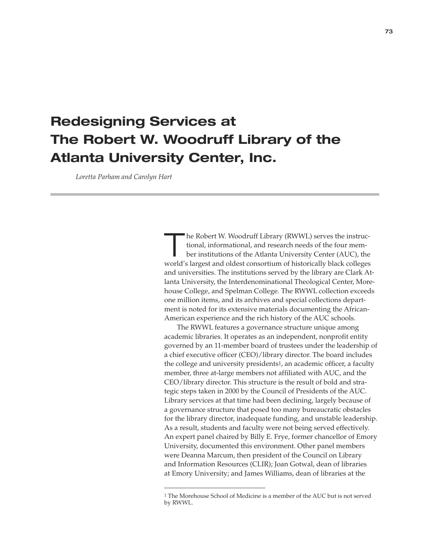# **Redesigning Services at The Robert W. Woodruff Library of the Atlanta University Center, Inc.**

 *Loretta Parham and Carolyn Hart*

The Robert W. Woodruff Library (RWWL) serves the instructional, informational, and research needs of the four member institutions of the Atlanta University Center (AUC), the tional, informational, and research needs of the four memworld's largest and oldest consortium of historically black colleges and universities. The institutions served by the library are Clark Atlanta University, the Interdenominational Theological Center, Morehouse College, and Spelman College. The RWWL collection exceeds one million items, and its archives and special collections department is noted for its extensive materials documenting the African-American experience and the rich history of the AUC schools.

The RWWL features a governance structure unique among academic libraries. It operates as an independent, nonprofit entity governed by an 11-member board of trustees under the leadership of a chief executive officer (CEO)/library director. The board includes the college and university presidents1, an academic officer, a faculty member, three at-large members not affiliated with AUC, and the CEO/library director. This structure is the result of bold and strategic steps taken in 2000 by the Council of Presidents of the AUC. Library services at that time had been declining, largely because of a governance structure that posed too many bureaucratic obstacles for the library director, inadequate funding, and unstable leadership. As a result, students and faculty were not being served effectively. An expert panel chaired by Billy E. Frye, former chancellor of Emory University, documented this environment. Other panel members were Deanna Marcum, then president of the Council on Library and Information Resources (CLIR); Joan Gotwal, dean of libraries at Emory University; and James Williams, dean of libraries at the

<sup>1</sup> The Morehouse School of Medicine is a member of the AUC but is not served by RWWL.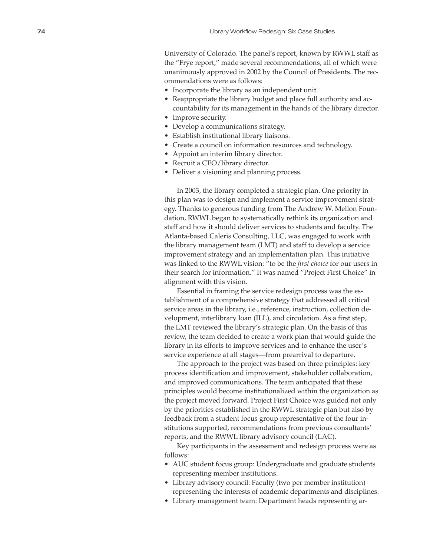University of Colorado. The panel's report, known by RWWL staff as the "Frye report," made several recommendations, all of which were unanimously approved in 2002 by the Council of Presidents. The rec ommendations were as follows:

- Incorporate the library as an independent unit.
- Reappropriate the library budget and place full authority and accountability for its management in the hands of the library director.
- Improve security.
- Develop a communications strategy.
- Establish institutional library liaisons.
- Create a council on information resources and technology.
- Appoint an interim library director.
- Recruit a CEO/library director.
- Deliver a visioning and planning process.

In 2003, the library completed a strategic plan. One priority in this plan was to design and implement a service improvement strat egy. Thanks to generous funding from The Andrew W. Mellon Foun dation, RWWL began to systematically rethink its organization and staff and how it should deliver services to students and faculty. The Atlanta-based Caleris Consulting, LLC, was engaged to work with the library management team (LMT) and staff to develop a service improvement strategy and an implementation plan. This initiative was linked to the RWWL vision: "to be the *first choice* for our users in their search for information." It was named "Project First Choice" in alignment with this vision.

Essential in framing the service redesign process was the es tablishment of a comprehensive strategy that addressed all critical service areas in the library, i.e., reference, instruction, collection de velopment, interlibrary loan (ILL), and circulation. As a first step, the LMT reviewed the library's strategic plan. On the basis of this review, the team decided to create a work plan that would guide the library in its efforts to improve services and to enhance the user's service experience at all stages—from prearrival to departure.

The approach to the project was based on three principles: key process identification and improvement, stakeholder collaboration, and improved communications. The team anticipated that these principles would become institutionalized within the organization as the project moved forward. Project First Choice was guided not only by the priorities established in the RWWL strategic plan but also by feedback from a student focus group representative of the four in stitutions supported, recommendations from previous consultants' reports, and the RWWL library advisory council (LAC).

Key participants in the assessment and redesign process were as follows:

- AUC student focus group: Undergraduate and graduate students representing member institutions.
- Library advisory council: Faculty (two per member institution) representing the interests of academic departments and disciplines.
- Library management team: Department heads representing ar -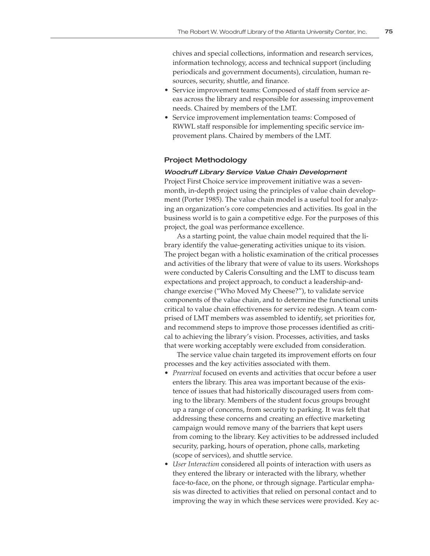chives and special collections, information and research services, information technology, access and technical support (including periodicals and government documents), circulation, human resources, security, shuttle, and finance.

- Service improvement teams: Composed of staff from service areas across the library and responsible for assessing improvement needs. Chaired by members of the LMT.
- Service improvement implementation teams: Composed of RWWL staff responsible for implementing specific service improvement plans. Chaired by members of the LMT.

# Project Methodology

# Woodruff Library Service Value Chain Development

Project First Choice service improvement initiative was a sevenmonth, in-depth project using the principles of value chain development (Porter 1985). The value chain model is a useful tool for analyzing an organization's core competencies and activities. Its goal in the business world is to gain a competitive edge. For the purposes of this project, the goal was performance excellence.

As a starting point, the value chain model required that the library identify the value-generating activities unique to its vision. The project began with a holistic examination of the critical processes and activities of the library that were of value to its users. Workshops were conducted by Caleris Consulting and the LMT to discuss team expectations and project approach, to conduct a leadership-andchange exercise ("Who Moved My Cheese?"), to validate service components of the value chain, and to determine the functional units critical to value chain effectiveness for service redesign. A team comprised of LMT members was assembled to identify, set priorities for, and recommend steps to improve those processes identified as critical to achieving the library's vision. Processes, activities, and tasks that were working acceptably were excluded from consideration.

The service value chain targeted its improvement efforts on four processes and the key activities associated with them.

- *Prearrival* focused on events and activities that occur before a user enters the library. This area was important because of the existence of issues that had historically discouraged users from coming to the library. Members of the student focus groups brought up a range of concerns, from security to parking. It was felt that addressing these concerns and creating an effective marketing campaign would remove many of the barriers that kept users from coming to the library. Key activities to be addressed included security, parking, hours of operation, phone calls, marketing (scope of services), and shuttle service.
- *User Interaction* considered all points of interaction with users as they entered the library or interacted with the library, whether face-to-face, on the phone, or through signage. Particular emphasis was directed to activities that relied on personal contact and to improving the way in which these services were provided. Key ac-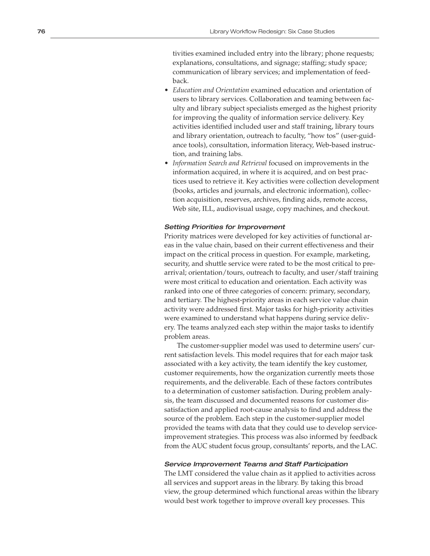tivities examined included entry into the library; phone requests; explanations, consultations, and signage; staffing; study space; communication of library services; and implementation of feed back.

- *Education and Orientation* examined education and orientation of users to library services. Collaboration and teaming between fac ulty and library subject specialists emerged as the highest priority for improving the quality of information service delivery. Key activities identified included user and staff training, library tours and library orientation, outreach to faculty, "how tos" (user-guid ance tools), consultation, information literacy, Web-based instruc tion, and training labs.
- *Information Search and Retrieval* focused on improvements in the information acquired, in where it is acquired, and on best prac tices used to retrieve it. Key activities were collection development (books, articles and journals, and electronic information), collec tion acquisition, reserves, archives, finding aids, remote access, Web site, ILL, audiovisual usage, copy machines, and checkout.

#### Setting Priorities for Improvement

Priority matrices were developed for key activities of functional ar eas in the value chain, based on their current effectiveness and their impact on the critical process in question. For example, marketing, security, and shuttle service were rated to be the most critical to pre arrival; orientation/tours, outreach to faculty, and user/staff training were most critical to education and orientation. Each activity was ranked into one of three categories of concern: primary, secondary, and tertiary. The highest-priority areas in each service value chain activity were addressed first. Major tasks for high-priority activities were examined to understand what happens during service deliv ery. The teams analyzed each step within the major tasks to identify problem areas.

The customer-supplier model was used to determine users' cur rent satisfaction levels. This model requires that for each major task associated with a key activity, the team identify the key customer, customer requirements, how the organization currently meets those requirements, and the deliverable. Each of these factors contributes to a determination of customer satisfaction. During problem analy sis, the team discussed and documented reasons for customer dis satisfaction and applied root-cause analysis to find and address the source of the problem. Each step in the customer-supplier model provided the teams with data that they could use to develop serviceimprovement strategies. This process was also informed by feedback from the AUC student focus group, consultants' reports, and the LAC.

#### Service Improvement Teams and Staff Participation

The LMT considered the value chain as it applied to activities across all services and support areas in the library. By taking this broad view, the group determined which functional areas within the library would best work together to improve overall key processes. This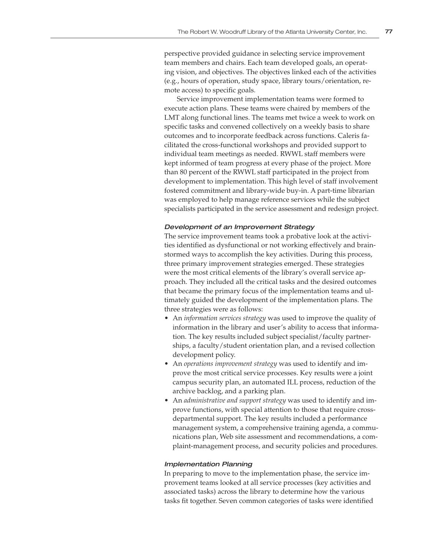perspective provided guidance in selecting service improvement team members and chairs. Each team developed goals, an operating vision, and objectives. The objectives linked each of the activities (e.g., hours of operation, study space, library tours/orientation, remote access) to specific goals.

Service improvement implementation teams were formed to execute action plans. These teams were chaired by members of the LMT along functional lines. The teams met twice a week to work on specific tasks and convened collectively on a weekly basis to share outcomes and to incorporate feedback across functions. Caleris facilitated the cross-functional workshops and provided support to individual team meetings as needed. RWWL staff members were kept informed of team progress at every phase of the project. More than 80 percent of the RWWL staff participated in the project from development to implementation. This high level of staff involvement fostered commitment and library-wide buy-in. A part-time librarian was employed to help manage reference services while the subject specialists participated in the service assessment and redesign project.

#### Development of an Improvement Strategy

The service improvement teams took a probative look at the activities identified as dysfunctional or not working effectively and brainstormed ways to accomplish the key activities. During this process, three primary improvement strategies emerged. These strategies were the most critical elements of the library's overall service approach. They included all the critical tasks and the desired outcomes that became the primary focus of the implementation teams and ultimately guided the development of the implementation plans. The three strategies were as follows:

- An *information services strategy* was used to improve the quality of information in the library and user's ability to access that information. The key results included subject specialist/faculty partnerships, a faculty/student orientation plan, and a revised collection development policy.
- An *operations improvement strategy* was used to identify and improve the most critical service processes. Key results were a joint campus security plan, an automated ILL process, reduction of the archive backlog, and a parking plan.
- An *administrative and support strategy* was used to identify and improve functions, with special attention to those that require crossdepartmental support. The key results included a performance management system, a comprehensive training agenda, a communications plan, Web site assessment and recommendations, a complaint-management process, and security policies and procedures.

#### Implementation Planning

In preparing to move to the implementation phase, the service improvement teams looked at all service processes (key activities and associated tasks) across the library to determine how the various tasks fit together. Seven common categories of tasks were identified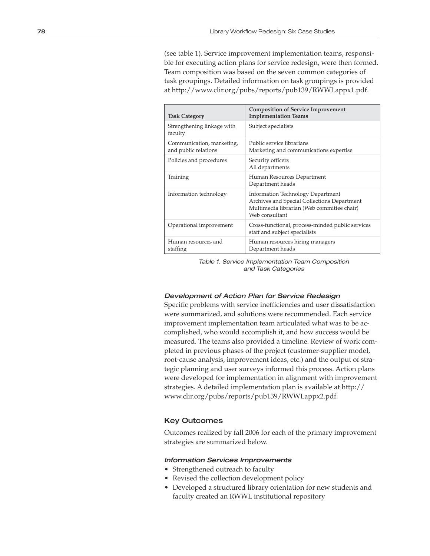(see table 1). Service improvement implementation teams, responsible for executing action plans for service redesign, were then formed. Team composition was based on the seven common categories of task groupings. Detailed information on task groupings is provided at http://www.clir.org/pubs/reports/pub139/RWWLappx1.pdf.

| <b>Task Category</b>                              | <b>Composition of Service Improvement</b><br><b>Implementation Teams</b>                                                                                |
|---------------------------------------------------|---------------------------------------------------------------------------------------------------------------------------------------------------------|
| Strengthening linkage with<br>faculty             | Subject specialists                                                                                                                                     |
| Communication, marketing,<br>and public relations | Public service librarians<br>Marketing and communications expertise                                                                                     |
| Policies and procedures                           | Security officers<br>All departments                                                                                                                    |
| Training                                          | Human Resources Department<br>Department heads                                                                                                          |
| Information technology                            | <b>Information Technology Department</b><br>Archives and Special Collections Department<br>Multimedia librarian (Web committee chair)<br>Web consultant |
| Operational improvement                           | Cross-functional, process-minded public services<br>staff and subject specialists                                                                       |
| Human resources and<br>staffing                   | Human resources hiring managers<br>Department heads                                                                                                     |

Table 1. Service Implementation Team Composition and Task Categories

#### Development of Action Plan for Service Redesign

Specific problems with service inefficiencies and user dissatisfaction were summarized, and solutions were recommended. Each service improvement implementation team articulated what was to be accomplished, who would accomplish it, and how success would be measured. The teams also provided a timeline. Review of work completed in previous phases of the project (customer-supplier model, root-cause analysis, improvement ideas, etc.) and the output of strategic planning and user surveys informed this process. Action plans were developed for implementation in alignment with improvement strategies. A detailed implementation plan is available at http:// www.clir.org/pubs/reports/pub139/RWWLappx2.pdf.

## Key Outcomes

Outcomes realized by fall 2006 for each of the primary improvement strategies are summarized below.

## Information Services Improvements

- Strengthened outreach to faculty
- Revised the collection development policy
- Developed a structured library orientation for new students and faculty created an RWWL institutional repository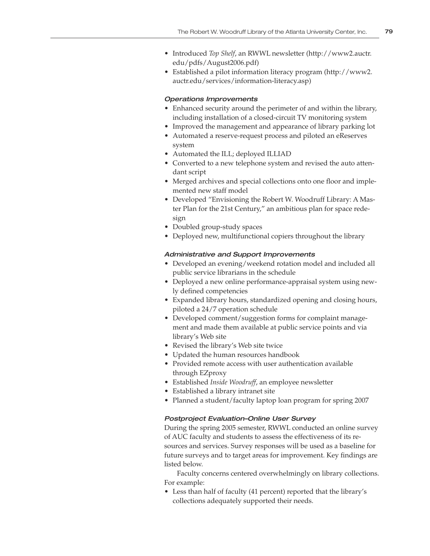- Introduced *Top Shelf*, an RWWL newsletter (http://www2.auctr. edu/pdfs/August2006.pdf)
- Established a pilot information literacy program (http://www2. auctr.edu/services/information-literacy.asp)

### Operations Improvements

- Enhanced security around the perimeter of and within the library, including installation of a closed-circuit TV monitoring system
- Improved the management and appearance of library parking lot
- Automated a reserve-request process and piloted an eReserves system
- Automated the ILL; deployed ILLIAD
- Converted to a new telephone system and revised the auto attendant script
- Merged archives and special collections onto one floor and implemented new staff model
- Developed "Envisioning the Robert W. Woodruff Library: A Master Plan for the 21st Century," an ambitious plan for space redesign
- Doubled group-study spaces
- Deployed new, multifunctional copiers throughout the library

## Administrative and Support Improvements

- Developed an evening/weekend rotation model and included all public service librarians in the schedule
- Deployed a new online performance-appraisal system using newly defined competencies
- Expanded library hours, standardized opening and closing hours, piloted a 24/7 operation schedule
- Developed comment/suggestion forms for complaint management and made them available at public service points and via library's Web site
- Revised the library's Web site twice
- Updated the human resources handbook
- Provided remote access with user authentication available through EZproxy
- Established *Inside Woodruff*, an employee newsletter
- Established a library intranet site
- Planned a student/faculty laptop loan program for spring 2007

## Postproject Evaluation–Online User Survey

During the spring 2005 semester, RWWL conducted an online survey of AUC faculty and students to assess the effectiveness of its resources and services. Survey responses will be used as a baseline for future surveys and to target areas for improvement. Key findings are listed below.

Faculty concerns centered overwhelmingly on library collections. For example:

• Less than half of faculty (41 percent) reported that the library's collections adequately supported their needs.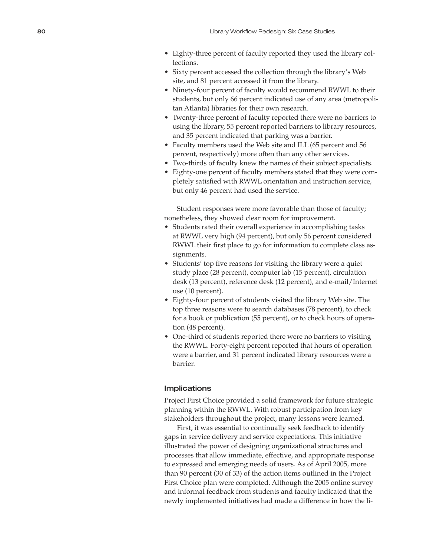- Eighty-three percent of faculty reported they used the library collections.
- Sixty percent accessed the collection through the library's Web site, and 81 percent accessed it from the library.
- Ninety-four percent of faculty would recommend RWWL to their students, but only 66 percent indicated use of any area (metropoli tan Atlanta) libraries for their own research.
- Twenty-three percent of faculty reported there were no barriers to using the library, 55 percent reported barriers to library resources, and 35 percent indicated that parking was a barrier.
- Faculty members used the Web site and ILL (65 percent and 56 percent, respectively) more often than any other services.
- Two-thirds of faculty knew the names of their subject specialists.
- Eighty-one percent of faculty members stated that they were com pletely satisfied with RWWL orientation and instruction service, but only 46 percent had used the service.

Student responses were more favorable than those of faculty; nonetheless, they showed clear room for improvement.

- Students rated their overall experience in accomplishing tasks at RWWL very high (94 percent), but only 56 percent considered RWWL their first place to go for information to complete class as signments.
- Students' top five reasons for visiting the library were a quiet study place (28 percent), computer lab (15 percent), circulation desk (13 percent), reference desk (12 percent), and e-mail/Internet use (10 percent).
- Eighty-four percent of students visited the library Web site. The top three reasons were to search databases (78 percent), to check for a book or publication (55 percent), or to check hours of opera tion (48 percent).
- One-third of students reported there were no barriers to visiting the RWWL. Forty-eight percent reported that hours of operation were a barrier, and 31 percent indicated library resources were a barrier.

## Implications

Project First Choice provided a solid framework for future strategic planning within the RWWL. With robust participation from key stakeholders throughout the project, many lessons were learned.

First, it was essential to continually seek feedback to identify gaps in service delivery and service expectations. This initiative illustrated the power of designing organizational structures and processes that allow immediate, effective, and appropriate response to expressed and emerging needs of users. As of April 2005, more than 90 percent (30 of 33) of the action items outlined in the Project First Choice plan were completed. Although the 2005 online survey and informal feedback from students and faculty indicated that the newly implemented initiatives had made a difference in how the li -